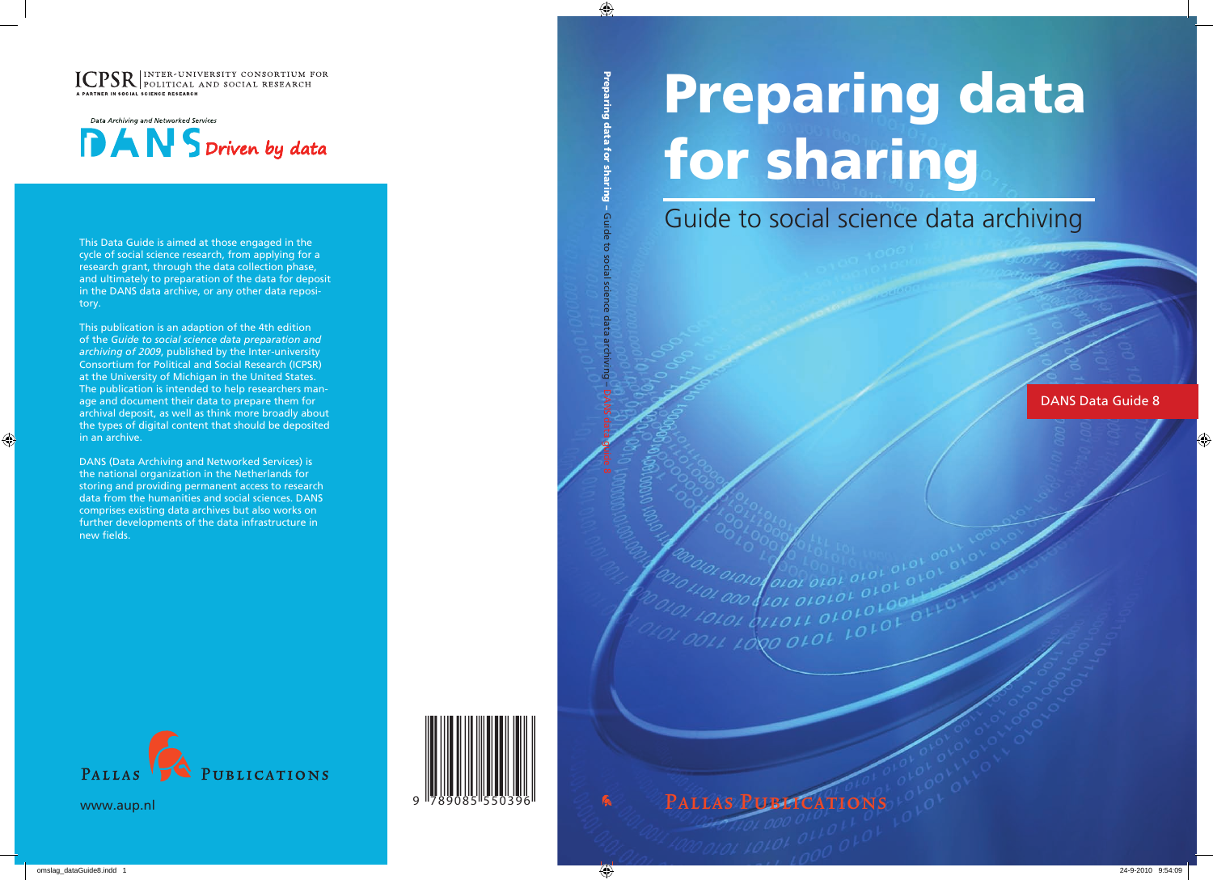# Preparing data for sharing

Guide to social science data archiving

DANS Data Guide 8

PALLAS PUBLICATIONS

about of the charge of the charge of the charge of the charge of the charge of the charge of the charge of the

0011 1000 0101 10101 0110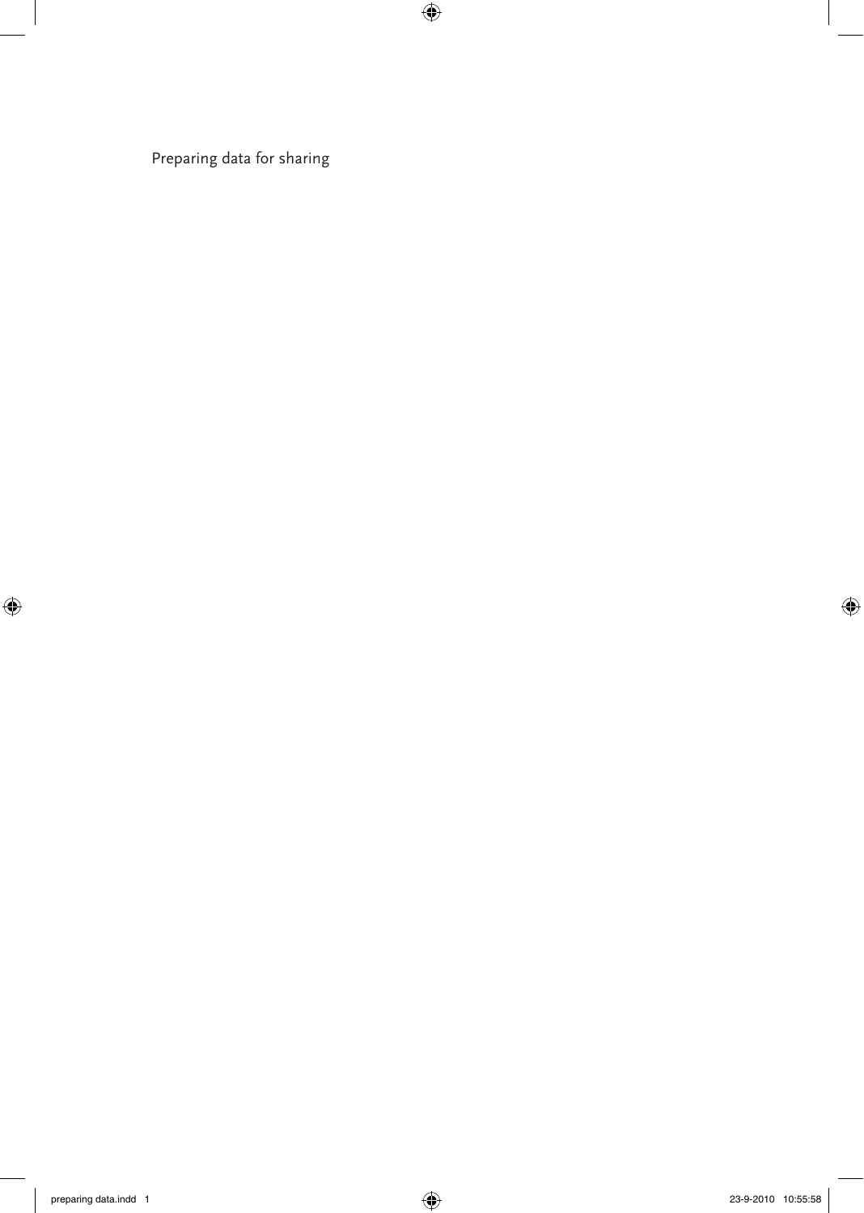Preparing data for sharing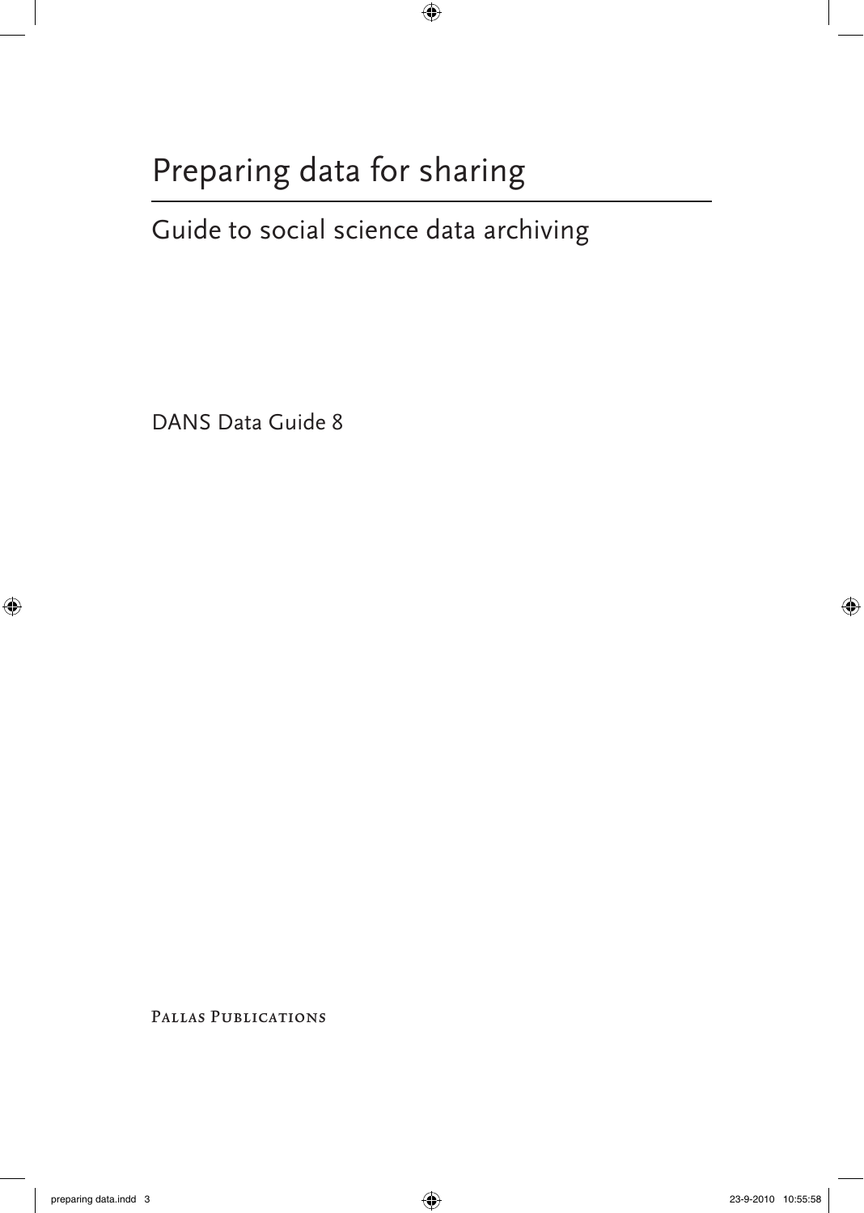# Preparing data for sharing

# Guide to social science data archiving

DANS Data Guide 8

Pallas Publications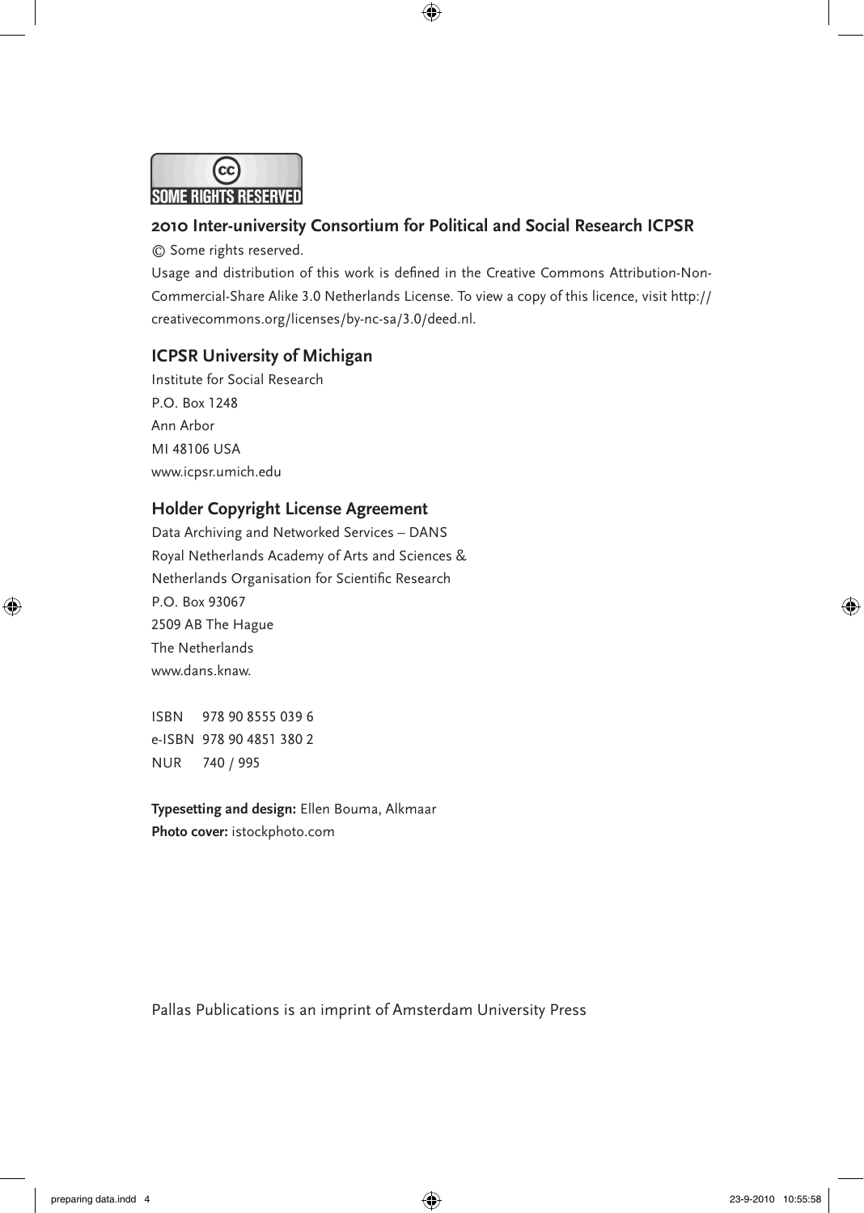

# **2010 Inter-university Consortium for Political and Social Research ICPSR**

© Some rights reserved.

Usage and distribution of this work is defined in the Creative Commons Attribution-Non-Commercial-Share Alike 3.0 Netherlands License. To view a copy of this licence, visit http:// creativecommons.org/licenses/by-nc-sa/3.0/deed.nl.

# **ICPSR University of Michigan**

Institute for Social Research P.O. Box 1248 Ann Arbor MI 48106 USA www.icpsr.umich.edu

# **Holder Copyright License Agreement**

Data Archiving and Networked Services – DANS Royal Netherlands Academy of Arts and Sciences & Netherlands Organisation for Scientific Research P.O. Box 93067 2509 AB The Hague The Netherlands www.dans.knaw.

ISBN 978 90 8555 039 6 e-ISBN 978 90 4851 380 2 NUR 740 / 995

**Typesetting and design:** Ellen Bouma, Alkmaar **Photo cover:** istockphoto.com

Pallas Publications is an imprint of Amsterdam University Press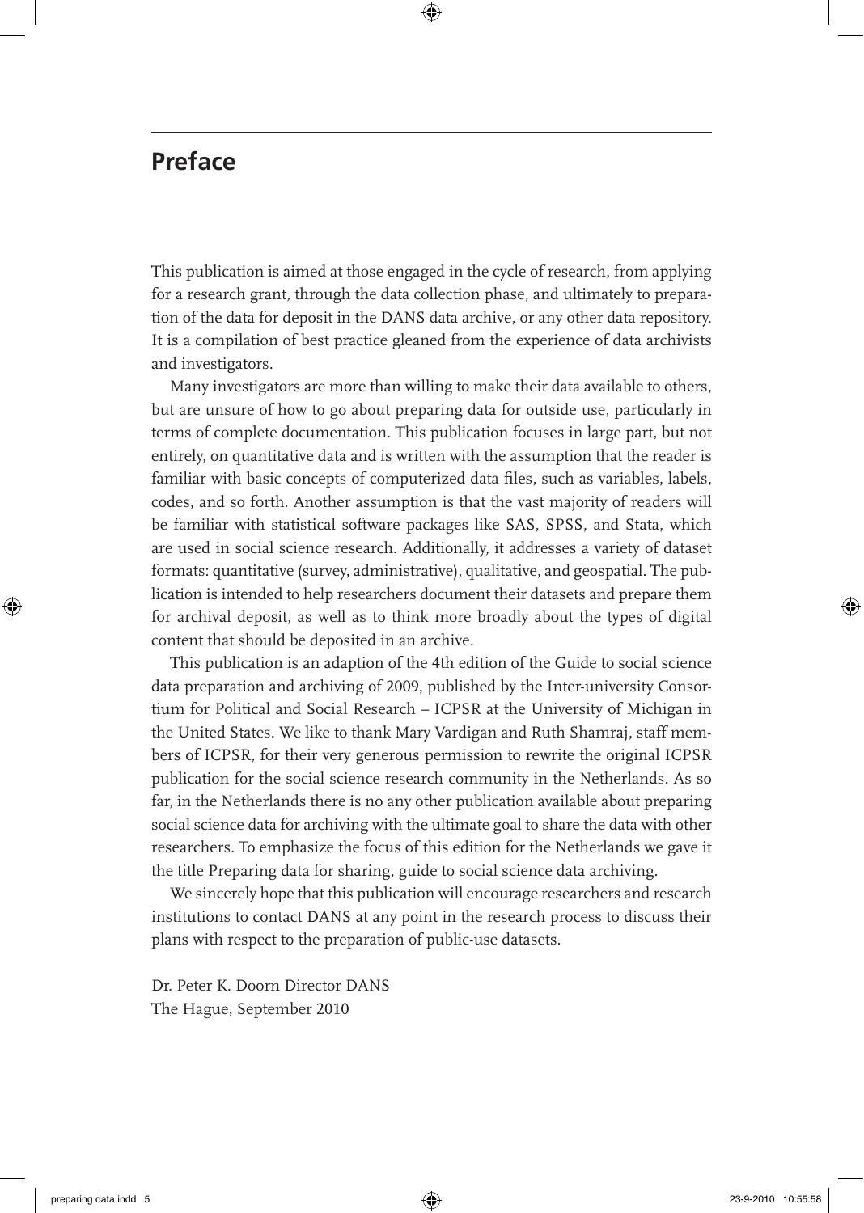# **Preface**

This publication is aimed at those engaged in the cycle of research, from applying for a research grant, through the data collection phase, and ultimately to preparation of the data for deposit in the DANS data archive, or any other data repository. It is a compilation of best practice gleaned from the experience of data archivists and investigators.

Many investigators are more than willing to make their data available to others, but are unsure of how to go about preparing data for outside use, particularly in terms of complete documentation. This publication focuses in large part, but not entirely, on quantitative data and is written with the assumption that the reader is familiar with basic concepts of computerized data files, such as variables, labels, codes, and so forth. Another assumption is that the vast majority of readers will be familiar with statistical software packages like SAS, SPSS, and Stata, which are used in social science research. Additionally, it addresses a variety of dataset formats: quantitative (survey, administrative), qualitative, and geospatial. The publication is intended to help researchers document their datasets and prepare them for archival deposit, as well as to think more broadly about the types of digital content that should be deposited in an archive.

This publication is an adaption of the 4th edition of the Guide to social science data preparation and archiving of 2009, published by the Inter-university Consortium for Political and Social Research – ICPSR at the University of Michigan in the United States. We like to thank Mary Vardigan and Ruth Shamraj, staff members of ICPSR, for their very generous permission to rewrite the original ICPSR publication for the social science research community in the Netherlands. As so far, in the Netherlands there is no any other publication available about preparing social science data for archiving with the ultimate goal to share the data with other researchers. To emphasize the focus of this edition for the Netherlands we gave it the title Preparing data for sharing, guide to social science data archiving.

We sincerely hope that this publication will encourage researchers and research institutions to contact DANS at any point in the research process to discuss their plans with respect to the preparation of public-use datasets.

Dr. Peter K. Doorn Director DANS The Hague, September 2010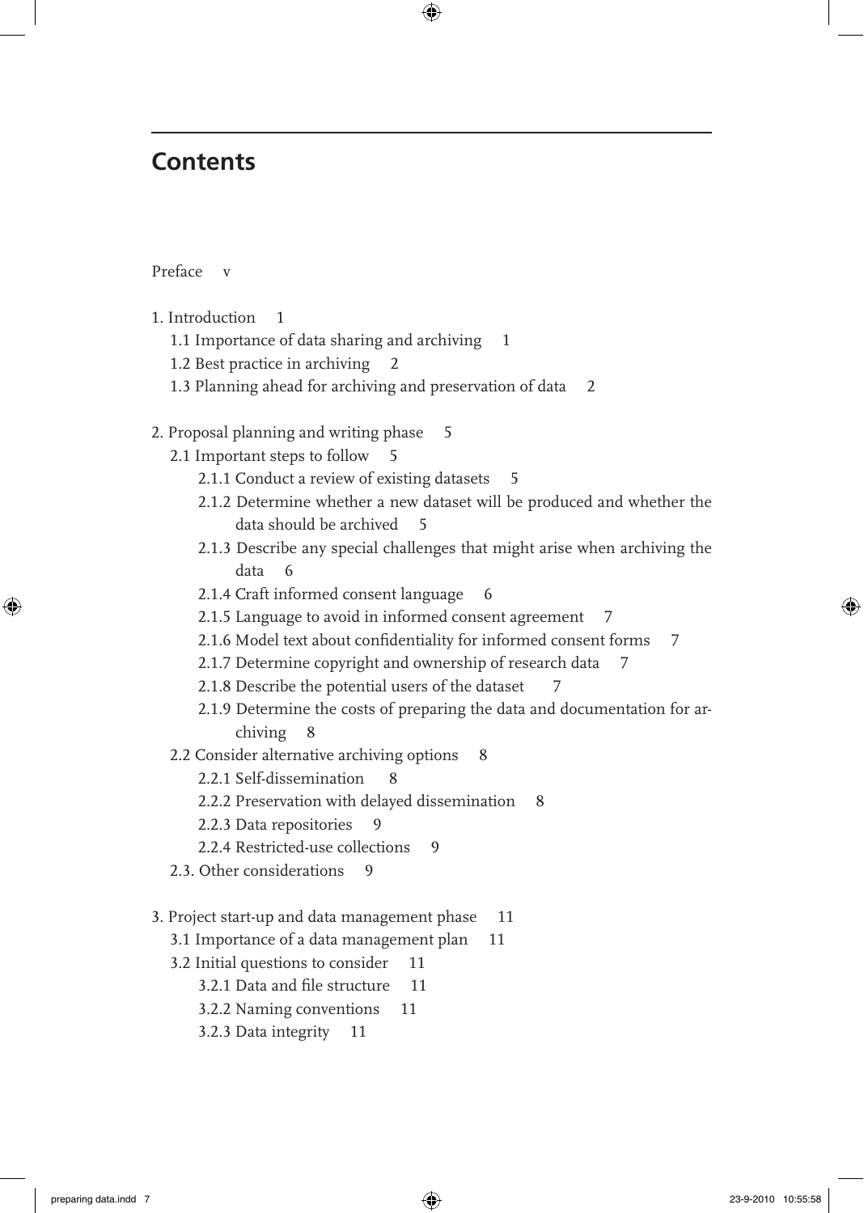# **Contents**

Preface v

- 1. Introduction 1
	- 1.1 Importance of data sharing and archiving 1
	- 1.2 Best practice in archiving 2
	- 1.3 Planning ahead for archiving and preservation of data 2
- 2. Proposal planning and writing phase 5
	- 2.1 Important steps to follow 5
		- 2.1.1 Conduct a review of existing datasets 5
		- 2.1.2 Determine whether a new dataset will be produced and whether the data should be archived 5
		- 2.1.3 Describe any special challenges that might arise when archiving the data 6
		- 2.1.4 Craft informed consent language 6
		- 2.1.5 Language to avoid in informed consent agreement 7
		- 2.1.6 Model text about confidentiality for informed consent forms 7
		- 2.1.7 Determine copyright and ownership of research data 7
		- 2.1.8 Describe the potential users of the dataset 7
		- 2.1.9 Determine the costs of preparing the data and documentation for archiving 8
	- 2.2 Consider alternative archiving options 8
		- 2.2.1 Self-dissemination 8
		- 2.2.2 Preservation with delayed dissemination 8
		- 2.2.3 Data repositories 9
		- 2.2.4 Restricted-use collections 9
	- 2.3. Other considerations 9
- 3. Project start-up and data management phase 11
	- 3.1 Importance of a data management plan 11
	- 3.2 Initial questions to consider 11
		- 3.2.1 Data and file structure 11
		- 3.2.2 Naming conventions 11
		- 3.2.3 Data integrity 11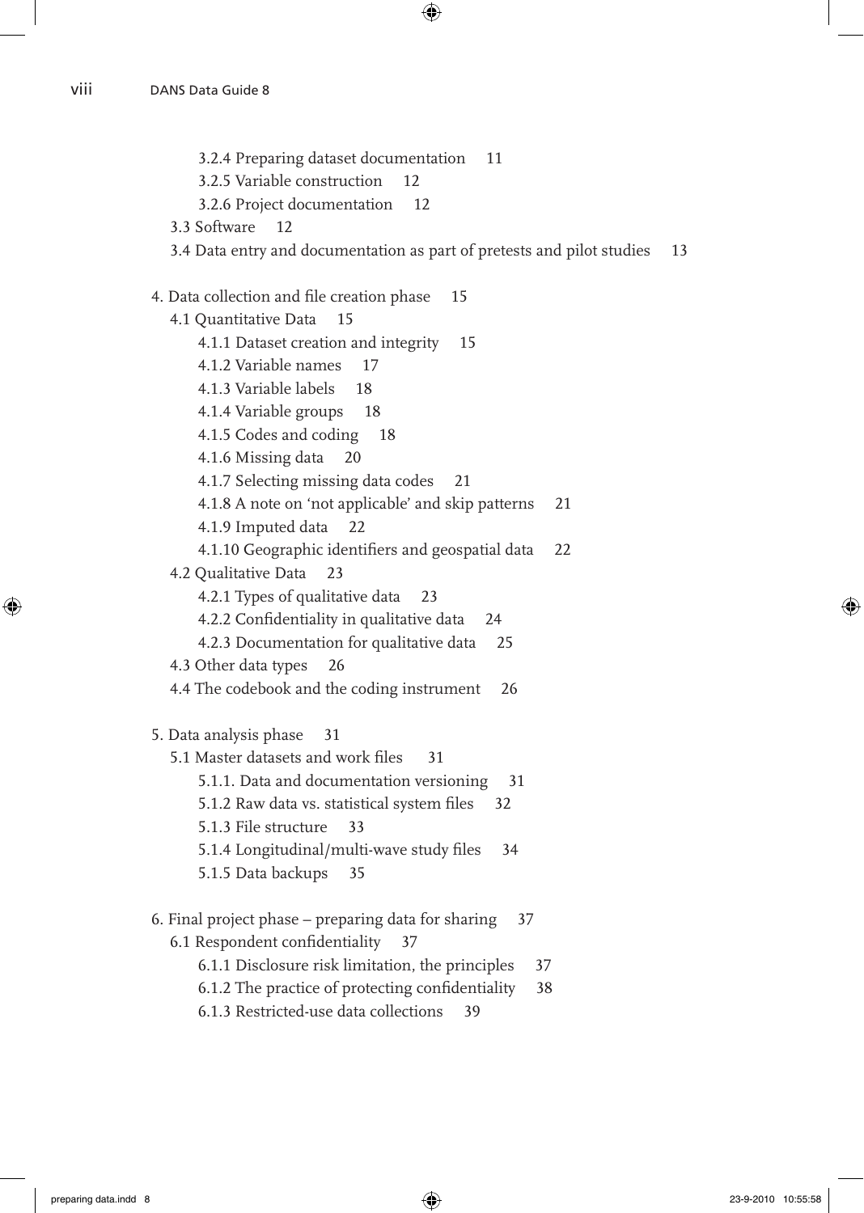3.2.4 Preparing dataset documentation 11 3.2.5 Variable construction 12 3.2.6 Project documentation 12 3.3 Software 12 3.4 Data entry and documentation as part of pretests and pilot studies 13 4. Data collection and file creation phase 15 4.1 Quantitative Data 15 4.1.1 Dataset creation and integrity 15 4.1.2 Variable names 17 4.1.3 Variable labels 18 4.1.4 Variable groups 18 4.1.5 Codes and coding 18 4.1.6 Missing data 20 4.1.7 Selecting missing data codes 21 4.1.8 A note on 'not applicable' and skip patterns 21 4.1.9 Imputed data 22 4.1.10 Geographic identifiers and geospatial data 22 4.2 Qualitative Data 23 4.2.1 Types of qualitative data 23 4.2.2 Confidentiality in qualitative data 24 4.2.3 Documentation for qualitative data 25 4.3 Other data types 26 4.4 The codebook and the coding instrument 26 5. Data analysis phase 31 5.1 Master datasets and work files 31 5.1.1. Data and documentation versioning 31 5.1.2 Raw data vs. statistical system files 32 5.1.3 File structure 33 5.1.4 Longitudinal/multi-wave study files 34 5.1.5 Data backups 35 6. Final project phase – preparing data for sharing 37 6.1 Respondent confidentiality 37 6.1.1 Disclosure risk limitation, the principles 37 6.1.2 The practice of protecting confidentiality 38 6.1.3 Restricted-use data collections 39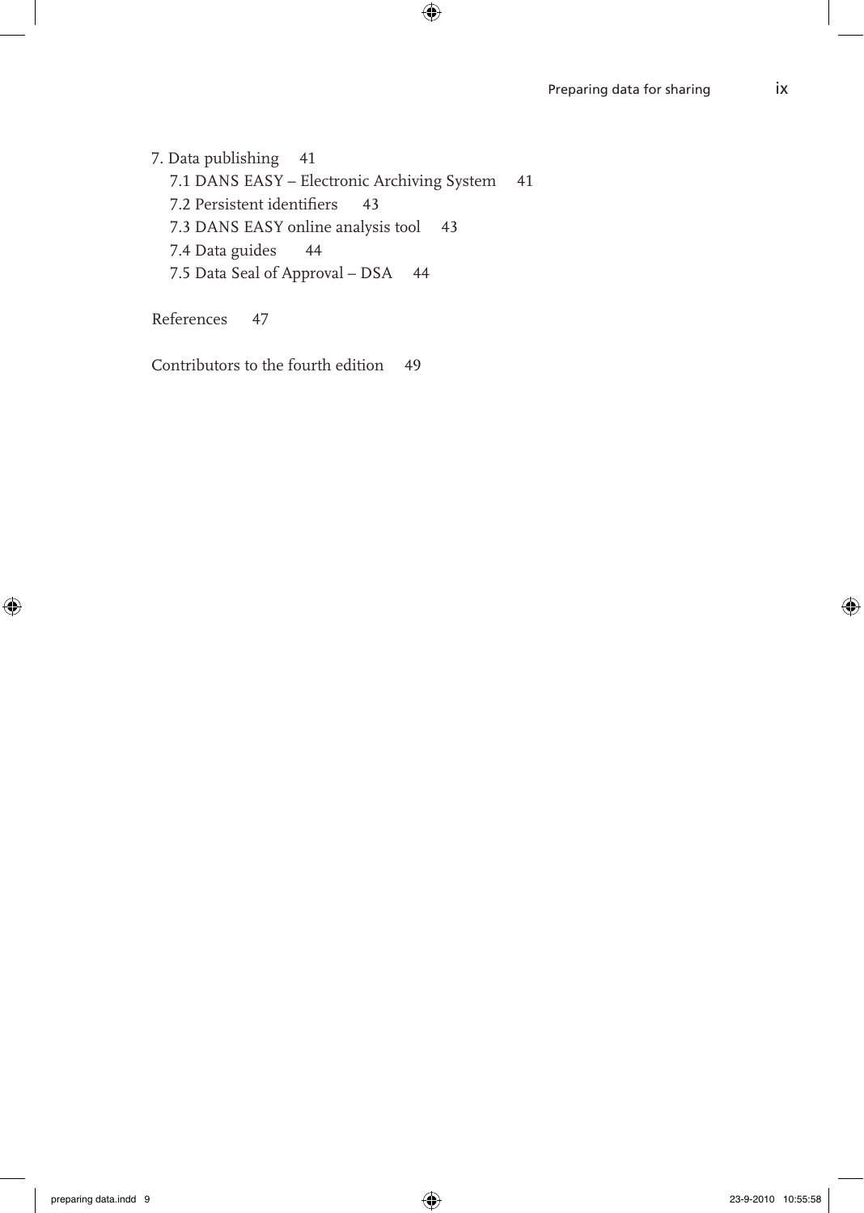7. Data publishing 41

7.1 DANS EASY – Electronic Archiving System 41

7.2 Persistent identifiers 43

7.3 DANS EASY online analysis tool 43

7.4 Data guides 44

7.5 Data Seal of Approval – DSA 44

References 47

Contributors to the fourth edition 49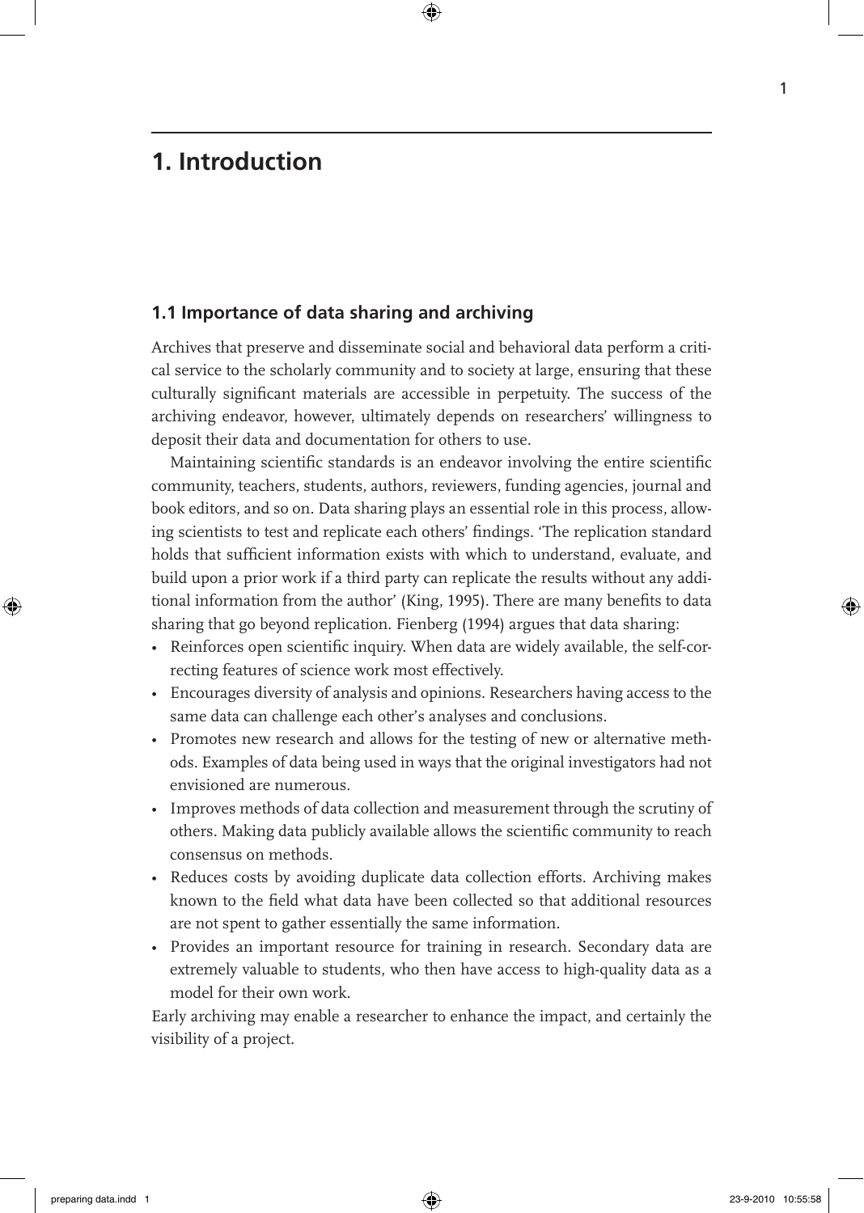# **1. Introduction**

#### **1.1 Importance of data sharing and archiving**

Archives that preserve and disseminate social and behavioral data perform a critical service to the scholarly community and to society at large, ensuring that these culturally significant materials are accessible in perpetuity. The success of the archiving endeavor, however, ultimately depends on researchers' willingness to deposit their data and documentation for others to use.

Maintaining scientific standards is an endeavor involving the entire scientific community, teachers, students, authors, reviewers, funding agencies, journal and book editors, and so on. Data sharing plays an essential role in this process, allowing scientists to test and replicate each others' findings. 'The replication standard holds that sufficient information exists with which to understand, evaluate, and build upon a prior work if a third party can replicate the results without any additional information from the author' (King, 1995). There are many benefits to data sharing that go beyond replication. Fienberg (1994) argues that data sharing:

- • Reinforces open scientific inquiry. When data are widely available, the self-correcting features of science work most effectively.
- • Encourages diversity of analysis and opinions. Researchers having access to the same data can challenge each other's analyses and conclusions.
- • Promotes new research and allows for the testing of new or alternative methods. Examples of data being used in ways that the original investigators had not envisioned are numerous.
- • Improves methods of data collection and measurement through the scrutiny of others. Making data publicly available allows the scientific community to reach consensus on methods.
- • Reduces costs by avoiding duplicate data collection efforts. Archiving makes known to the field what data have been collected so that additional resources are not spent to gather essentially the same information.
- Provides an important resource for training in research. Secondary data are extremely valuable to students, who then have access to high-quality data as a model for their own work.

Early archiving may enable a researcher to enhance the impact, and certainly the visibility of a project.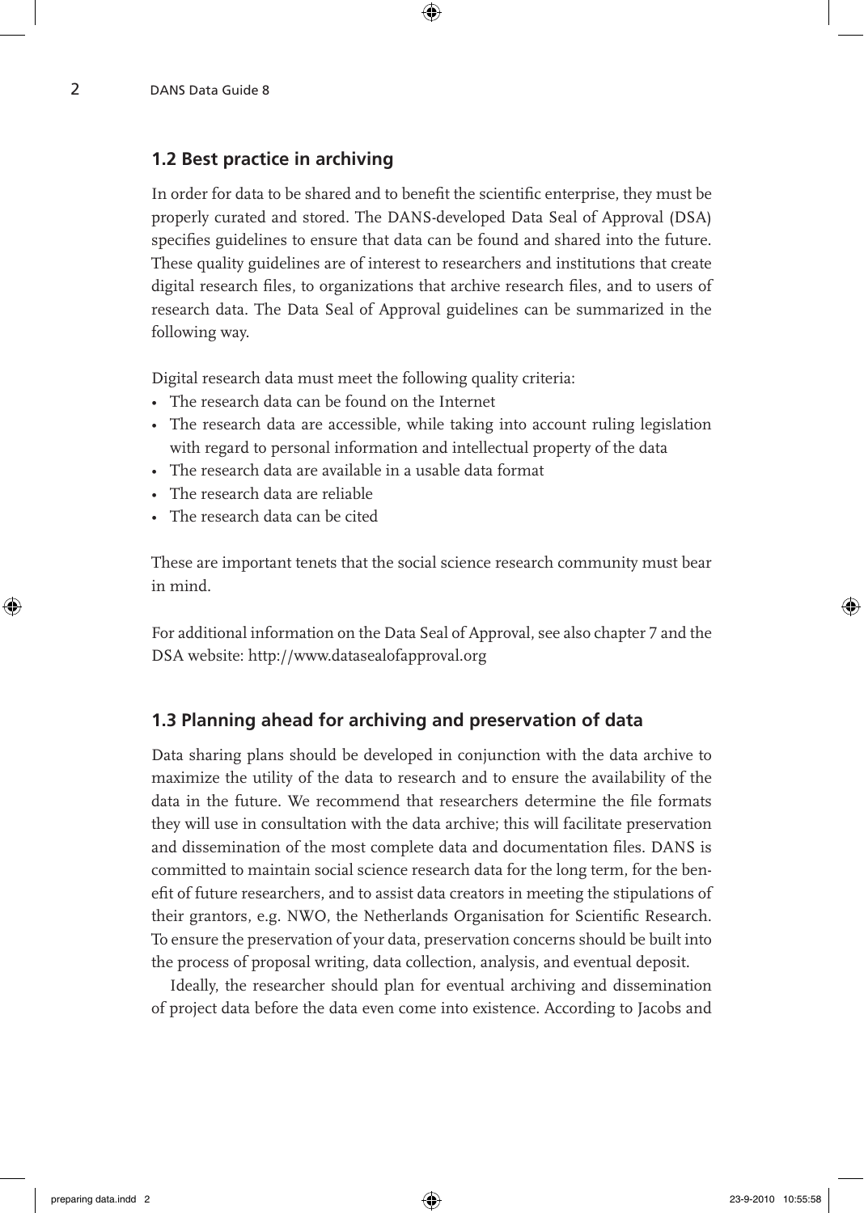# **1.2 Best practice in archiving**

In order for data to be shared and to benefit the scientific enterprise, they must be properly curated and stored. The DANS-developed Data Seal of Approval (DSA) specifies guidelines to ensure that data can be found and shared into the future. These quality guidelines are of interest to researchers and institutions that create digital research files, to organizations that archive research files, and to users of research data. The Data Seal of Approval guidelines can be summarized in the following way.

Digital research data must meet the following quality criteria:

- The research data can be found on the Internet
- The research data are accessible, while taking into account ruling legislation with regard to personal information and intellectual property of the data
- • The research data are available in a usable data format
- • The research data are reliable
- The research data can be cited

These are important tenets that the social science research community must bear in mind.

For additional information on the Data Seal of Approval, see also chapter 7 and the DSA website: http://www.datasealofapproval.org

# **1.3 Planning ahead for archiving and preservation of data**

Data sharing plans should be developed in conjunction with the data archive to maximize the utility of the data to research and to ensure the availability of the data in the future. We recommend that researchers determine the file formats they will use in consultation with the data archive; this will facilitate preservation and dissemination of the most complete data and documentation files. DANS is committed to maintain social science research data for the long term, for the benefit of future researchers, and to assist data creators in meeting the stipulations of their grantors, e.g. NWO, the Netherlands Organisation for Scientific Research. To ensure the preservation of your data, preservation concerns should be built into the process of proposal writing, data collection, analysis, and eventual deposit.

Ideally, the researcher should plan for eventual archiving and dissemination of project data before the data even come into existence. According to Jacobs and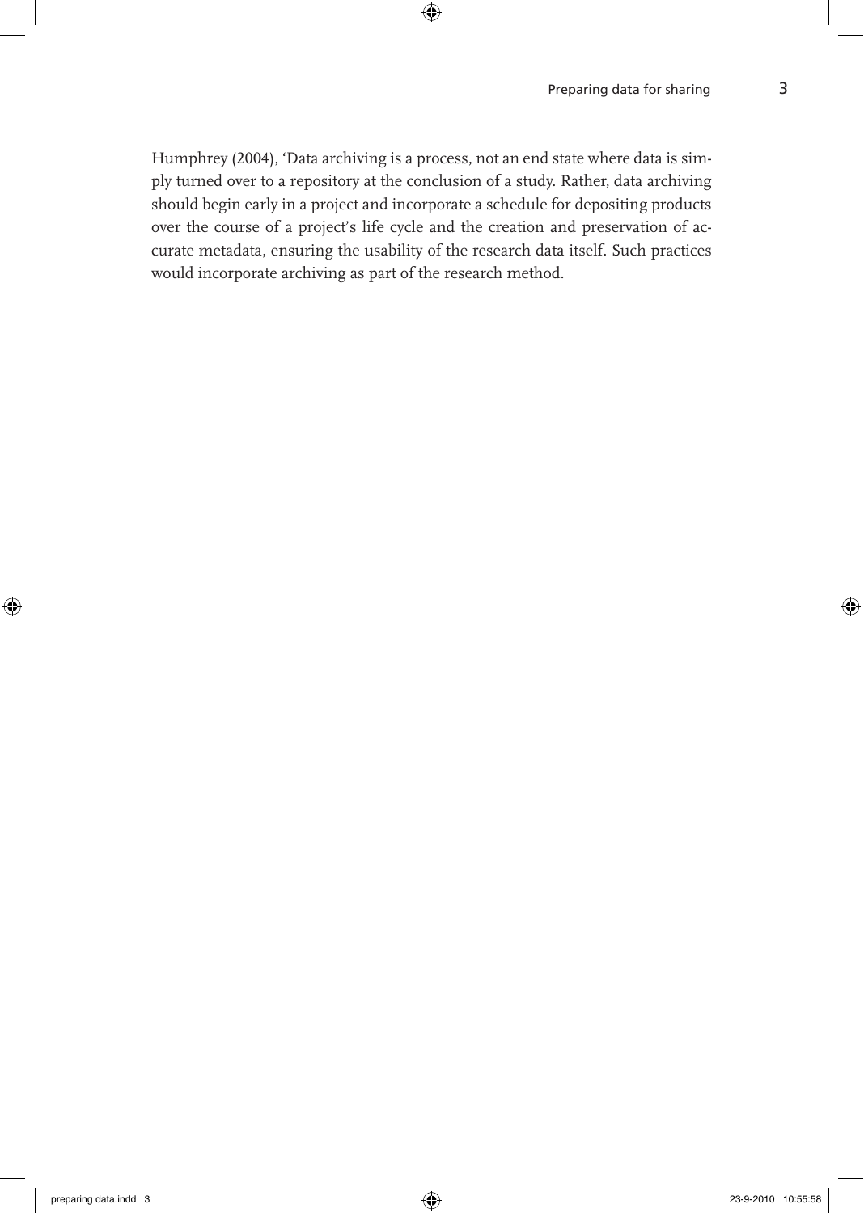Humphrey (2004), 'Data archiving is a process, not an end state where data is simply turned over to a repository at the conclusion of a study. Rather, data archiving should begin early in a project and incorporate a schedule for depositing products over the course of a project's life cycle and the creation and preservation of accurate metadata, ensuring the usability of the research data itself. Such practices would incorporate archiving as part of the research method.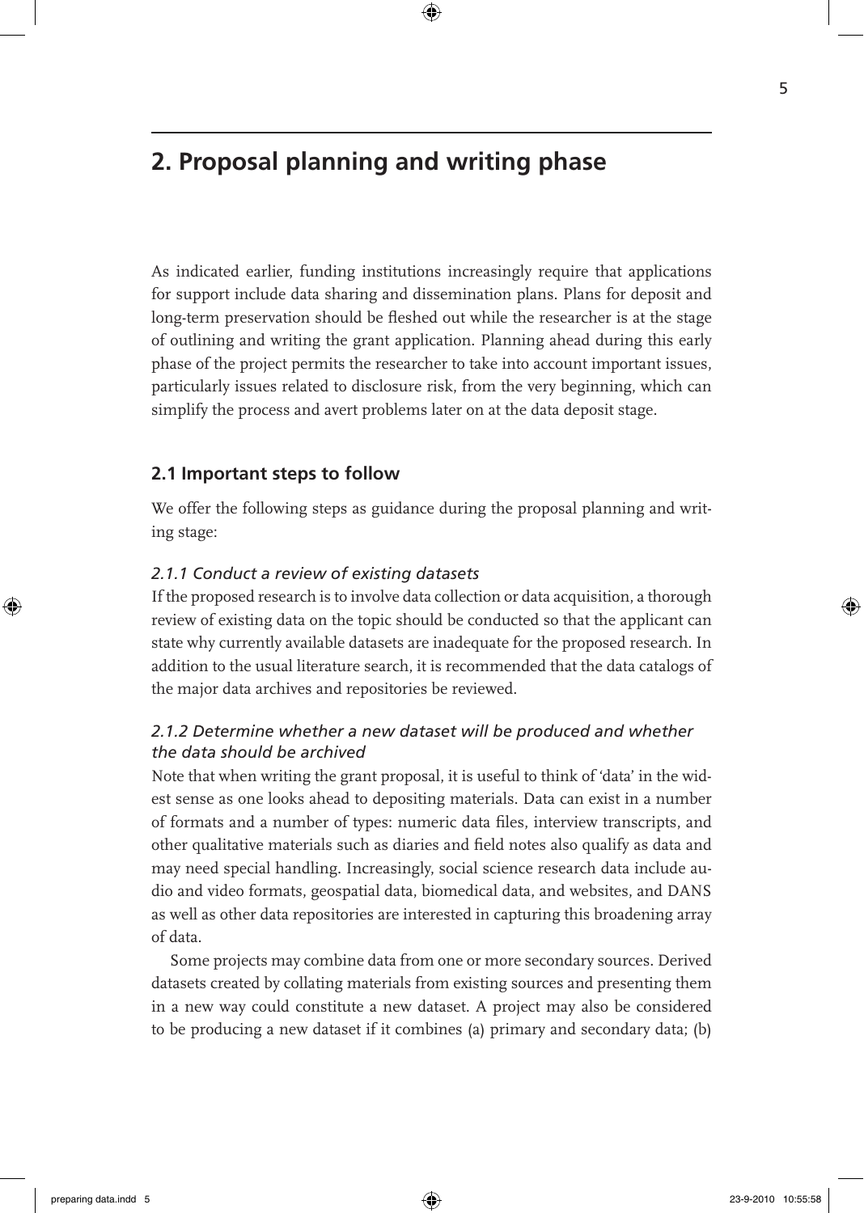# **2. Proposal planning and writing phase**

As indicated earlier, funding institutions increasingly require that applications for support include data sharing and dissemination plans. Plans for deposit and long-term preservation should be fleshed out while the researcher is at the stage of outlining and writing the grant application. Planning ahead during this early phase of the project permits the researcher to take into account important issues, particularly issues related to disclosure risk, from the very beginning, which can simplify the process and avert problems later on at the data deposit stage.

# **2.1 Important steps to follow**

We offer the following steps as guidance during the proposal planning and writing stage:

#### *2.1.1 Conduct a review of existing datasets*

If the proposed research is to involve data collection or data acquisition, a thorough review of existing data on the topic should be conducted so that the applicant can state why currently available datasets are inadequate for the proposed research. In addition to the usual literature search, it is recommended that the data catalogs of the major data archives and repositories be reviewed.

# *2.1.2 Determine whether a new dataset will be produced and whether the data should be archived*

Note that when writing the grant proposal, it is useful to think of 'data' in the widest sense as one looks ahead to depositing materials. Data can exist in a number of formats and a number of types: numeric data files, interview transcripts, and other qualitative materials such as diaries and field notes also qualify as data and may need special handling. Increasingly, social science research data include audio and video formats, geospatial data, biomedical data, and websites, and DANS as well as other data repositories are interested in capturing this broadening array of data.

Some projects may combine data from one or more secondary sources. Derived datasets created by collating materials from existing sources and presenting them in a new way could constitute a new dataset. A project may also be considered to be producing a new dataset if it combines (a) primary and secondary data; (b)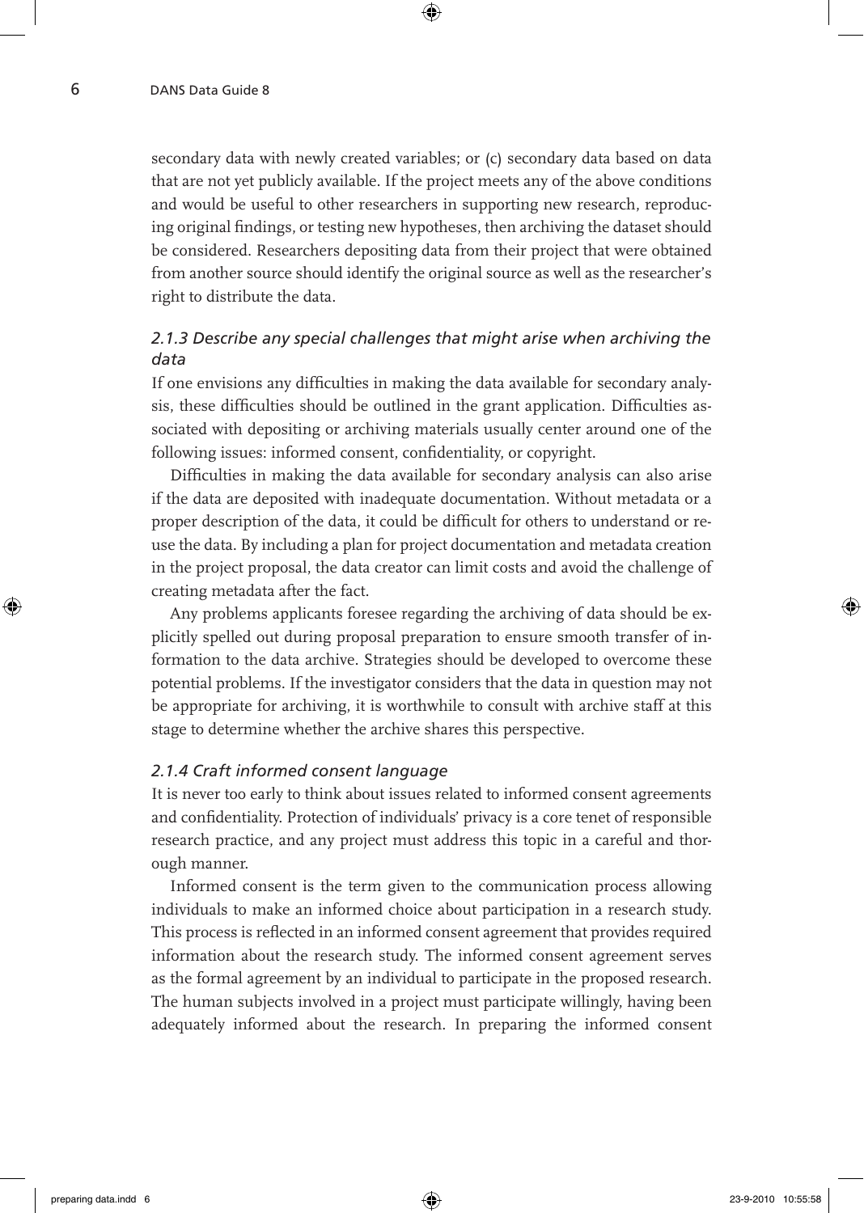secondary data with newly created variables; or (c) secondary data based on data that are not yet publicly available. If the project meets any of the above conditions and would be useful to other researchers in supporting new research, reproducing original findings, or testing new hypotheses, then archiving the dataset should be considered. Researchers depositing data from their project that were obtained from another source should identify the original source as well as the researcher's right to distribute the data.

# *2.1.3 Describe any special challenges that might arise when archiving the data*

If one envisions any difficulties in making the data available for secondary analysis, these difficulties should be outlined in the grant application. Difficulties associated with depositing or archiving materials usually center around one of the following issues: informed consent, confidentiality, or copyright.

Difficulties in making the data available for secondary analysis can also arise if the data are deposited with inadequate documentation. Without metadata or a proper description of the data, it could be difficult for others to understand or reuse the data. By including a plan for project documentation and metadata creation in the project proposal, the data creator can limit costs and avoid the challenge of creating metadata after the fact.

Any problems applicants foresee regarding the archiving of data should be explicitly spelled out during proposal preparation to ensure smooth transfer of information to the data archive. Strategies should be developed to overcome these potential problems. If the investigator considers that the data in question may not be appropriate for archiving, it is worthwhile to consult with archive staff at this stage to determine whether the archive shares this perspective.

#### *2.1.4 Craft informed consent language*

It is never too early to think about issues related to informed consent agreements and confidentiality. Protection of individuals' privacy is a core tenet of responsible research practice, and any project must address this topic in a careful and thorough manner.

Informed consent is the term given to the communication process allowing individuals to make an informed choice about participation in a research study. This process is reflected in an informed consent agreement that provides required information about the research study. The informed consent agreement serves as the formal agreement by an individual to participate in the proposed research. The human subjects involved in a project must participate willingly, having been adequately informed about the research. In preparing the informed consent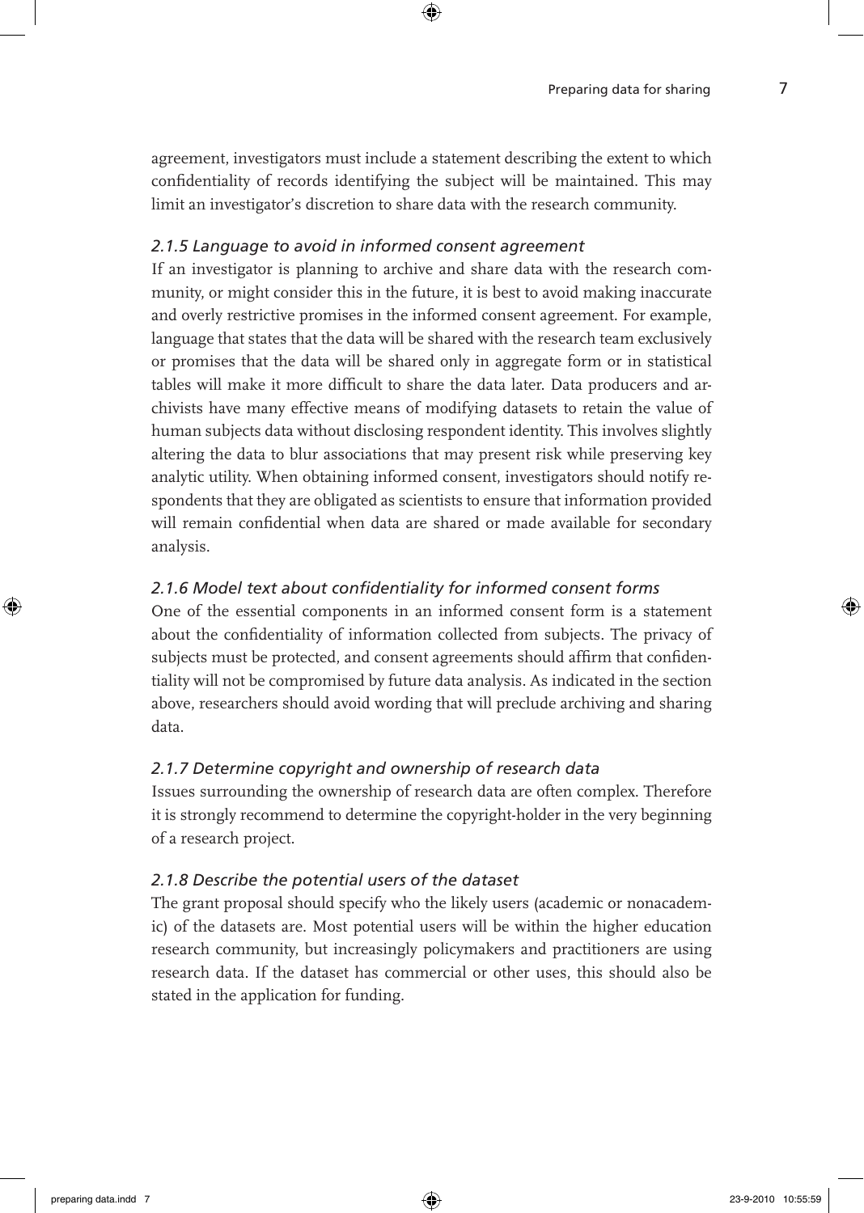agreement, investigators must include a statement describing the extent to which confidentiality of records identifying the subject will be maintained. This may limit an investigator's discretion to share data with the research community.

#### *2.1.5 Language to avoid in informed consent agreement*

If an investigator is planning to archive and share data with the research community, or might consider this in the future, it is best to avoid making inaccurate and overly restrictive promises in the informed consent agreement. For example, language that states that the data will be shared with the research team exclusively or promises that the data will be shared only in aggregate form or in statistical tables will make it more difficult to share the data later. Data producers and archivists have many effective means of modifying datasets to retain the value of human subjects data without disclosing respondent identity. This involves slightly altering the data to blur associations that may present risk while preserving key analytic utility. When obtaining informed consent, investigators should notify respondents that they are obligated as scientists to ensure that information provided will remain confidential when data are shared or made available for secondary analysis.

#### *2.1.6 Model text about confidentiality for informed consent forms*

One of the essential components in an informed consent form is a statement about the confidentiality of information collected from subjects. The privacy of subjects must be protected, and consent agreements should affirm that confidentiality will not be compromised by future data analysis. As indicated in the section above, researchers should avoid wording that will preclude archiving and sharing data.

#### *2.1.7 Determine copyright and ownership of research data*

Issues surrounding the ownership of research data are often complex. Therefore it is strongly recommend to determine the copyright-holder in the very beginning of a research project.

#### *2.1.8 Describe the potential users of the dataset*

The grant proposal should specify who the likely users (academic or nonacademic) of the datasets are. Most potential users will be within the higher education research community, but increasingly policymakers and practitioners are using research data. If the dataset has commercial or other uses, this should also be stated in the application for funding.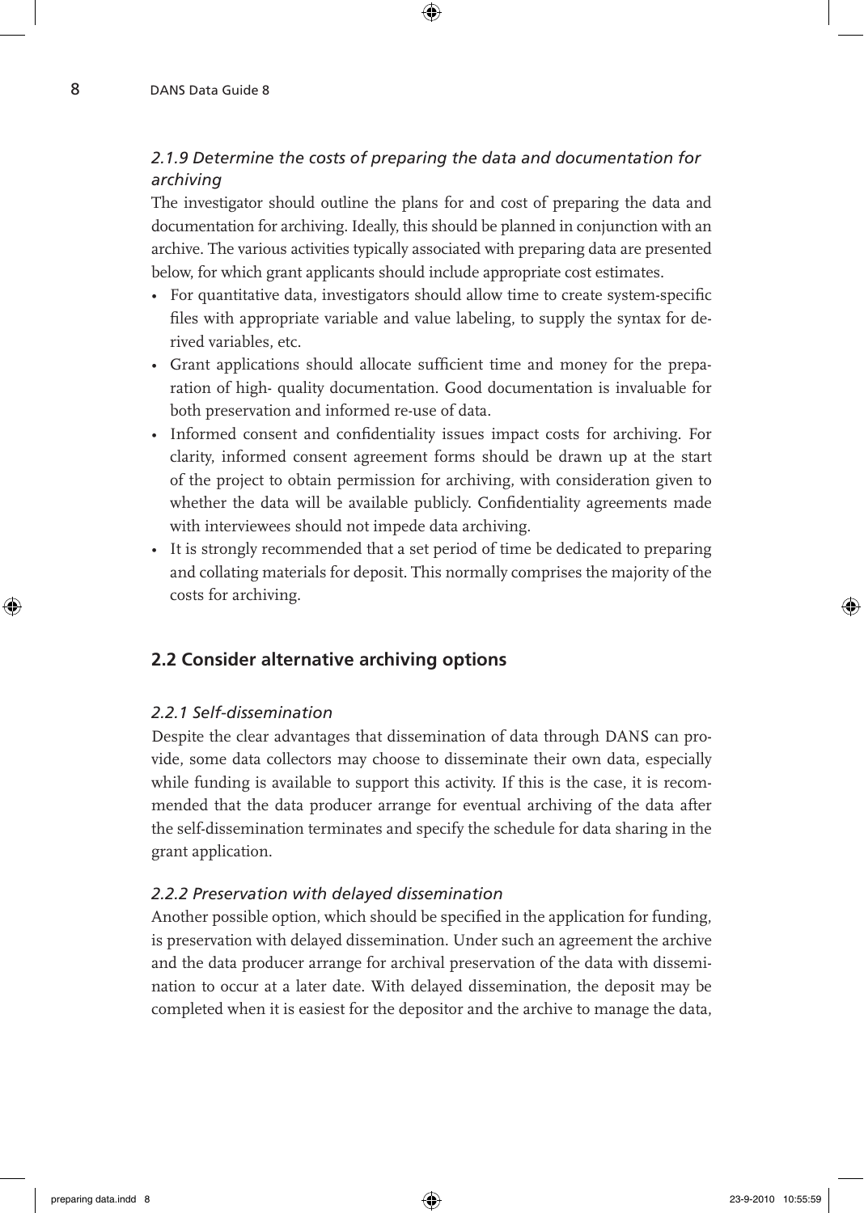# *2.1.9 Determine the costs of preparing the data and documentation for archiving*

The investigator should outline the plans for and cost of preparing the data and documentation for archiving. Ideally, this should be planned in conjunction with an archive. The various activities typically associated with preparing data are presented below, for which grant applicants should include appropriate cost estimates.

- For quantitative data, investigators should allow time to create system-specific files with appropriate variable and value labeling, to supply the syntax for derived variables, etc.
- • Grant applications should allocate sufficient time and money for the preparation of high- quality documentation. Good documentation is invaluable for both preservation and informed re-use of data.
- Informed consent and confidentiality issues impact costs for archiving. For clarity, informed consent agreement forms should be drawn up at the start of the project to obtain permission for archiving, with consideration given to whether the data will be available publicly. Confidentiality agreements made with interviewees should not impede data archiving.
- • It is strongly recommended that a set period of time be dedicated to preparing and collating materials for deposit. This normally comprises the majority of the costs for archiving.

# **2.2 Consider alternative archiving options**

# *2.2.1 Self-dissemination*

Despite the clear advantages that dissemination of data through DANS can provide, some data collectors may choose to disseminate their own data, especially while funding is available to support this activity. If this is the case, it is recommended that the data producer arrange for eventual archiving of the data after the self-dissemination terminates and specify the schedule for data sharing in the grant application.

# *2.2.2 Preservation with delayed dissemination*

Another possible option, which should be specified in the application for funding, is preservation with delayed dissemination. Under such an agreement the archive and the data producer arrange for archival preservation of the data with dissemination to occur at a later date. With delayed dissemination, the deposit may be completed when it is easiest for the depositor and the archive to manage the data,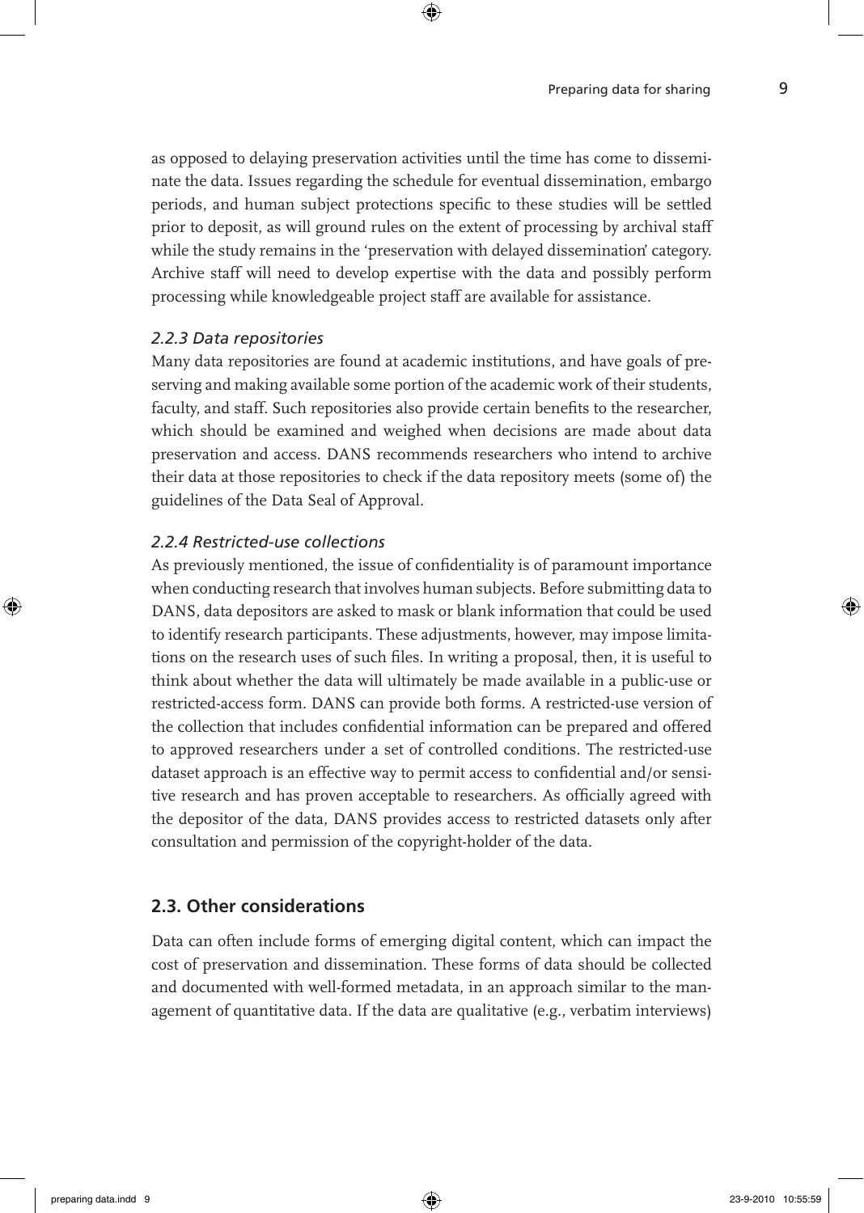as opposed to delaying preservation activities until the time has come to disseminate the data. Issues regarding the schedule for eventual dissemination, embargo periods, and human subject protections specific to these studies will be settled prior to deposit, as will ground rules on the extent of processing by archival staff while the study remains in the 'preservation with delayed dissemination' category. Archive staff will need to develop expertise with the data and possibly perform processing while knowledgeable project staff are available for assistance.

#### *2.2.3 Data repositories*

Many data repositories are found at academic institutions, and have goals of preserving and making available some portion of the academic work of their students, faculty, and staff. Such repositories also provide certain benefits to the researcher, which should be examined and weighed when decisions are made about data preservation and access. DANS recommends researchers who intend to archive their data at those repositories to check if the data repository meets (some of) the guidelines of the Data Seal of Approval.

#### *2.2.4 Restricted-use collections*

As previously mentioned, the issue of confidentiality is of paramount importance when conducting research that involves human subjects. Before submitting data to DANS, data depositors are asked to mask or blank information that could be used to identify research participants. These adjustments, however, may impose limitations on the research uses of such files. In writing a proposal, then, it is useful to think about whether the data will ultimately be made available in a public-use or restricted-access form. DANS can provide both forms. A restricted-use version of the collection that includes confidential information can be prepared and offered to approved researchers under a set of controlled conditions. The restricted-use dataset approach is an effective way to permit access to confidential and/or sensitive research and has proven acceptable to researchers. As officially agreed with the depositor of the data, DANS provides access to restricted datasets only after consultation and permission of the copyright-holder of the data.

#### **2.3. Other considerations**

Data can often include forms of emerging digital content, which can impact the cost of preservation and dissemination. These forms of data should be collected and documented with well-formed metadata, in an approach similar to the management of quantitative data. If the data are qualitative (e.g., verbatim interviews)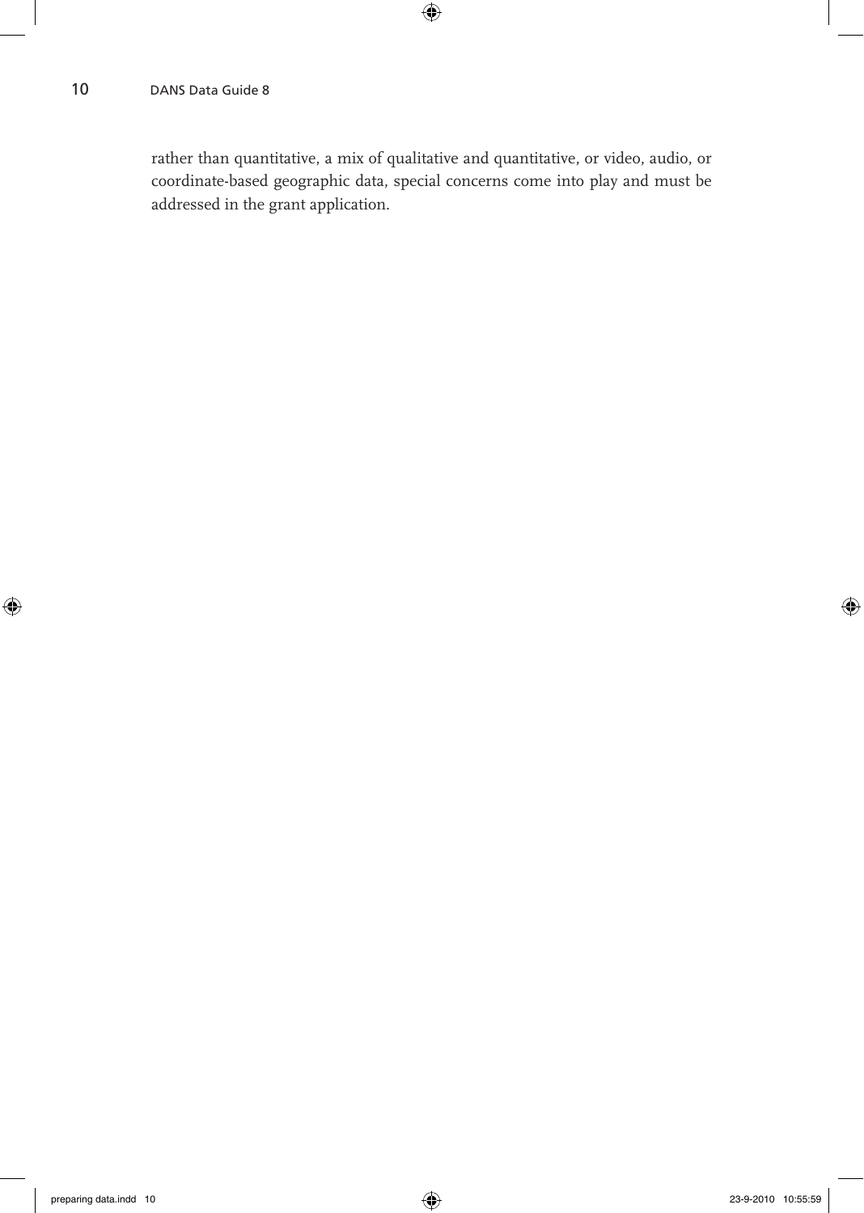rather than quantitative, a mix of qualitative and quantitative, or video, audio, or coordinate-based geographic data, special concerns come into play and must be addressed in the grant application.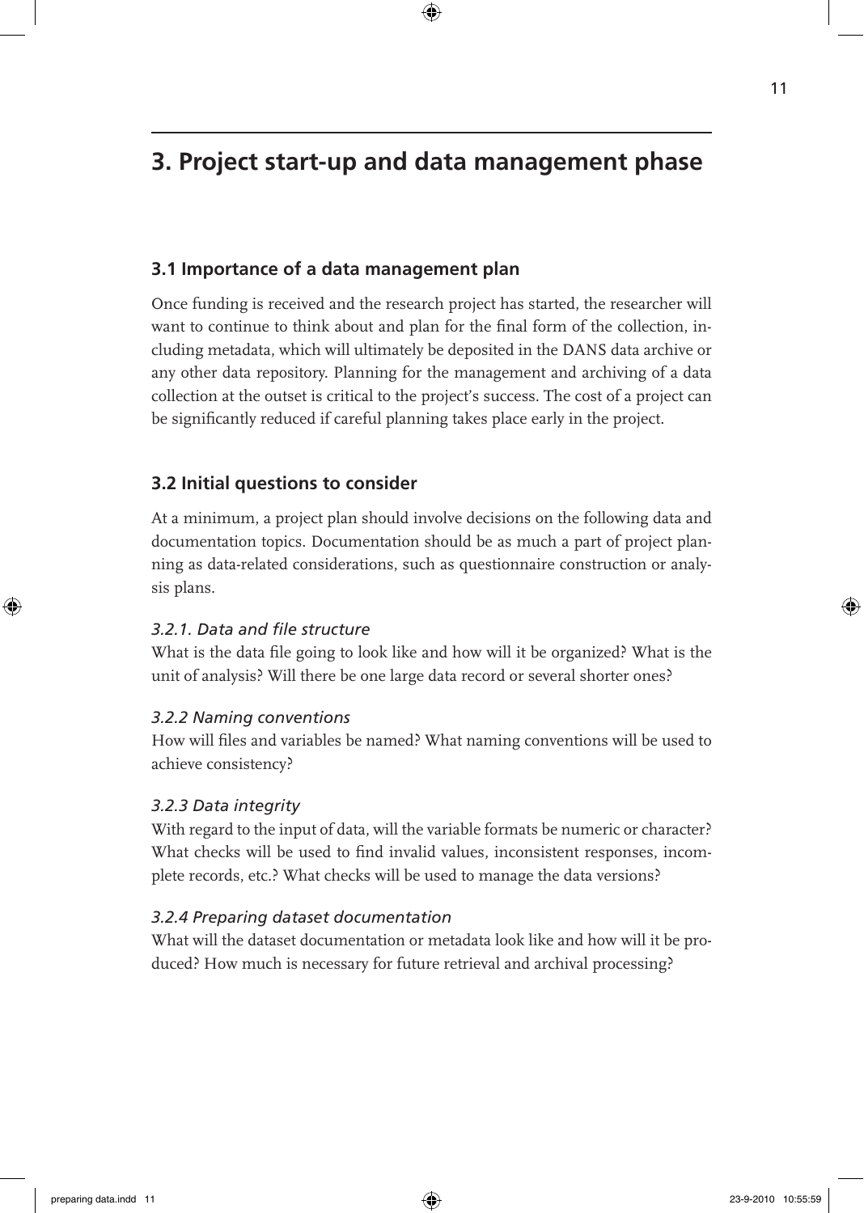# **3. Project start-up and data management phase**

# **3.1 Importance of a data management plan**

Once funding is received and the research project has started, the researcher will want to continue to think about and plan for the final form of the collection, including metadata, which will ultimately be deposited in the DANS data archive or any other data repository. Planning for the management and archiving of a data collection at the outset is critical to the project's success. The cost of a project can be significantly reduced if careful planning takes place early in the project.

# **3.2 Initial questions to consider**

At a minimum, a project plan should involve decisions on the following data and documentation topics. Documentation should be as much a part of project planning as data-related considerations, such as questionnaire construction or analysis plans.

# *3.2.1. Data and file structure*

What is the data file going to look like and how will it be organized? What is the unit of analysis? Will there be one large data record or several shorter ones?

# *3.2.2 Naming conventions*

How will files and variables be named? What naming conventions will be used to achieve consistency?

#### *3.2.3 Data integrity*

With regard to the input of data, will the variable formats be numeric or character? What checks will be used to find invalid values, inconsistent responses, incomplete records, etc.? What checks will be used to manage the data versions?

# *3.2.4 Preparing dataset documentation*

What will the dataset documentation or metadata look like and how will it be produced? How much is necessary for future retrieval and archival processing?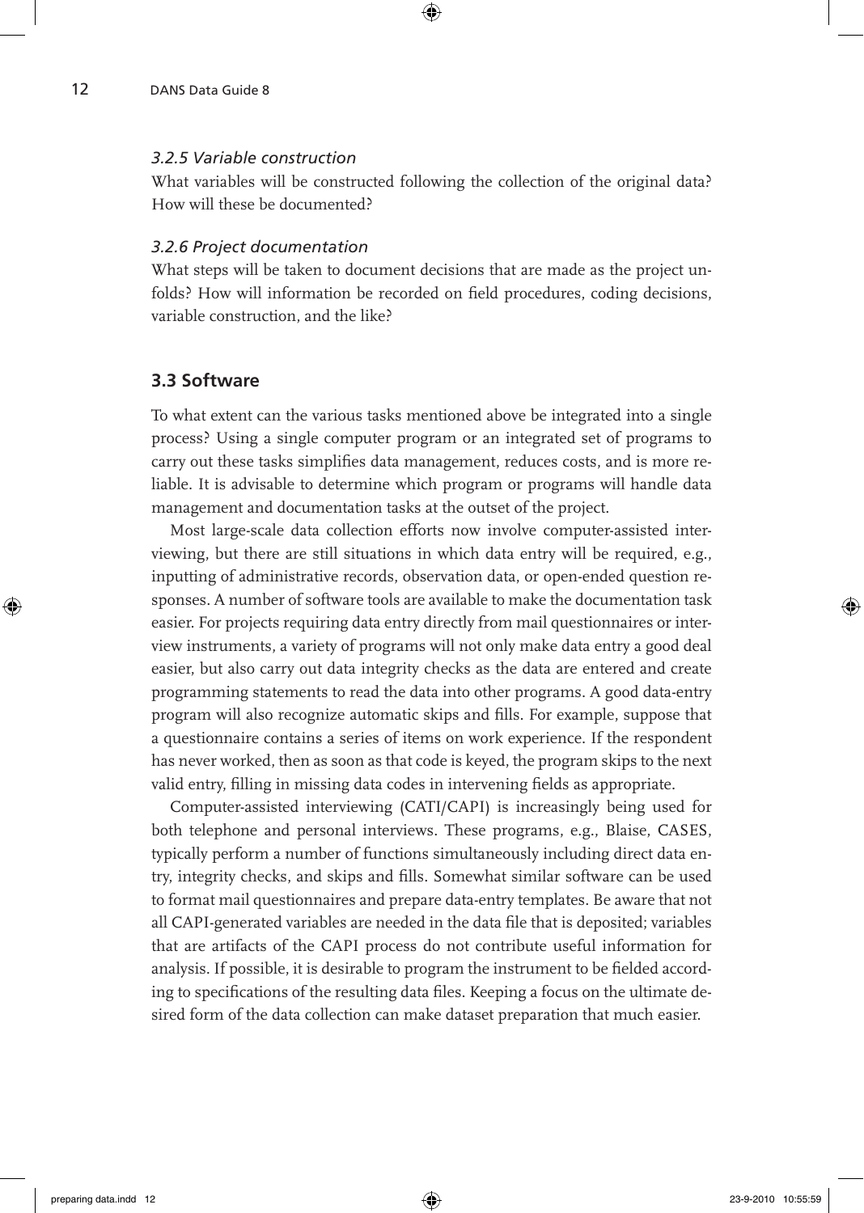#### *3.2.5 Variable construction*

What variables will be constructed following the collection of the original data? How will these be documented?

#### *3.2.6 Project documentation*

What steps will be taken to document decisions that are made as the project unfolds? How will information be recorded on field procedures, coding decisions, variable construction, and the like?

#### **3.3 Software**

To what extent can the various tasks mentioned above be integrated into a single process? Using a single computer program or an integrated set of programs to carry out these tasks simplifies data management, reduces costs, and is more reliable. It is advisable to determine which program or programs will handle data management and documentation tasks at the outset of the project.

Most large-scale data collection efforts now involve computer-assisted interviewing, but there are still situations in which data entry will be required, e.g., inputting of administrative records, observation data, or open-ended question responses. A number of software tools are available to make the documentation task easier. For projects requiring data entry directly from mail questionnaires or interview instruments, a variety of programs will not only make data entry a good deal easier, but also carry out data integrity checks as the data are entered and create programming statements to read the data into other programs. A good data-entry program will also recognize automatic skips and fills. For example, suppose that a questionnaire contains a series of items on work experience. If the respondent has never worked, then as soon as that code is keyed, the program skips to the next valid entry, filling in missing data codes in intervening fields as appropriate.

Computer-assisted interviewing (CATI/CAPI) is increasingly being used for both telephone and personal interviews. These programs, e.g., Blaise, CASES, typically perform a number of functions simultaneously including direct data entry, integrity checks, and skips and fills. Somewhat similar software can be used to format mail questionnaires and prepare data-entry templates. Be aware that not all CAPI-generated variables are needed in the data file that is deposited; variables that are artifacts of the CAPI process do not contribute useful information for analysis. If possible, it is desirable to program the instrument to be fielded according to specifications of the resulting data files. Keeping a focus on the ultimate desired form of the data collection can make dataset preparation that much easier.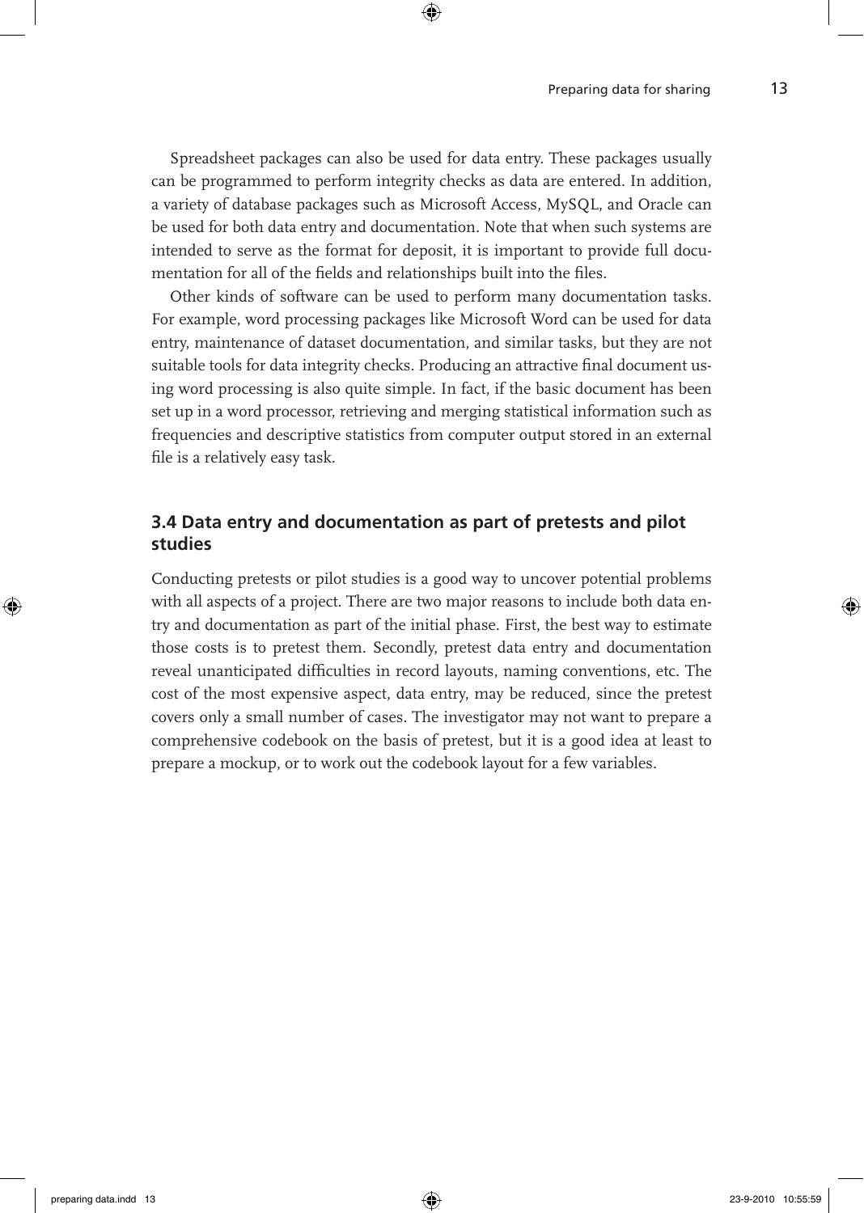Spreadsheet packages can also be used for data entry. These packages usually can be programmed to perform integrity checks as data are entered. In addition, a variety of database packages such as Microsoft Access, MySQL, and Oracle can be used for both data entry and documentation. Note that when such systems are intended to serve as the format for deposit, it is important to provide full documentation for all of the fields and relationships built into the files.

Other kinds of software can be used to perform many documentation tasks. For example, word processing packages like Microsoft Word can be used for data entry, maintenance of dataset documentation, and similar tasks, but they are not suitable tools for data integrity checks. Producing an attractive final document using word processing is also quite simple. In fact, if the basic document has been set up in a word processor, retrieving and merging statistical information such as frequencies and descriptive statistics from computer output stored in an external file is a relatively easy task.

# **3.4 Data entry and documentation as part of pretests and pilot studies**

Conducting pretests or pilot studies is a good way to uncover potential problems with all aspects of a project. There are two major reasons to include both data entry and documentation as part of the initial phase. First, the best way to estimate those costs is to pretest them. Secondly, pretest data entry and documentation reveal unanticipated difficulties in record layouts, naming conventions, etc. The cost of the most expensive aspect, data entry, may be reduced, since the pretest covers only a small number of cases. The investigator may not want to prepare a comprehensive codebook on the basis of pretest, but it is a good idea at least to prepare a mockup, or to work out the codebook layout for a few variables.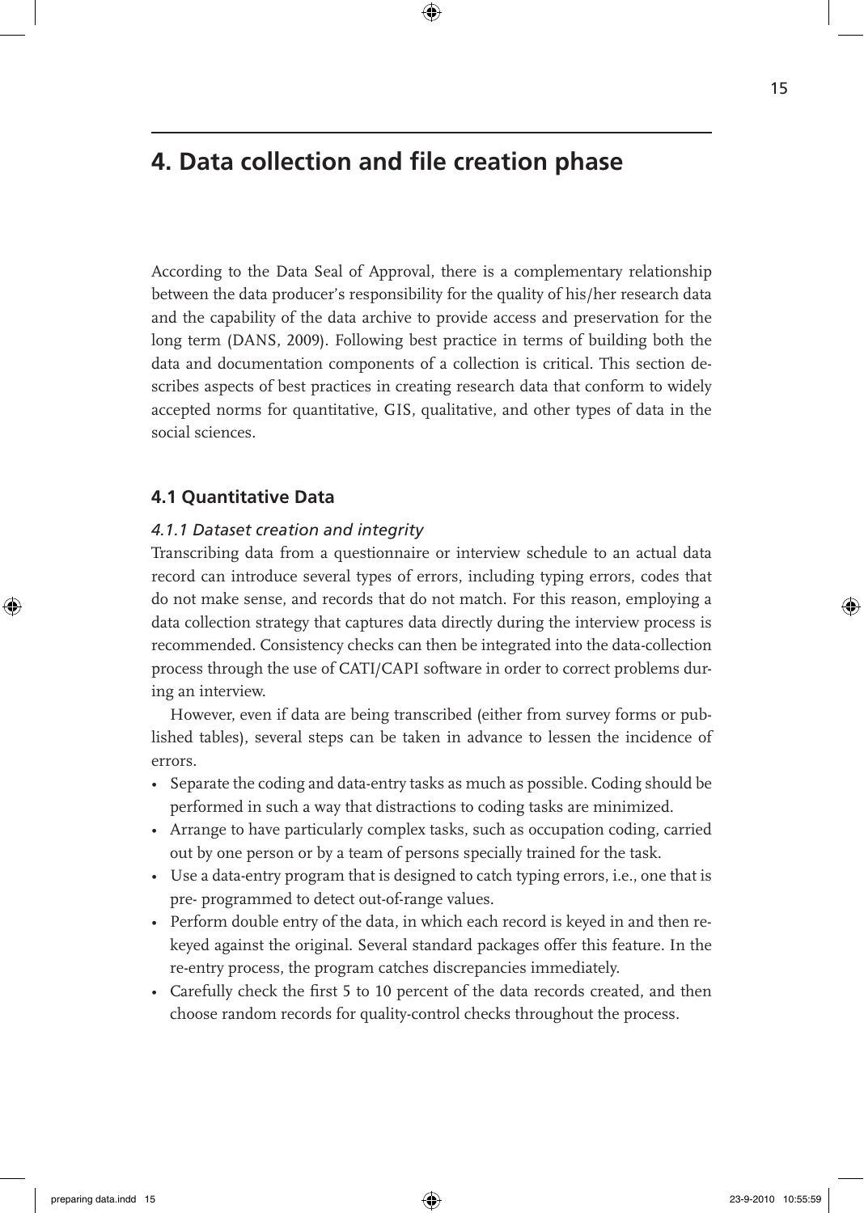# **4. Data collection and file creation phase**

According to the Data Seal of Approval, there is a complementary relationship between the data producer's responsibility for the quality of his/her research data and the capability of the data archive to provide access and preservation for the long term (DANS, 2009). Following best practice in terms of building both the data and documentation components of a collection is critical. This section describes aspects of best practices in creating research data that conform to widely accepted norms for quantitative, GIS, qualitative, and other types of data in the social sciences.

# **4.1 Quantitative Data**

#### *4.1.1 Dataset creation and integrity*

Transcribing data from a questionnaire or interview schedule to an actual data record can introduce several types of errors, including typing errors, codes that do not make sense, and records that do not match. For this reason, employing a data collection strategy that captures data directly during the interview process is recommended. Consistency checks can then be integrated into the data-collection process through the use of CATI/CAPI software in order to correct problems during an interview.

However, even if data are being transcribed (either from survey forms or published tables), several steps can be taken in advance to lessen the incidence of errors.

- • Separate the coding and data-entry tasks as much as possible. Coding should be performed in such a way that distractions to coding tasks are minimized.
- Arrange to have particularly complex tasks, such as occupation coding, carried out by one person or by a team of persons specially trained for the task.
- Use a data-entry program that is designed to catch typing errors, i.e., one that is pre- programmed to detect out-of-range values.
- • Perform double entry of the data, in which each record is keyed in and then rekeyed against the original. Several standard packages offer this feature. In the re-entry process, the program catches discrepancies immediately.
- • Carefully check the first 5 to 10 percent of the data records created, and then choose random records for quality-control checks throughout the process.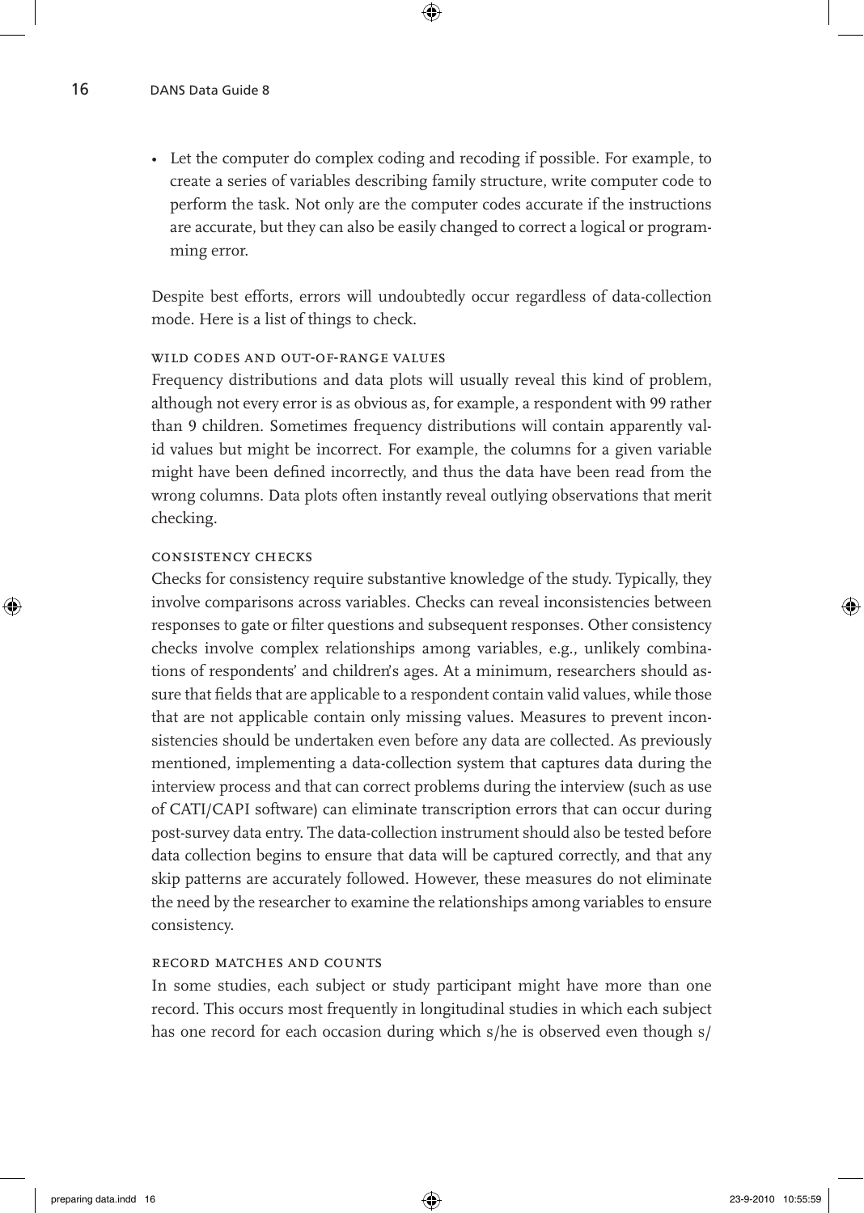• Let the computer do complex coding and recoding if possible. For example, to create a series of variables describing family structure, write computer code to perform the task. Not only are the computer codes accurate if the instructions are accurate, but they can also be easily changed to correct a logical or programming error.

Despite best efforts, errors will undoubtedly occur regardless of data-collection mode. Here is a list of things to check.

#### WILD CODES AND OUT-OF-RANGE VALUES

Frequency distributions and data plots will usually reveal this kind of problem, although not every error is as obvious as, for example, a respondent with 99 rather than 9 children. Sometimes frequency distributions will contain apparently valid values but might be incorrect. For example, the columns for a given variable might have been defined incorrectly, and thus the data have been read from the wrong columns. Data plots often instantly reveal outlying observations that merit checking.

#### consistency checks

Checks for consistency require substantive knowledge of the study. Typically, they involve comparisons across variables. Checks can reveal inconsistencies between responses to gate or filter questions and subsequent responses. Other consistency checks involve complex relationships among variables, e.g., unlikely combinations of respondents' and children's ages. At a minimum, researchers should assure that fields that are applicable to a respondent contain valid values, while those that are not applicable contain only missing values. Measures to prevent inconsistencies should be undertaken even before any data are collected. As previously mentioned, implementing a data-collection system that captures data during the interview process and that can correct problems during the interview (such as use of CATI/CAPI software) can eliminate transcription errors that can occur during post-survey data entry. The data-collection instrument should also be tested before data collection begins to ensure that data will be captured correctly, and that any skip patterns are accurately followed. However, these measures do not eliminate the need by the researcher to examine the relationships among variables to ensure consistency.

#### record matches and counts

In some studies, each subject or study participant might have more than one record. This occurs most frequently in longitudinal studies in which each subject has one record for each occasion during which s/he is observed even though s/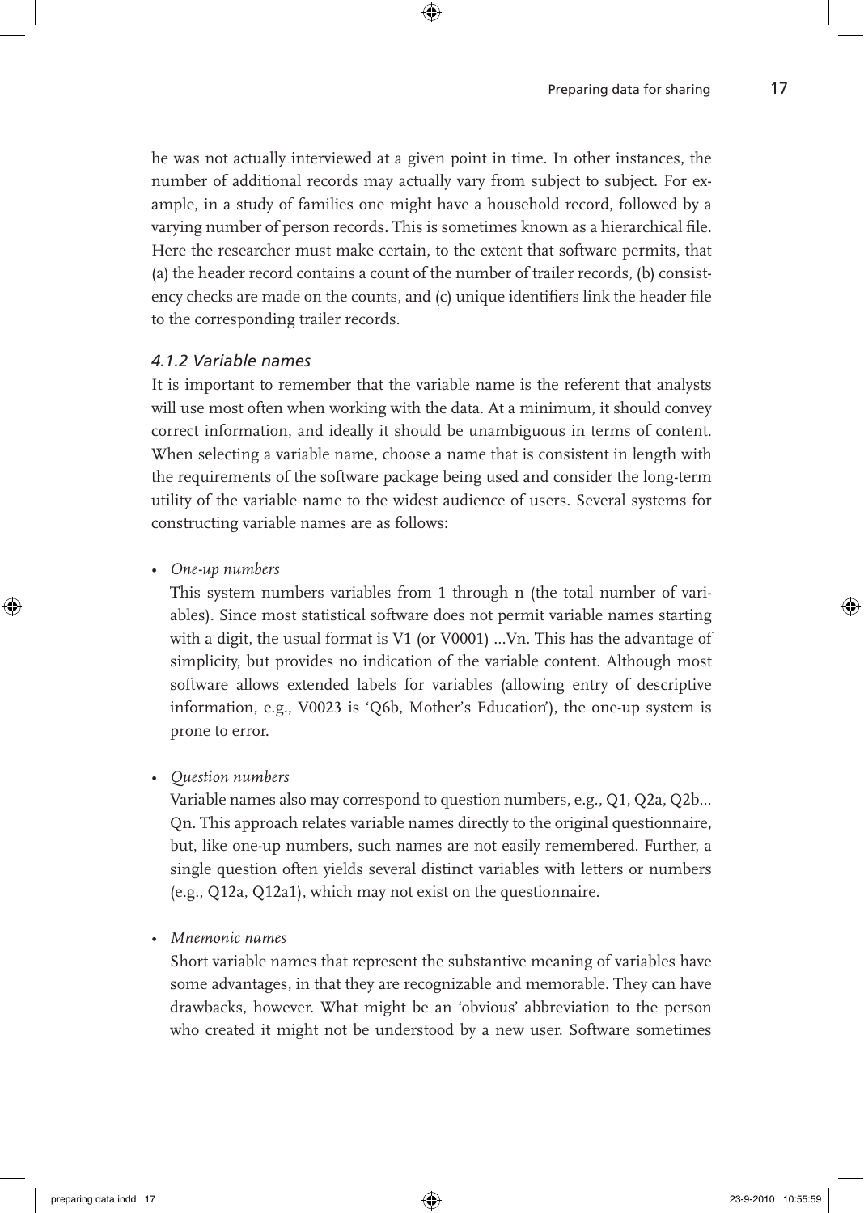he was not actually interviewed at a given point in time. In other instances, the number of additional records may actually vary from subject to subject. For example, in a study of families one might have a household record, followed by a varying number of person records. This is sometimes known as a hierarchical file. Here the researcher must make certain, to the extent that software permits, that (a) the header record contains a count of the number of trailer records, (b) consistency checks are made on the counts, and (c) unique identifiers link the header file to the corresponding trailer records.

#### *4.1.2 Variable names*

It is important to remember that the variable name is the referent that analysts will use most often when working with the data. At a minimum, it should convey correct information, and ideally it should be unambiguous in terms of content. When selecting a variable name, choose a name that is consistent in length with the requirements of the software package being used and consider the long-term utility of the variable name to the widest audience of users. Several systems for constructing variable names are as follows:

#### *• One-up numbers*

This system numbers variables from 1 through n (the total number of variables). Since most statistical software does not permit variable names starting with a digit, the usual format is V1 (or V0001) ...Vn. This has the advantage of simplicity, but provides no indication of the variable content. Although most software allows extended labels for variables (allowing entry of descriptive information, e.g., V0023 is 'Q6b, Mother's Education'), the one-up system is prone to error.

#### *• Question numbers*

Variable names also may correspond to question numbers, e.g., Q1, Q2a, Q2b... Qn. This approach relates variable names directly to the original questionnaire, but, like one-up numbers, such names are not easily remembered. Further, a single question often yields several distinct variables with letters or numbers (e.g., Q12a, Q12a1), which may not exist on the questionnaire.

#### *• Mnemonic names*

Short variable names that represent the substantive meaning of variables have some advantages, in that they are recognizable and memorable. They can have drawbacks, however. What might be an 'obvious' abbreviation to the person who created it might not be understood by a new user. Software sometimes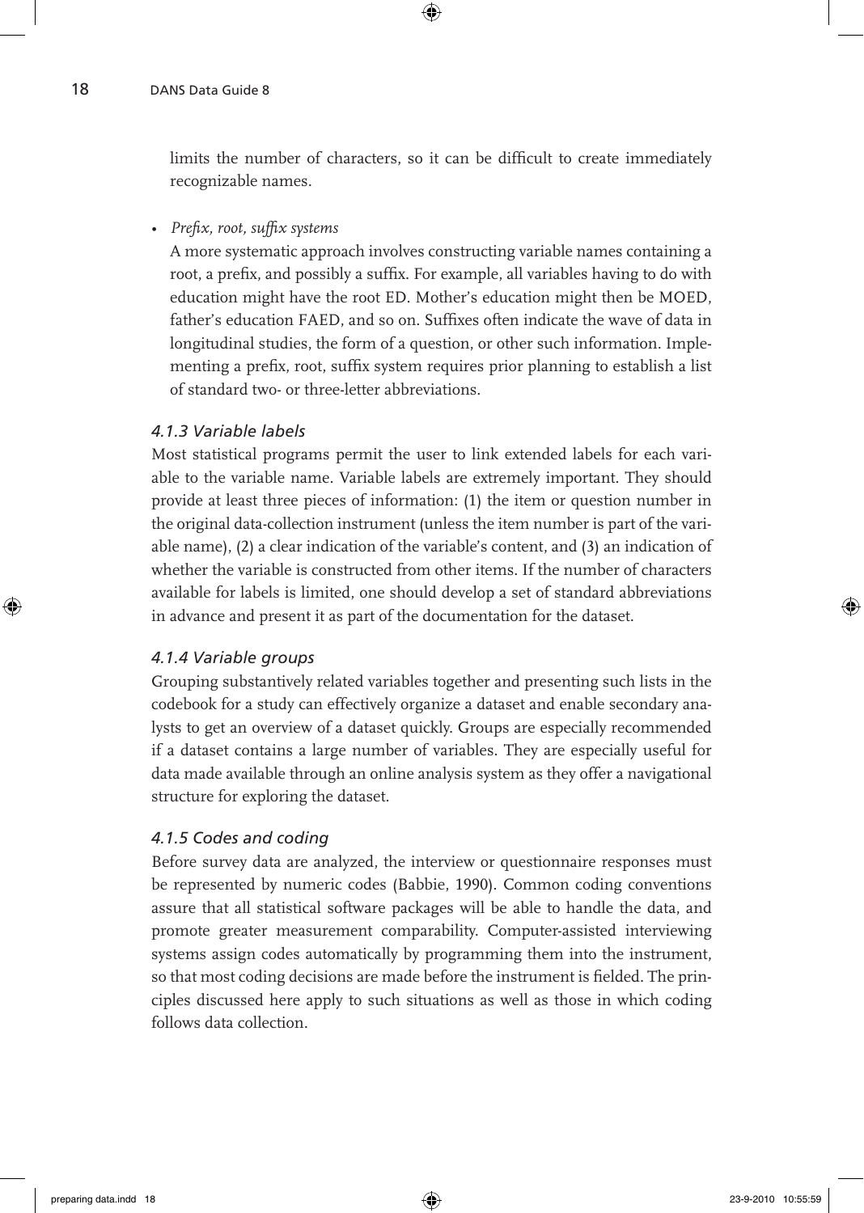limits the number of characters, so it can be difficult to create immediately recognizable names.

*• Prefix, root, suffix systems*

A more systematic approach involves constructing variable names containing a root, a prefix, and possibly a suffix. For example, all variables having to do with education might have the root ED. Mother's education might then be MOED, father's education FAED, and so on. Suffixes often indicate the wave of data in longitudinal studies, the form of a question, or other such information. Implementing a prefix, root, suffix system requires prior planning to establish a list of standard two- or three-letter abbreviations.

# *4.1.3 Variable labels*

Most statistical programs permit the user to link extended labels for each variable to the variable name. Variable labels are extremely important. They should provide at least three pieces of information: (1) the item or question number in the original data-collection instrument (unless the item number is part of the variable name), (2) a clear indication of the variable's content, and (3) an indication of whether the variable is constructed from other items. If the number of characters available for labels is limited, one should develop a set of standard abbreviations in advance and present it as part of the documentation for the dataset.

# *4.1.4 Variable groups*

Grouping substantively related variables together and presenting such lists in the codebook for a study can effectively organize a dataset and enable secondary analysts to get an overview of a dataset quickly. Groups are especially recommended if a dataset contains a large number of variables. They are especially useful for data made available through an online analysis system as they offer a navigational structure for exploring the dataset.

# *4.1.5 Codes and coding*

Before survey data are analyzed, the interview or questionnaire responses must be represented by numeric codes (Babbie, 1990). Common coding conventions assure that all statistical software packages will be able to handle the data, and promote greater measurement comparability. Computer-assisted interviewing systems assign codes automatically by programming them into the instrument, so that most coding decisions are made before the instrument is fielded. The principles discussed here apply to such situations as well as those in which coding follows data collection.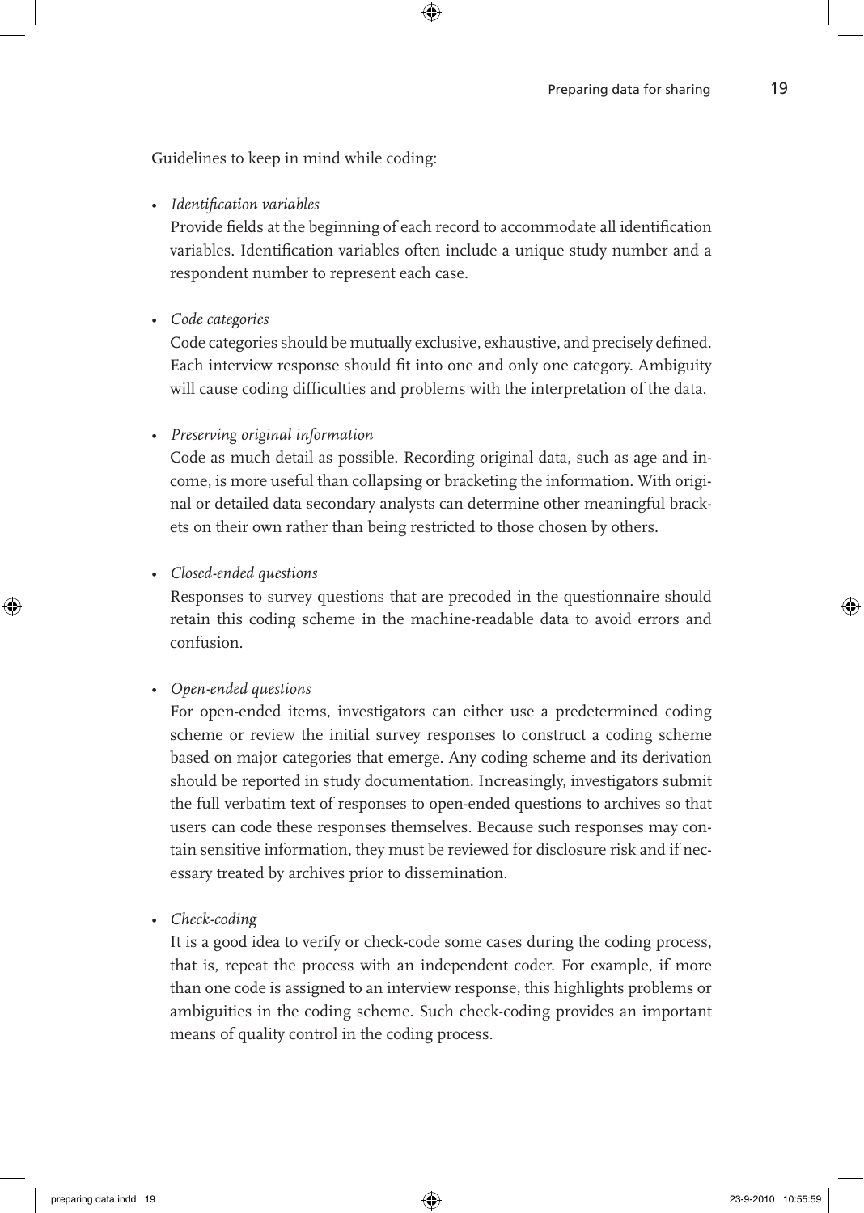Guidelines to keep in mind while coding:

*• Identification variables* 

Provide fields at the beginning of each record to accommodate all identification variables. Identification variables often include a unique study number and a respondent number to represent each case.

*• Code categories*

Code categories should be mutually exclusive, exhaustive, and precisely defined. Each interview response should fit into one and only one category. Ambiguity will cause coding difficulties and problems with the interpretation of the data.

# *• Preserving original information*

Code as much detail as possible. Recording original data, such as age and income, is more useful than collapsing or bracketing the information. With original or detailed data secondary analysts can determine other meaningful brackets on their own rather than being restricted to those chosen by others.

*• Closed-ended questions*

Responses to survey questions that are precoded in the questionnaire should retain this coding scheme in the machine-readable data to avoid errors and confusion.

*• Open-ended questions* 

For open-ended items, investigators can either use a predetermined coding scheme or review the initial survey responses to construct a coding scheme based on major categories that emerge. Any coding scheme and its derivation should be reported in study documentation. Increasingly, investigators submit the full verbatim text of responses to open-ended questions to archives so that users can code these responses themselves. Because such responses may contain sensitive information, they must be reviewed for disclosure risk and if necessary treated by archives prior to dissemination.

*• Check-coding* 

It is a good idea to verify or check-code some cases during the coding process, that is, repeat the process with an independent coder. For example, if more than one code is assigned to an interview response, this highlights problems or ambiguities in the coding scheme. Such check-coding provides an important means of quality control in the coding process.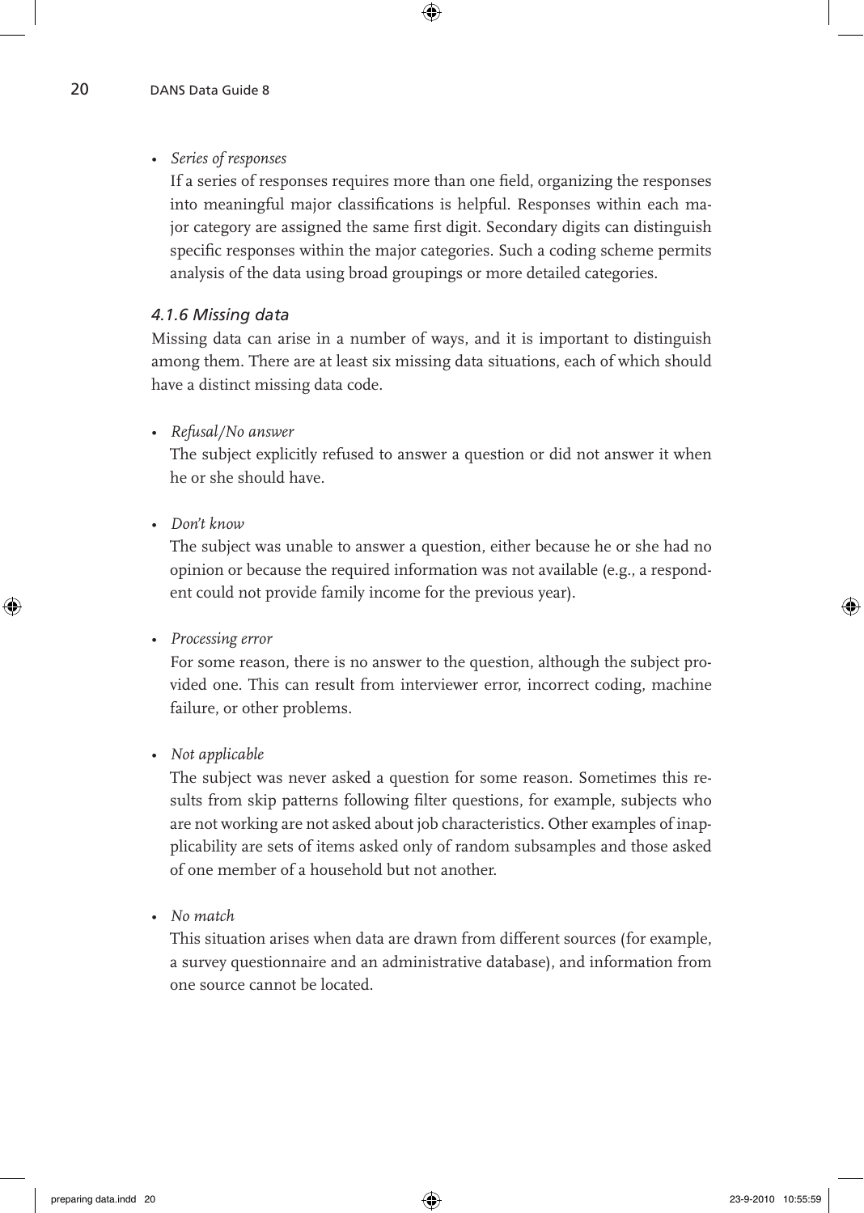# *• Series of responses*

If a series of responses requires more than one field, organizing the responses into meaningful major classifications is helpful. Responses within each major category are assigned the same first digit. Secondary digits can distinguish specific responses within the major categories. Such a coding scheme permits analysis of the data using broad groupings or more detailed categories.

# *4.1.6 Missing data*

Missing data can arise in a number of ways, and it is important to distinguish among them. There are at least six missing data situations, each of which should have a distinct missing data code.

# *• Refusal/No answer*

The subject explicitly refused to answer a question or did not answer it when he or she should have.

*• Don't know* 

The subject was unable to answer a question, either because he or she had no opinion or because the required information was not available (e.g., a respondent could not provide family income for the previous year).

*• Processing error* 

For some reason, there is no answer to the question, although the subject provided one. This can result from interviewer error, incorrect coding, machine failure, or other problems.

*• Not applicable* 

The subject was never asked a question for some reason. Sometimes this results from skip patterns following filter questions, for example, subjects who are not working are not asked about job characteristics. Other examples of inapplicability are sets of items asked only of random subsamples and those asked of one member of a household but not another.

*• No match* 

This situation arises when data are drawn from different sources (for example, a survey questionnaire and an administrative database), and information from one source cannot be located.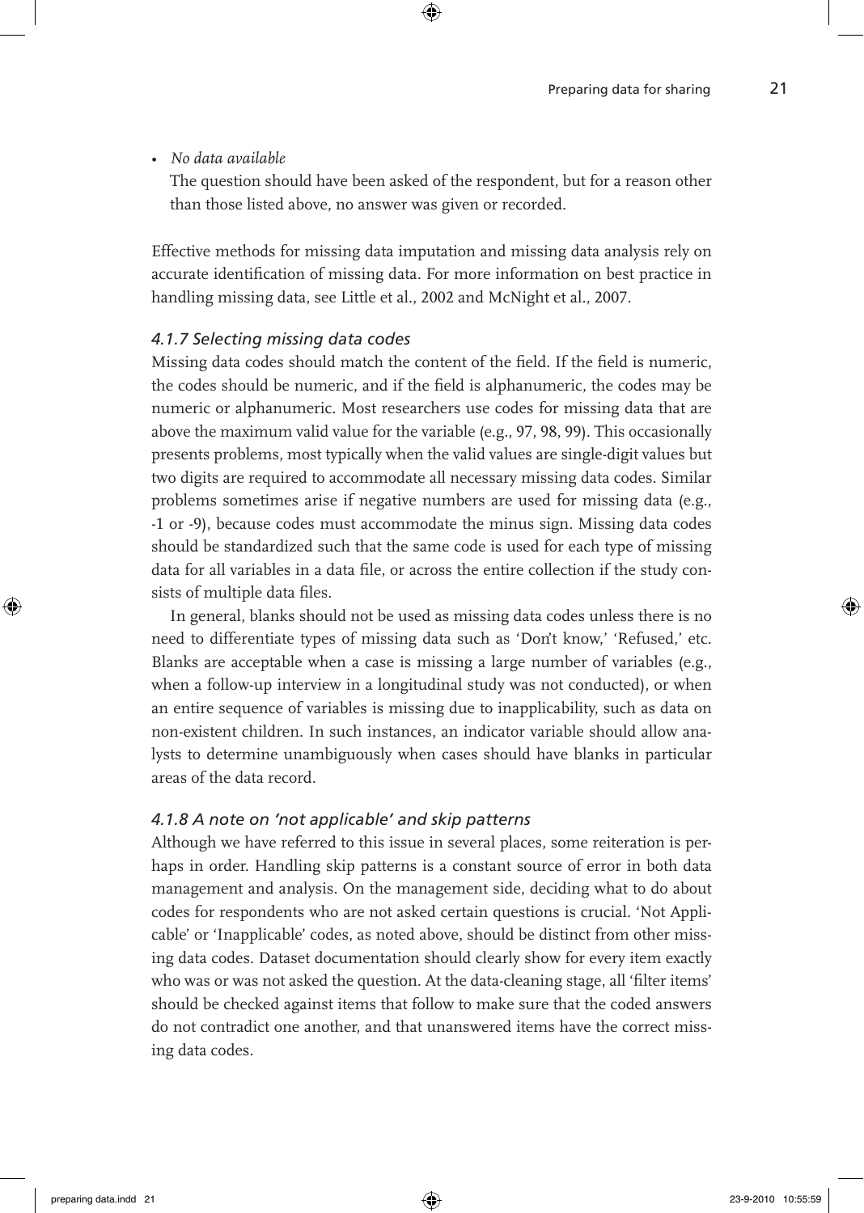*• No data available*

The question should have been asked of the respondent, but for a reason other than those listed above, no answer was given or recorded.

Effective methods for missing data imputation and missing data analysis rely on accurate identification of missing data. For more information on best practice in handling missing data, see Little et al., 2002 and McNight et al., 2007.

#### *4.1.7 Selecting missing data codes*

Missing data codes should match the content of the field. If the field is numeric, the codes should be numeric, and if the field is alphanumeric, the codes may be numeric or alphanumeric. Most researchers use codes for missing data that are above the maximum valid value for the variable (e.g., 97, 98, 99). This occasionally presents problems, most typically when the valid values are single-digit values but two digits are required to accommodate all necessary missing data codes. Similar problems sometimes arise if negative numbers are used for missing data (e.g., -1 or -9), because codes must accommodate the minus sign. Missing data codes should be standardized such that the same code is used for each type of missing data for all variables in a data file, or across the entire collection if the study consists of multiple data files.

In general, blanks should not be used as missing data codes unless there is no need to differentiate types of missing data such as 'Don't know,' 'Refused,' etc. Blanks are acceptable when a case is missing a large number of variables (e.g., when a follow-up interview in a longitudinal study was not conducted), or when an entire sequence of variables is missing due to inapplicability, such as data on non-existent children. In such instances, an indicator variable should allow analysts to determine unambiguously when cases should have blanks in particular areas of the data record.

#### *4.1.8 A note on 'not applicable' and skip patterns*

Although we have referred to this issue in several places, some reiteration is perhaps in order. Handling skip patterns is a constant source of error in both data management and analysis. On the management side, deciding what to do about codes for respondents who are not asked certain questions is crucial. 'Not Applicable' or 'Inapplicable' codes, as noted above, should be distinct from other missing data codes. Dataset documentation should clearly show for every item exactly who was or was not asked the question. At the data-cleaning stage, all 'filter items' should be checked against items that follow to make sure that the coded answers do not contradict one another, and that unanswered items have the correct missing data codes.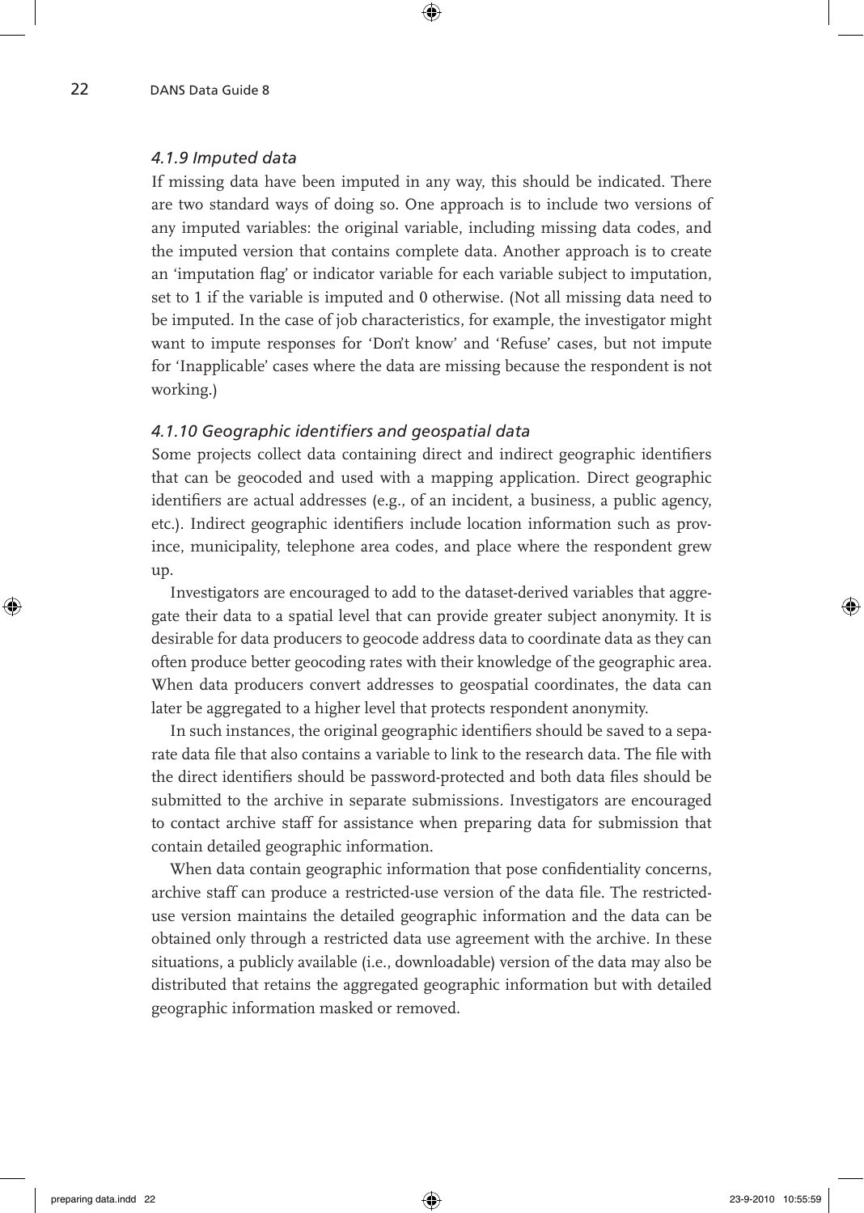#### *4.1.9 Imputed data*

If missing data have been imputed in any way, this should be indicated. There are two standard ways of doing so. One approach is to include two versions of any imputed variables: the original variable, including missing data codes, and the imputed version that contains complete data. Another approach is to create an 'imputation flag' or indicator variable for each variable subject to imputation, set to 1 if the variable is imputed and 0 otherwise. (Not all missing data need to be imputed. In the case of job characteristics, for example, the investigator might want to impute responses for 'Don't know' and 'Refuse' cases, but not impute for 'Inapplicable' cases where the data are missing because the respondent is not working.)

#### *4.1.10 Geographic identifiers and geospatial data*

Some projects collect data containing direct and indirect geographic identifiers that can be geocoded and used with a mapping application. Direct geographic identifiers are actual addresses (e.g., of an incident, a business, a public agency, etc.). Indirect geographic identifiers include location information such as province, municipality, telephone area codes, and place where the respondent grew up.

Investigators are encouraged to add to the dataset-derived variables that aggregate their data to a spatial level that can provide greater subject anonymity. It is desirable for data producers to geocode address data to coordinate data as they can often produce better geocoding rates with their knowledge of the geographic area. When data producers convert addresses to geospatial coordinates, the data can later be aggregated to a higher level that protects respondent anonymity.

In such instances, the original geographic identifiers should be saved to a separate data file that also contains a variable to link to the research data. The file with the direct identifiers should be password-protected and both data files should be submitted to the archive in separate submissions. Investigators are encouraged to contact archive staff for assistance when preparing data for submission that contain detailed geographic information.

When data contain geographic information that pose confidentiality concerns, archive staff can produce a restricted-use version of the data file. The restricteduse version maintains the detailed geographic information and the data can be obtained only through a restricted data use agreement with the archive. In these situations, a publicly available (i.e., downloadable) version of the data may also be distributed that retains the aggregated geographic information but with detailed geographic information masked or removed.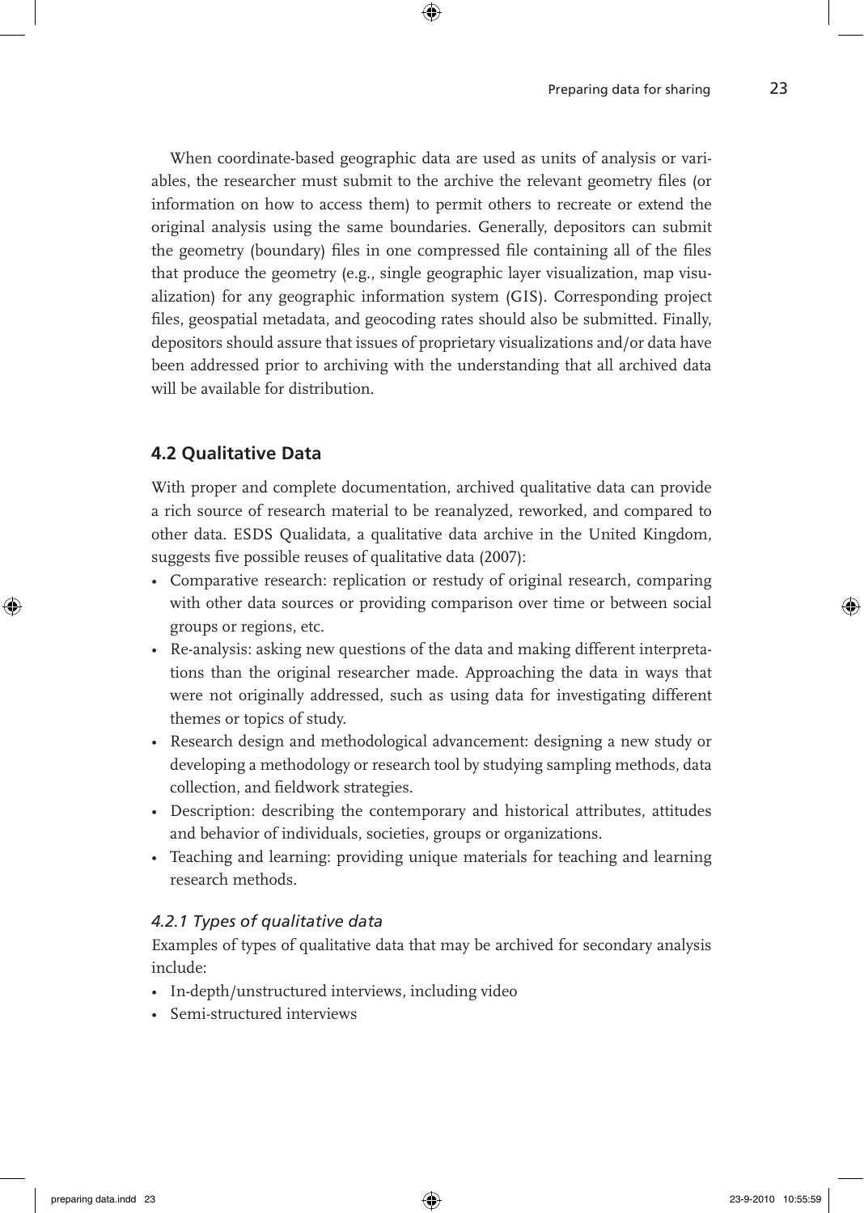When coordinate-based geographic data are used as units of analysis or variables, the researcher must submit to the archive the relevant geometry files (or information on how to access them) to permit others to recreate or extend the original analysis using the same boundaries. Generally, depositors can submit the geometry (boundary) files in one compressed file containing all of the files that produce the geometry (e.g., single geographic layer visualization, map visualization) for any geographic information system (GIS). Corresponding project files, geospatial metadata, and geocoding rates should also be submitted. Finally, depositors should assure that issues of proprietary visualizations and/or data have been addressed prior to archiving with the understanding that all archived data will be available for distribution.

# **4.2 Qualitative Data**

With proper and complete documentation, archived qualitative data can provide a rich source of research material to be reanalyzed, reworked, and compared to other data. ESDS Qualidata, a qualitative data archive in the United Kingdom, suggests five possible reuses of qualitative data (2007):

- Comparative research: replication or restudy of original research, comparing with other data sources or providing comparison over time or between social groups or regions, etc.
- • Re-analysis: asking new questions of the data and making different interpretations than the original researcher made. Approaching the data in ways that were not originally addressed, such as using data for investigating different themes or topics of study.
- • Research design and methodological advancement: designing a new study or developing a methodology or research tool by studying sampling methods, data collection, and fieldwork strategies.
- Description: describing the contemporary and historical attributes, attitudes and behavior of individuals, societies, groups or organizations.
- Teaching and learning: providing unique materials for teaching and learning research methods.

# *4.2.1 Types of qualitative data*

Examples of types of qualitative data that may be archived for secondary analysis include:

- • In-depth/unstructured interviews, including video
- • Semi-structured interviews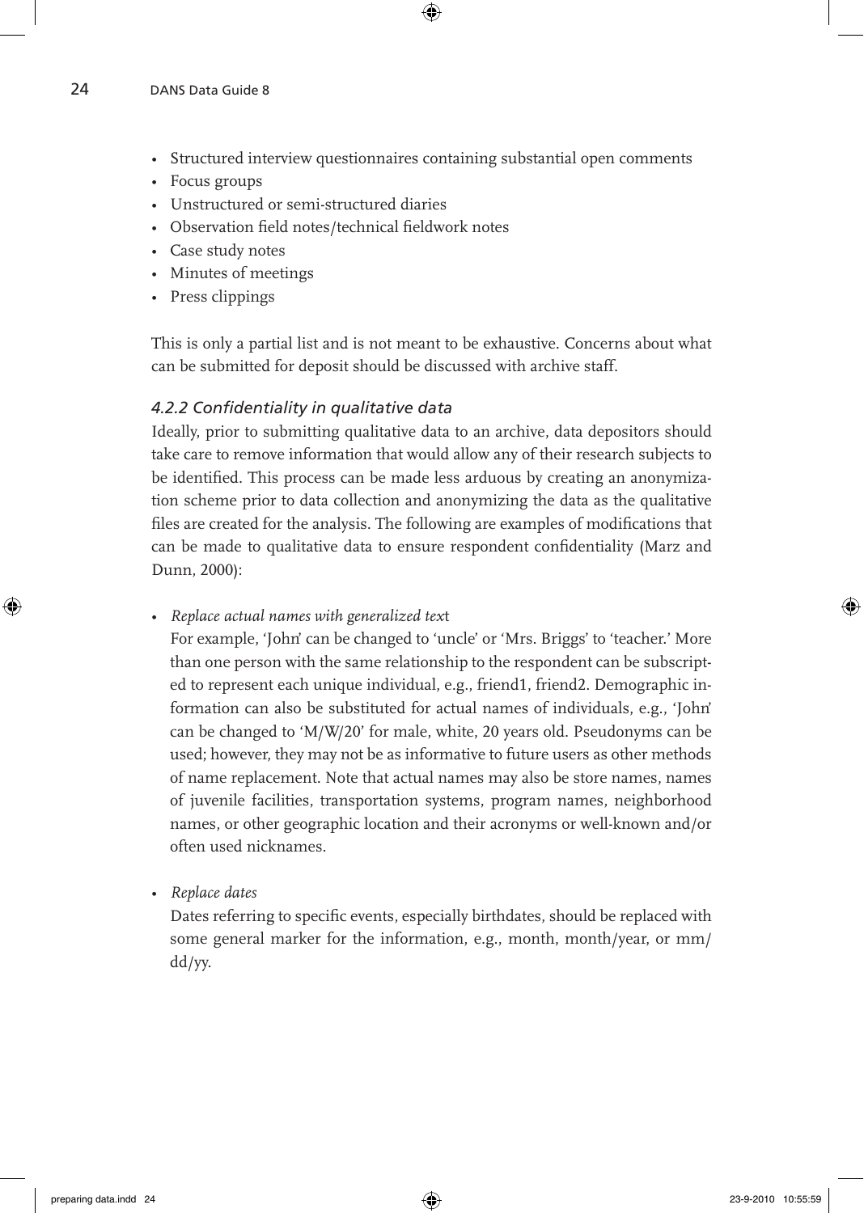- Structured interview questionnaires containing substantial open comments
- Focus groups
- • Unstructured or semi-structured diaries
- • Observation field notes/technical fieldwork notes
- Case study notes
- • Minutes of meetings
- Press clippings

This is only a partial list and is not meant to be exhaustive. Concerns about what can be submitted for deposit should be discussed with archive staff.

# *4.2.2 Confidentiality in qualitative data*

Ideally, prior to submitting qualitative data to an archive, data depositors should take care to remove information that would allow any of their research subjects to be identified. This process can be made less arduous by creating an anonymization scheme prior to data collection and anonymizing the data as the qualitative files are created for the analysis. The following are examples of modifications that can be made to qualitative data to ensure respondent confidentiality (Marz and Dunn, 2000):

*• Replace actual names with generalized tex*t

For example, 'John' can be changed to 'uncle' or 'Mrs. Briggs' to 'teacher.' More than one person with the same relationship to the respondent can be subscripted to represent each unique individual, e.g., friend1, friend2. Demographic information can also be substituted for actual names of individuals, e.g., 'John' can be changed to 'M/W/20' for male, white, 20 years old. Pseudonyms can be used; however, they may not be as informative to future users as other methods of name replacement. Note that actual names may also be store names, names of juvenile facilities, transportation systems, program names, neighborhood names, or other geographic location and their acronyms or well-known and/or often used nicknames.

*• Replace dates* 

Dates referring to specific events, especially birthdates, should be replaced with some general marker for the information, e.g., month, month/year, or mm/ dd/yy.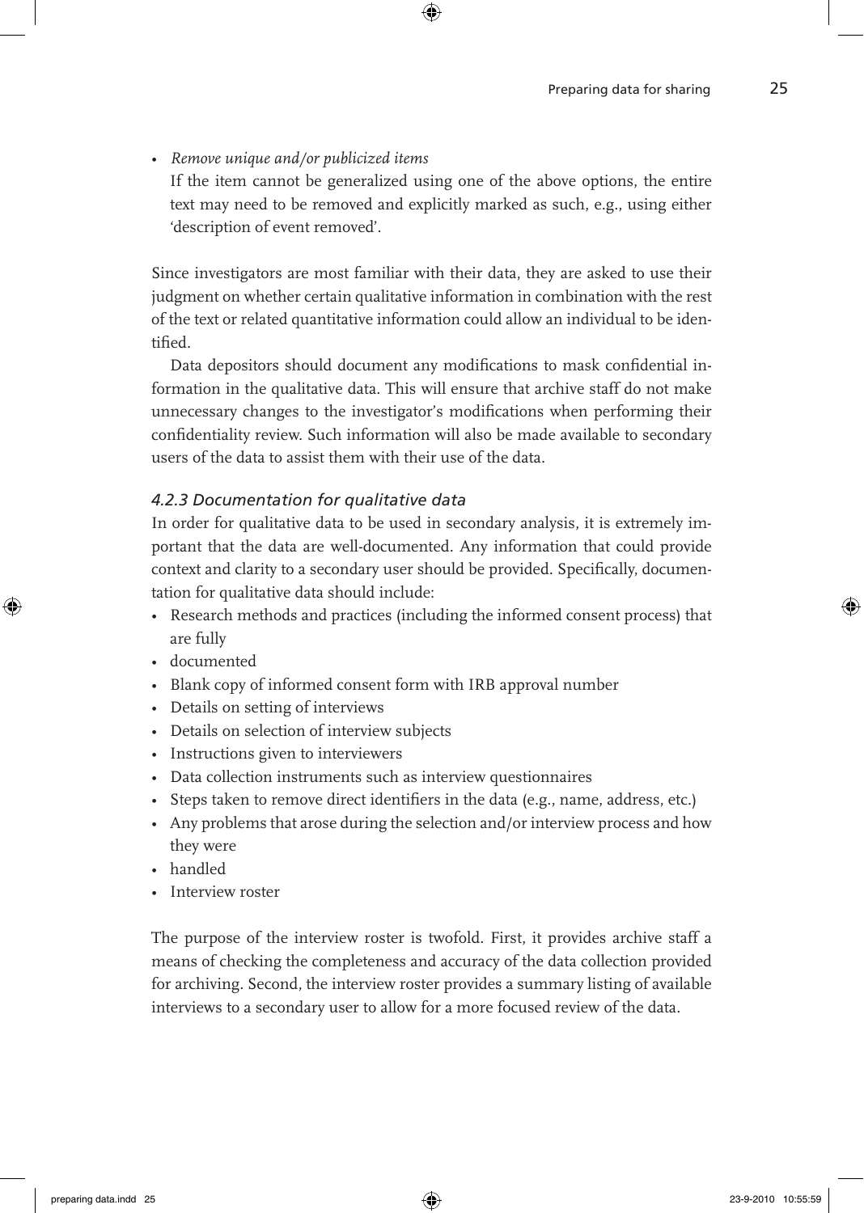*• Remove unique and/or publicized items* 

If the item cannot be generalized using one of the above options, the entire text may need to be removed and explicitly marked as such, e.g., using either 'description of event removed'.

Since investigators are most familiar with their data, they are asked to use their judgment on whether certain qualitative information in combination with the rest of the text or related quantitative information could allow an individual to be identified.

Data depositors should document any modifications to mask confidential information in the qualitative data. This will ensure that archive staff do not make unnecessary changes to the investigator's modifications when performing their confidentiality review. Such information will also be made available to secondary users of the data to assist them with their use of the data.

#### *4.2.3 Documentation for qualitative data*

In order for qualitative data to be used in secondary analysis, it is extremely important that the data are well-documented. Any information that could provide context and clarity to a secondary user should be provided. Specifically, documentation for qualitative data should include:

- • Research methods and practices (including the informed consent process) that are fully
- • documented
- Blank copy of informed consent form with IRB approval number
- • Details on setting of interviews
- • Details on selection of interview subjects
- • Instructions given to interviewers
- Data collection instruments such as interview questionnaires
- Steps taken to remove direct identifiers in the data (e.g., name, address, etc.)
- Any problems that arose during the selection and/or interview process and how they were
- • handled
- • Interview roster

The purpose of the interview roster is twofold. First, it provides archive staff a means of checking the completeness and accuracy of the data collection provided for archiving. Second, the interview roster provides a summary listing of available interviews to a secondary user to allow for a more focused review of the data.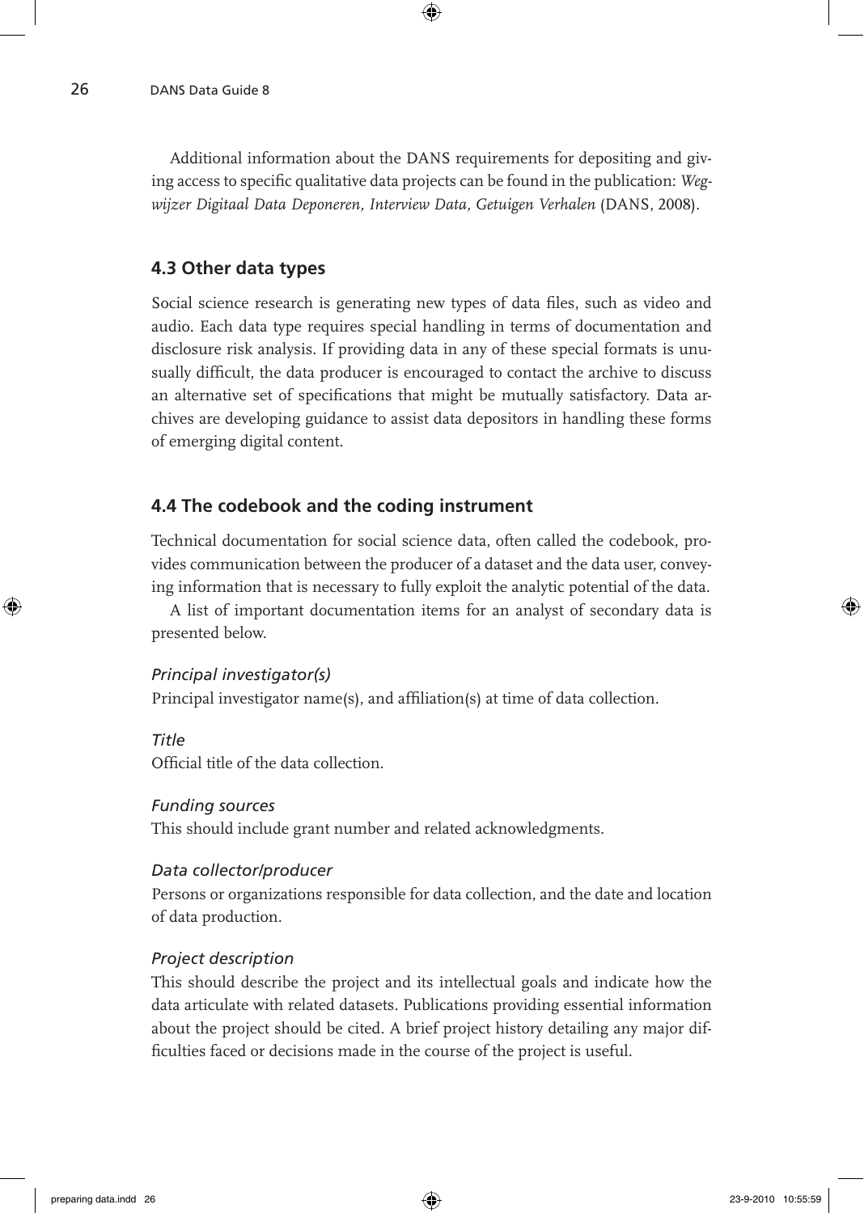Additional information about the DANS requirements for depositing and giving access to specific qualitative data projects can be found in the publication: *Wegwijzer Digitaal Data Deponeren, Interview Data, Getuigen Verhalen* (DANS, 2008).

# **4.3 Other data types**

Social science research is generating new types of data files, such as video and audio. Each data type requires special handling in terms of documentation and disclosure risk analysis. If providing data in any of these special formats is unusually difficult, the data producer is encouraged to contact the archive to discuss an alternative set of specifications that might be mutually satisfactory. Data archives are developing guidance to assist data depositors in handling these forms of emerging digital content.

# **4.4 The codebook and the coding instrument**

Technical documentation for social science data, often called the codebook, provides communication between the producer of a dataset and the data user, conveying information that is necessary to fully exploit the analytic potential of the data.

A list of important documentation items for an analyst of secondary data is presented below.

# *Principal investigator(s)*

Principal investigator name(s), and affiliation(s) at time of data collection.

# *Title*

Official title of the data collection.

# *Funding sources*

This should include grant number and related acknowledgments.

# *Data collector/producer*

Persons or organizations responsible for data collection, and the date and location of data production.

# *Project description*

This should describe the project and its intellectual goals and indicate how the data articulate with related datasets. Publications providing essential information about the project should be cited. A brief project history detailing any major difficulties faced or decisions made in the course of the project is useful.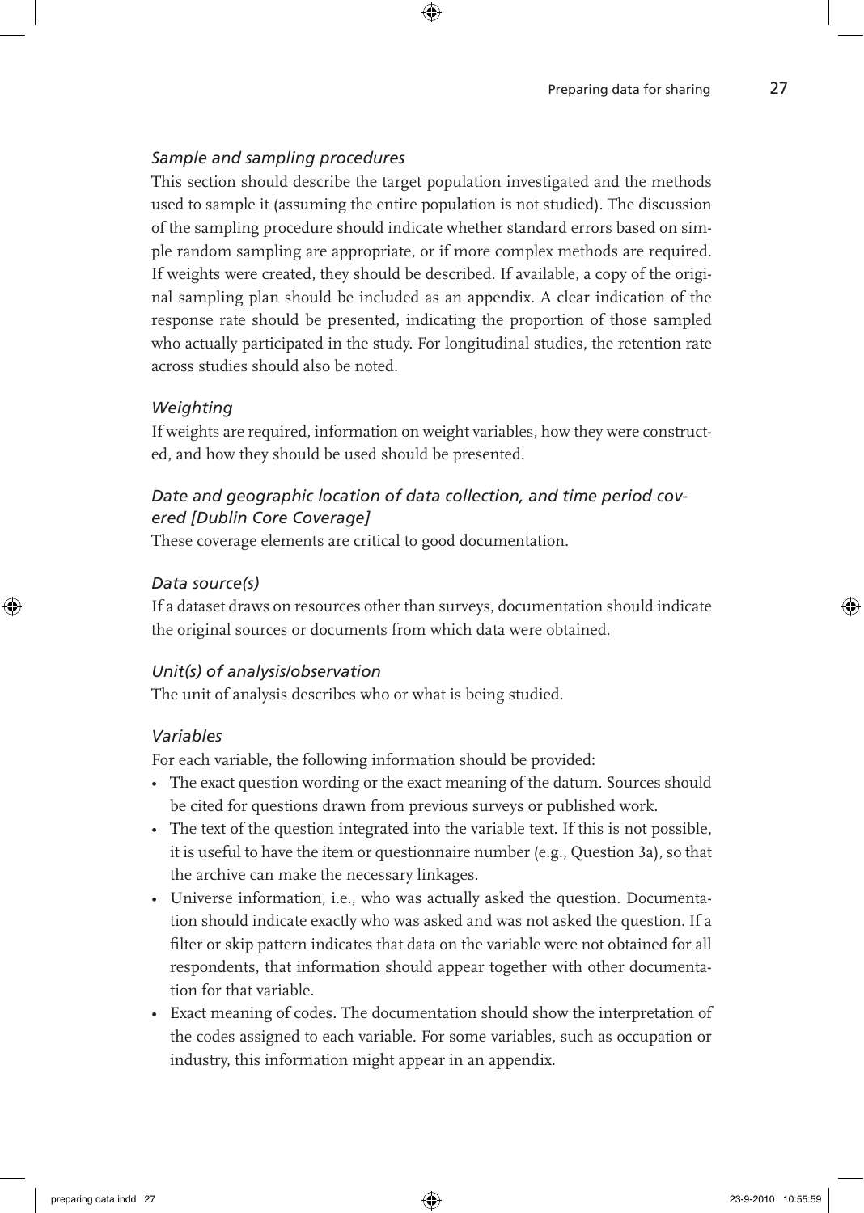# *Sample and sampling procedures*

This section should describe the target population investigated and the methods used to sample it (assuming the entire population is not studied). The discussion of the sampling procedure should indicate whether standard errors based on simple random sampling are appropriate, or if more complex methods are required. If weights were created, they should be described. If available, a copy of the original sampling plan should be included as an appendix. A clear indication of the response rate should be presented, indicating the proportion of those sampled who actually participated in the study. For longitudinal studies, the retention rate across studies should also be noted.

# *Weighting*

If weights are required, information on weight variables, how they were constructed, and how they should be used should be presented.

# *Date and geographic location of data collection, and time period covered [Dublin Core Coverage]*

These coverage elements are critical to good documentation.

# *Data source(s)*

If a dataset draws on resources other than surveys, documentation should indicate the original sources or documents from which data were obtained.

# *Unit(s) of analysis/observation*

The unit of analysis describes who or what is being studied.

# *Variables*

For each variable, the following information should be provided:

- The exact question wording or the exact meaning of the datum. Sources should be cited for questions drawn from previous surveys or published work.
- The text of the question integrated into the variable text. If this is not possible, it is useful to have the item or questionnaire number (e.g., Question 3a), so that the archive can make the necessary linkages.
- • Universe information, i.e., who was actually asked the question. Documentation should indicate exactly who was asked and was not asked the question. If a filter or skip pattern indicates that data on the variable were not obtained for all respondents, that information should appear together with other documentation for that variable.
- • Exact meaning of codes. The documentation should show the interpretation of the codes assigned to each variable. For some variables, such as occupation or industry, this information might appear in an appendix.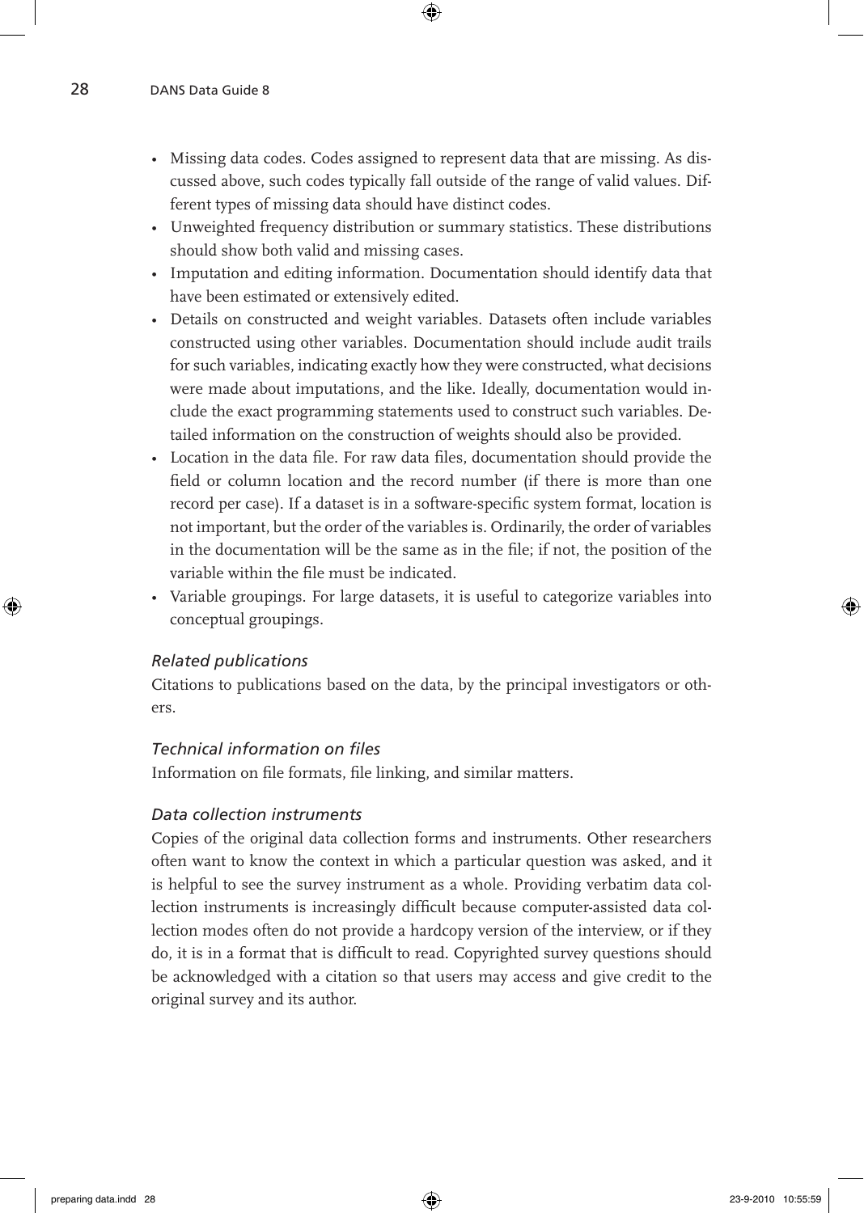- Missing data codes. Codes assigned to represent data that are missing. As discussed above, such codes typically fall outside of the range of valid values. Different types of missing data should have distinct codes.
- • Unweighted frequency distribution or summary statistics. These distributions should show both valid and missing cases.
- Imputation and editing information. Documentation should identify data that have been estimated or extensively edited.
- • Details on constructed and weight variables. Datasets often include variables constructed using other variables. Documentation should include audit trails for such variables, indicating exactly how they were constructed, what decisions were made about imputations, and the like. Ideally, documentation would include the exact programming statements used to construct such variables. Detailed information on the construction of weights should also be provided.
- • Location in the data file. For raw data files, documentation should provide the field or column location and the record number (if there is more than one record per case). If a dataset is in a software-specific system format, location is not important, but the order of the variables is. Ordinarily, the order of variables in the documentation will be the same as in the file; if not, the position of the variable within the file must be indicated.
- • Variable groupings. For large datasets, it is useful to categorize variables into conceptual groupings.

# *Related publications*

Citations to publications based on the data, by the principal investigators or others.

# *Technical information on files*

Information on file formats, file linking, and similar matters.

# *Data collection instruments*

Copies of the original data collection forms and instruments. Other researchers often want to know the context in which a particular question was asked, and it is helpful to see the survey instrument as a whole. Providing verbatim data collection instruments is increasingly difficult because computer-assisted data collection modes often do not provide a hardcopy version of the interview, or if they do, it is in a format that is difficult to read. Copyrighted survey questions should be acknowledged with a citation so that users may access and give credit to the original survey and its author.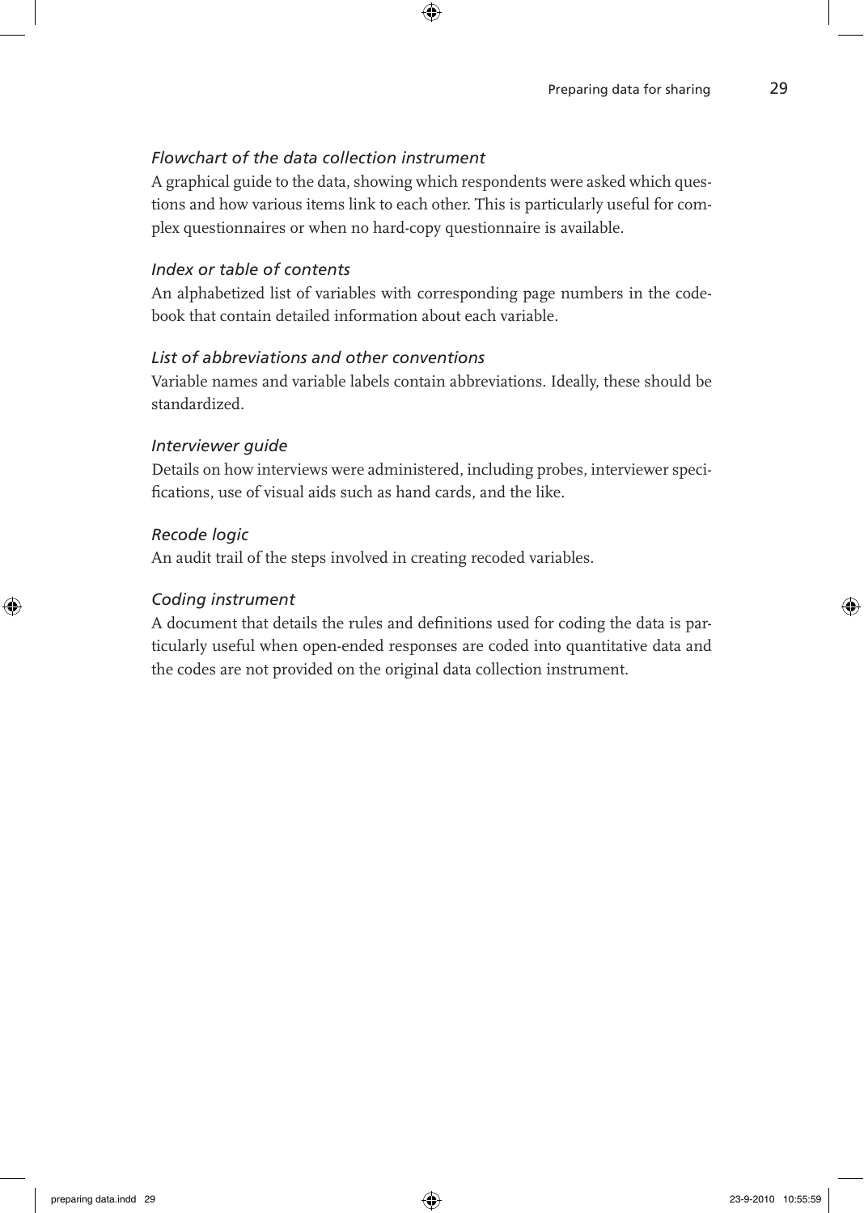# *Flowchart of the data collection instrument*

A graphical guide to the data, showing which respondents were asked which questions and how various items link to each other. This is particularly useful for complex questionnaires or when no hard-copy questionnaire is available.

# *Index or table of contents*

An alphabetized list of variables with corresponding page numbers in the codebook that contain detailed information about each variable.

# *List of abbreviations and other conventions*

Variable names and variable labels contain abbreviations. Ideally, these should be standardized.

# *Interviewer guide*

Details on how interviews were administered, including probes, interviewer specifications, use of visual aids such as hand cards, and the like.

# *Recode logic*

An audit trail of the steps involved in creating recoded variables.

# *Coding instrument*

A document that details the rules and definitions used for coding the data is particularly useful when open-ended responses are coded into quantitative data and the codes are not provided on the original data collection instrument.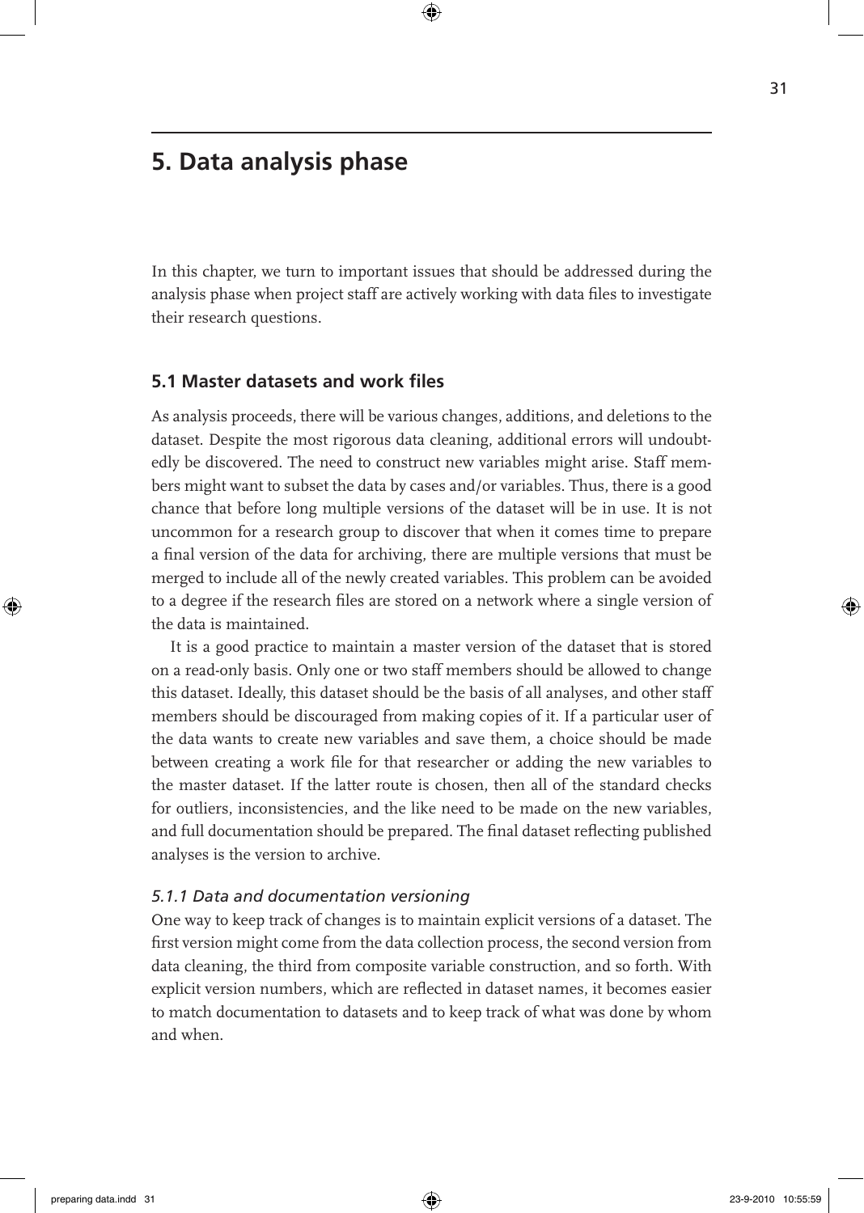# **5. Data analysis phase**

In this chapter, we turn to important issues that should be addressed during the analysis phase when project staff are actively working with data files to investigate their research questions.

# **5.1 Master datasets and work files**

As analysis proceeds, there will be various changes, additions, and deletions to the dataset. Despite the most rigorous data cleaning, additional errors will undoubtedly be discovered. The need to construct new variables might arise. Staff members might want to subset the data by cases and/or variables. Thus, there is a good chance that before long multiple versions of the dataset will be in use. It is not uncommon for a research group to discover that when it comes time to prepare a final version of the data for archiving, there are multiple versions that must be merged to include all of the newly created variables. This problem can be avoided to a degree if the research files are stored on a network where a single version of the data is maintained.

It is a good practice to maintain a master version of the dataset that is stored on a read-only basis. Only one or two staff members should be allowed to change this dataset. Ideally, this dataset should be the basis of all analyses, and other staff members should be discouraged from making copies of it. If a particular user of the data wants to create new variables and save them, a choice should be made between creating a work file for that researcher or adding the new variables to the master dataset. If the latter route is chosen, then all of the standard checks for outliers, inconsistencies, and the like need to be made on the new variables, and full documentation should be prepared. The final dataset reflecting published analyses is the version to archive.

#### *5.1.1 Data and documentation versioning*

One way to keep track of changes is to maintain explicit versions of a dataset. The first version might come from the data collection process, the second version from data cleaning, the third from composite variable construction, and so forth. With explicit version numbers, which are reflected in dataset names, it becomes easier to match documentation to datasets and to keep track of what was done by whom and when.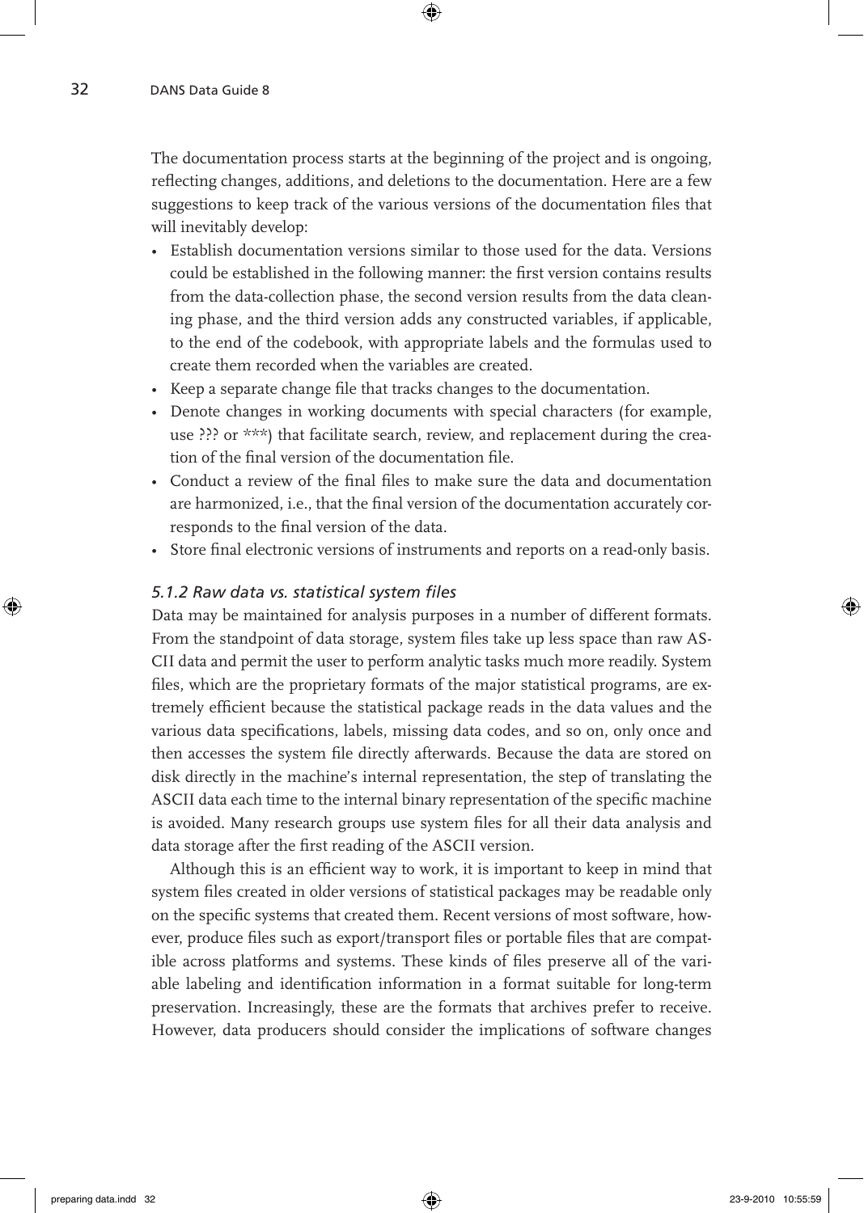The documentation process starts at the beginning of the project and is ongoing, reflecting changes, additions, and deletions to the documentation. Here are a few suggestions to keep track of the various versions of the documentation files that will inevitably develop:

- • Establish documentation versions similar to those used for the data. Versions could be established in the following manner: the first version contains results from the data-collection phase, the second version results from the data cleaning phase, and the third version adds any constructed variables, if applicable, to the end of the codebook, with appropriate labels and the formulas used to create them recorded when the variables are created.
- • Keep a separate change file that tracks changes to the documentation.
- • Denote changes in working documents with special characters (for example, use ??? or \*\*\*) that facilitate search, review, and replacement during the creation of the final version of the documentation file.
- • Conduct a review of the final files to make sure the data and documentation are harmonized, i.e., that the final version of the documentation accurately corresponds to the final version of the data.
- • Store final electronic versions of instruments and reports on a read-only basis.

# *5.1.2 Raw data vs. statistical system files*

Data may be maintained for analysis purposes in a number of different formats. From the standpoint of data storage, system files take up less space than raw AS-CII data and permit the user to perform analytic tasks much more readily. System files, which are the proprietary formats of the major statistical programs, are extremely efficient because the statistical package reads in the data values and the various data specifications, labels, missing data codes, and so on, only once and then accesses the system file directly afterwards. Because the data are stored on disk directly in the machine's internal representation, the step of translating the ASCII data each time to the internal binary representation of the specific machine is avoided. Many research groups use system files for all their data analysis and data storage after the first reading of the ASCII version.

Although this is an efficient way to work, it is important to keep in mind that system files created in older versions of statistical packages may be readable only on the specific systems that created them. Recent versions of most software, however, produce files such as export/transport files or portable files that are compatible across platforms and systems. These kinds of files preserve all of the variable labeling and identification information in a format suitable for long-term preservation. Increasingly, these are the formats that archives prefer to receive. However, data producers should consider the implications of software changes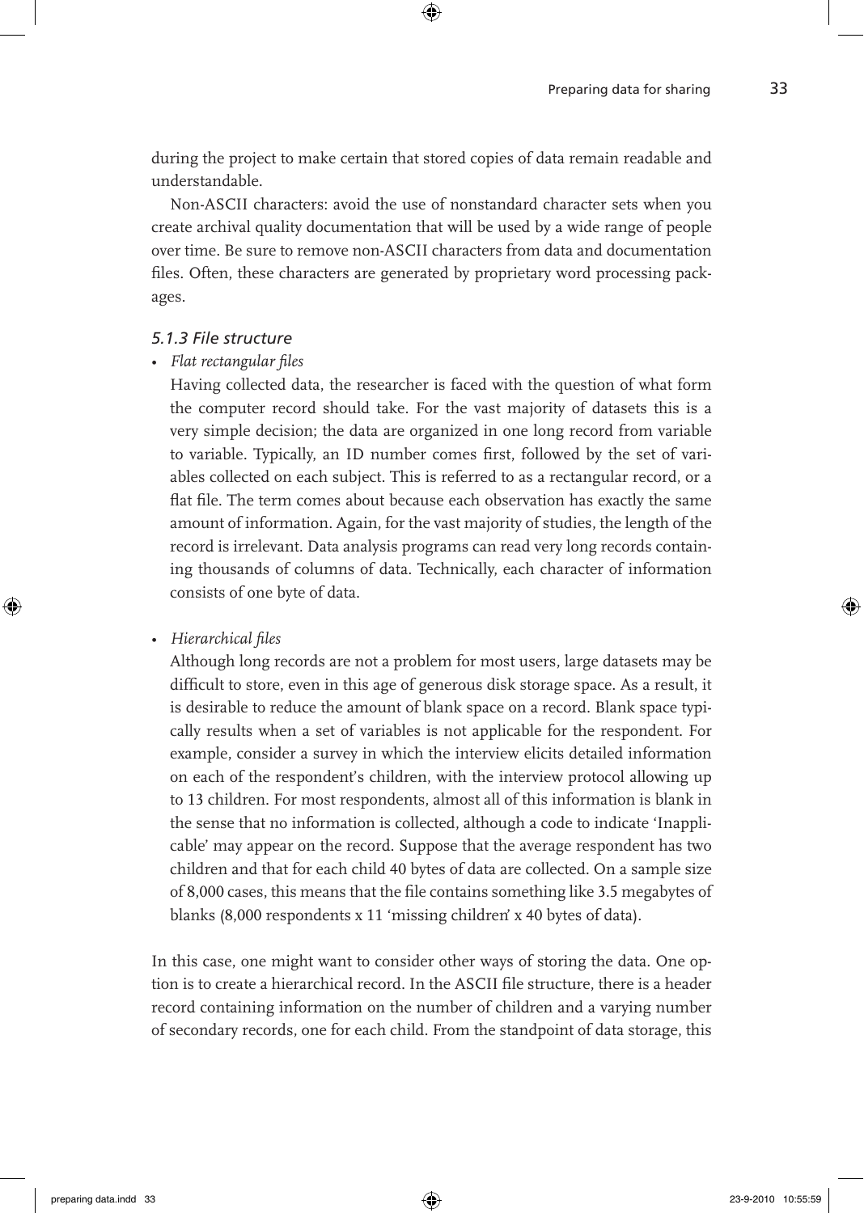during the project to make certain that stored copies of data remain readable and understandable.

Non-ASCII characters: avoid the use of nonstandard character sets when you create archival quality documentation that will be used by a wide range of people over time. Be sure to remove non-ASCII characters from data and documentation files. Often, these characters are generated by proprietary word processing packages.

#### *5.1.3 File structure*

#### *• Flat rectangular files*

Having collected data, the researcher is faced with the question of what form the computer record should take. For the vast majority of datasets this is a very simple decision; the data are organized in one long record from variable to variable. Typically, an ID number comes first, followed by the set of variables collected on each subject. This is referred to as a rectangular record, or a flat file. The term comes about because each observation has exactly the same amount of information. Again, for the vast majority of studies, the length of the record is irrelevant. Data analysis programs can read very long records containing thousands of columns of data. Technically, each character of information consists of one byte of data.

*• Hierarchical files* 

Although long records are not a problem for most users, large datasets may be difficult to store, even in this age of generous disk storage space. As a result, it is desirable to reduce the amount of blank space on a record. Blank space typically results when a set of variables is not applicable for the respondent. For example, consider a survey in which the interview elicits detailed information on each of the respondent's children, with the interview protocol allowing up to 13 children. For most respondents, almost all of this information is blank in the sense that no information is collected, although a code to indicate 'Inapplicable' may appear on the record. Suppose that the average respondent has two children and that for each child 40 bytes of data are collected. On a sample size of 8,000 cases, this means that the file contains something like 3.5 megabytes of blanks (8,000 respondents x 11 'missing children' x 40 bytes of data).

In this case, one might want to consider other ways of storing the data. One option is to create a hierarchical record. In the ASCII file structure, there is a header record containing information on the number of children and a varying number of secondary records, one for each child. From the standpoint of data storage, this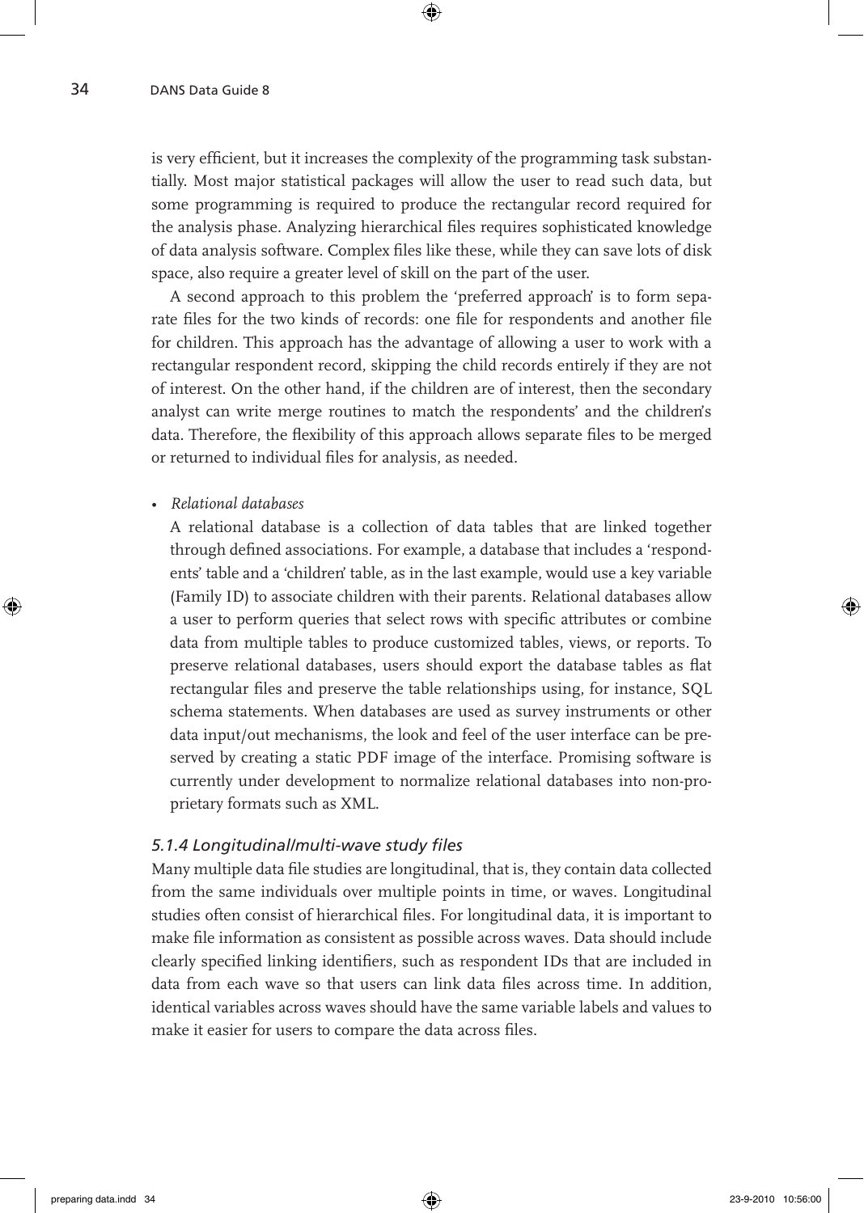is very efficient, but it increases the complexity of the programming task substantially. Most major statistical packages will allow the user to read such data, but some programming is required to produce the rectangular record required for the analysis phase. Analyzing hierarchical files requires sophisticated knowledge of data analysis software. Complex files like these, while they can save lots of disk space, also require a greater level of skill on the part of the user.

A second approach to this problem the 'preferred approach' is to form separate files for the two kinds of records: one file for respondents and another file for children. This approach has the advantage of allowing a user to work with a rectangular respondent record, skipping the child records entirely if they are not of interest. On the other hand, if the children are of interest, then the secondary analyst can write merge routines to match the respondents' and the children's data. Therefore, the flexibility of this approach allows separate files to be merged or returned to individual files for analysis, as needed.

*• Relational databases* 

A relational database is a collection of data tables that are linked together through defined associations. For example, a database that includes a 'respondents' table and a 'children' table, as in the last example, would use a key variable (Family ID) to associate children with their parents. Relational databases allow a user to perform queries that select rows with specific attributes or combine data from multiple tables to produce customized tables, views, or reports. To preserve relational databases, users should export the database tables as flat rectangular files and preserve the table relationships using, for instance, SQL schema statements. When databases are used as survey instruments or other data input/out mechanisms, the look and feel of the user interface can be preserved by creating a static PDF image of the interface. Promising software is currently under development to normalize relational databases into non-proprietary formats such as XML.

#### *5.1.4 Longitudinal/multi-wave study files*

Many multiple data file studies are longitudinal, that is, they contain data collected from the same individuals over multiple points in time, or waves. Longitudinal studies often consist of hierarchical files. For longitudinal data, it is important to make file information as consistent as possible across waves. Data should include clearly specified linking identifiers, such as respondent IDs that are included in data from each wave so that users can link data files across time. In addition, identical variables across waves should have the same variable labels and values to make it easier for users to compare the data across files.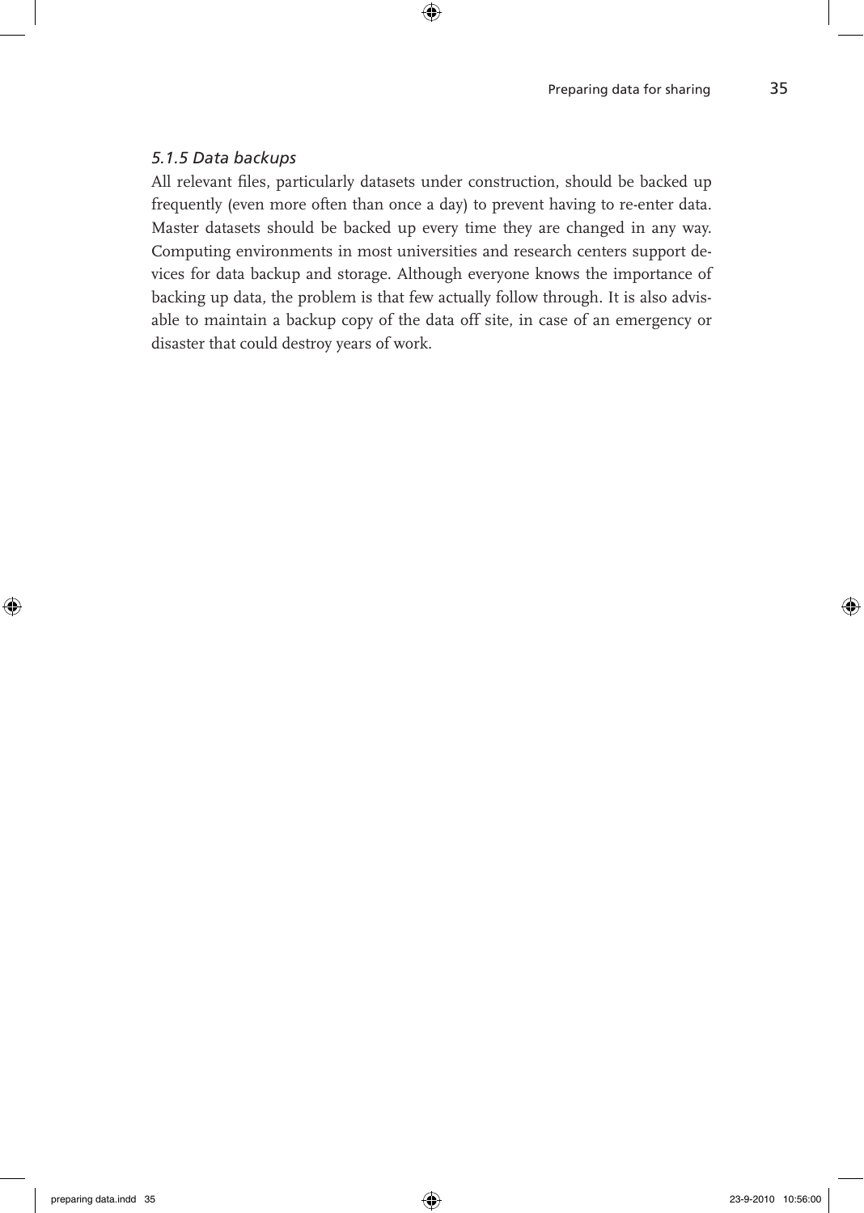All relevant files, particularly datasets under construction, should be backed up frequently (even more often than once a day) to prevent having to re-enter data. Master datasets should be backed up every time they are changed in any way. Computing environments in most universities and research centers support devices for data backup and storage. Although everyone knows the importance of backing up data, the problem is that few actually follow through. It is also advisable to maintain a backup copy of the data off site, in case of an emergency or disaster that could destroy years of work.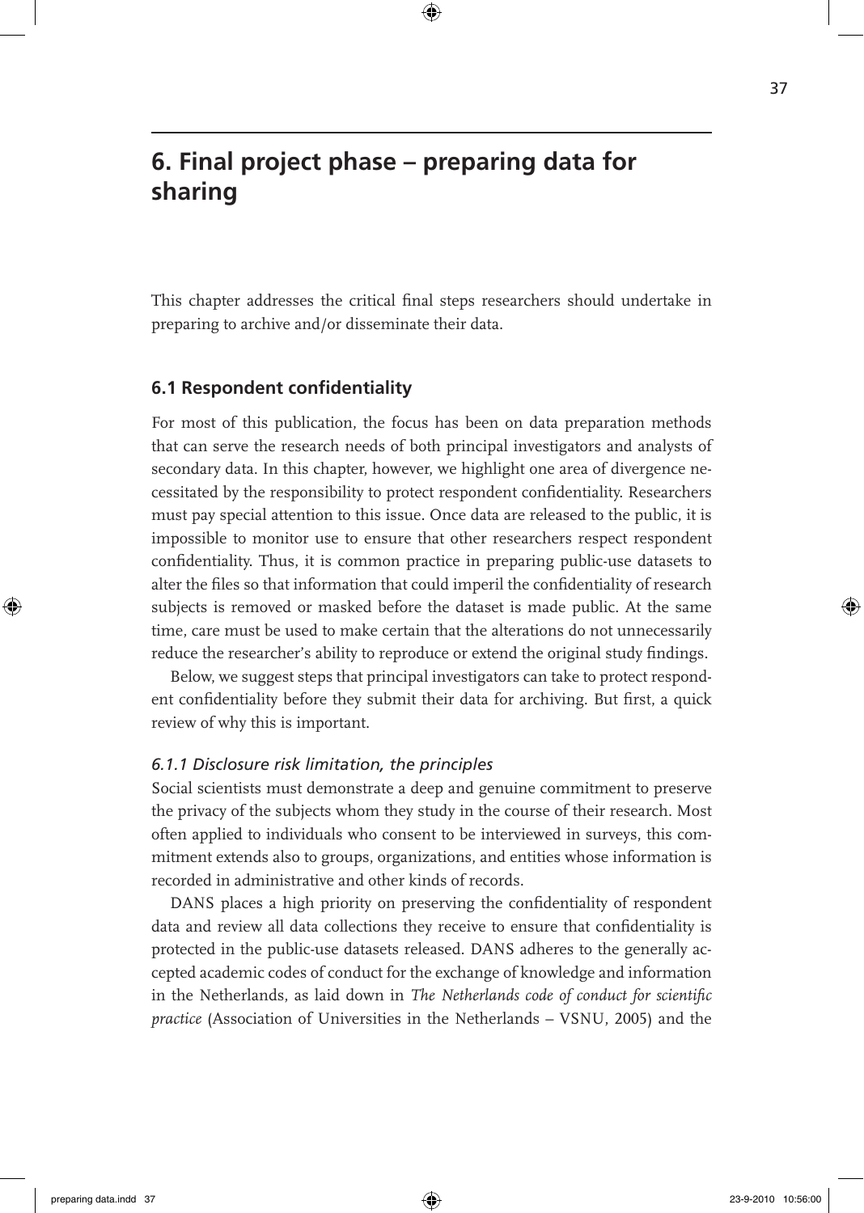# **6. Final project phase – preparing data for sharing**

This chapter addresses the critical final steps researchers should undertake in preparing to archive and/or disseminate their data.

#### **6.1 Respondent confidentiality**

For most of this publication, the focus has been on data preparation methods that can serve the research needs of both principal investigators and analysts of secondary data. In this chapter, however, we highlight one area of divergence necessitated by the responsibility to protect respondent confidentiality. Researchers must pay special attention to this issue. Once data are released to the public, it is impossible to monitor use to ensure that other researchers respect respondent confidentiality. Thus, it is common practice in preparing public-use datasets to alter the files so that information that could imperil the confidentiality of research subjects is removed or masked before the dataset is made public. At the same time, care must be used to make certain that the alterations do not unnecessarily reduce the researcher's ability to reproduce or extend the original study findings.

Below, we suggest steps that principal investigators can take to protect respondent confidentiality before they submit their data for archiving. But first, a quick review of why this is important.

#### *6.1.1 Disclosure risk limitation, the principles*

Social scientists must demonstrate a deep and genuine commitment to preserve the privacy of the subjects whom they study in the course of their research. Most often applied to individuals who consent to be interviewed in surveys, this commitment extends also to groups, organizations, and entities whose information is recorded in administrative and other kinds of records.

DANS places a high priority on preserving the confidentiality of respondent data and review all data collections they receive to ensure that confidentiality is protected in the public-use datasets released. DANS adheres to the generally accepted academic codes of conduct for the exchange of knowledge and information in the Netherlands, as laid down in *The Netherlands code of conduct for scientific practice* (Association of Universities in the Netherlands – VSNU, 2005) and the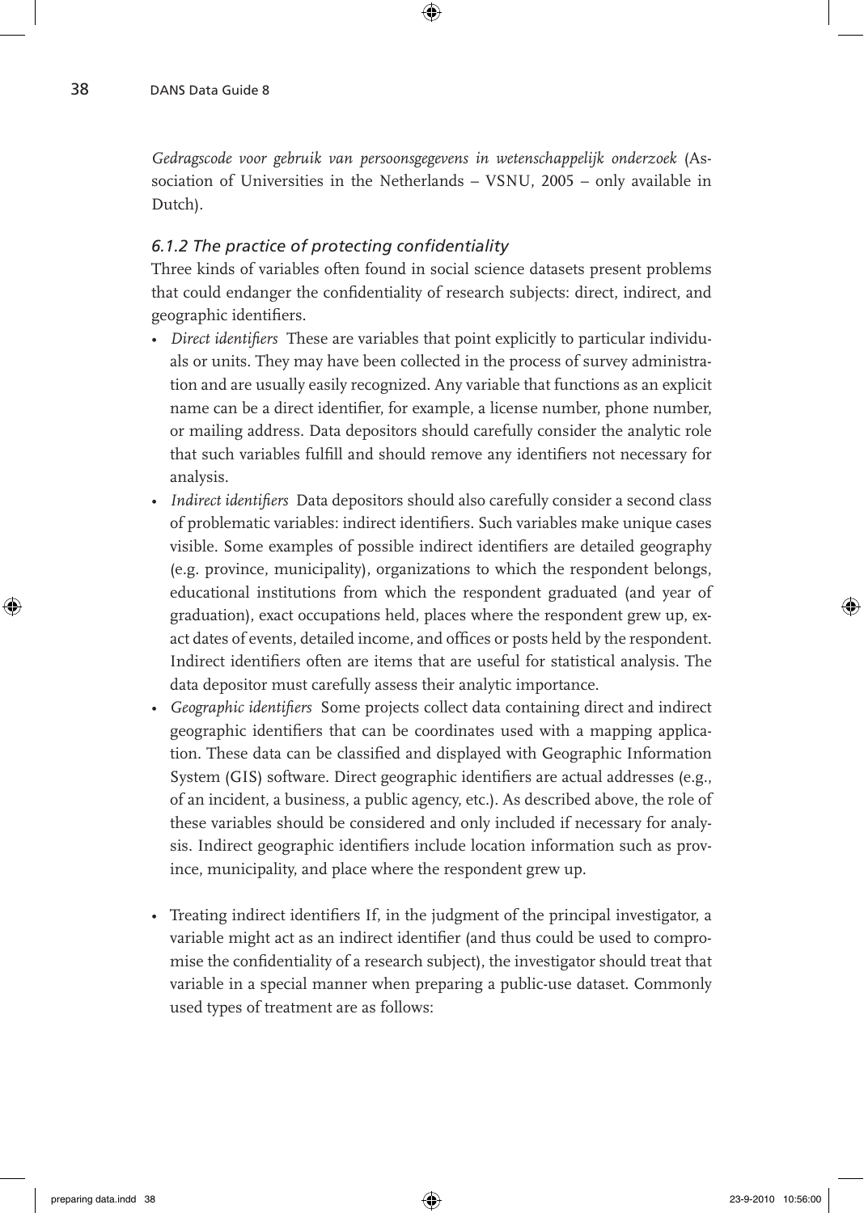*Gedragscode voor gebruik van persoonsgegevens in wetenschappelijk onderzoek* (Association of Universities in the Netherlands – VSNU, 2005 – only available in Dutch).

# *6.1.2 The practice of protecting confidentiality*

Three kinds of variables often found in social science datasets present problems that could endanger the confidentiality of research subjects: direct, indirect, and geographic identifiers.

- *• Direct identifiers* These are variables that point explicitly to particular individuals or units. They may have been collected in the process of survey administration and are usually easily recognized. Any variable that functions as an explicit name can be a direct identifier, for example, a license number, phone number, or mailing address. Data depositors should carefully consider the analytic role that such variables fulfill and should remove any identifiers not necessary for analysis.
- *• Indirect identifiers* Data depositors should also carefully consider a second class of problematic variables: indirect identifiers. Such variables make unique cases visible. Some examples of possible indirect identifiers are detailed geography (e.g. province, municipality), organizations to which the respondent belongs, educational institutions from which the respondent graduated (and year of graduation), exact occupations held, places where the respondent grew up, exact dates of events, detailed income, and offices or posts held by the respondent. Indirect identifiers often are items that are useful for statistical analysis. The data depositor must carefully assess their analytic importance.
- *• Geographic identifiers* Some projects collect data containing direct and indirect geographic identifiers that can be coordinates used with a mapping application. These data can be classified and displayed with Geographic Information System (GIS) software. Direct geographic identifiers are actual addresses (e.g., of an incident, a business, a public agency, etc.). As described above, the role of these variables should be considered and only included if necessary for analysis. Indirect geographic identifiers include location information such as province, municipality, and place where the respondent grew up.
- Treating indirect identifiers If, in the judgment of the principal investigator, a variable might act as an indirect identifier (and thus could be used to compromise the confidentiality of a research subject), the investigator should treat that variable in a special manner when preparing a public-use dataset. Commonly used types of treatment are as follows: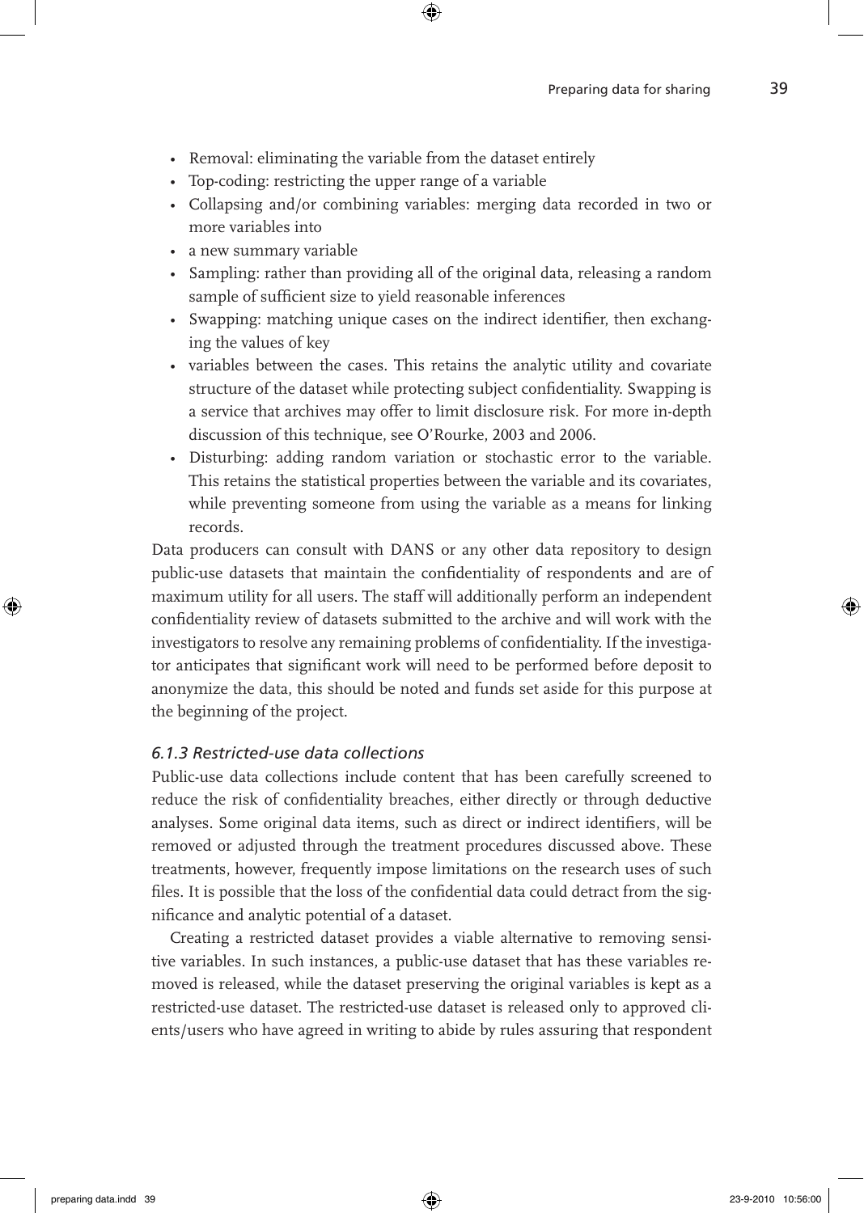- Removal: eliminating the variable from the dataset entirely
- • Top-coding: restricting the upper range of a variable
- • Collapsing and/or combining variables: merging data recorded in two or more variables into
- a new summary variable
- • Sampling: rather than providing all of the original data, releasing a random sample of sufficient size to yield reasonable inferences
- • Swapping: matching unique cases on the indirect identifier, then exchanging the values of key
- • variables between the cases. This retains the analytic utility and covariate structure of the dataset while protecting subject confidentiality. Swapping is a service that archives may offer to limit disclosure risk. For more in-depth discussion of this technique, see O'Rourke, 2003 and 2006.
- • Disturbing: adding random variation or stochastic error to the variable. This retains the statistical properties between the variable and its covariates, while preventing someone from using the variable as a means for linking records.

Data producers can consult with DANS or any other data repository to design public-use datasets that maintain the confidentiality of respondents and are of maximum utility for all users. The staff will additionally perform an independent confidentiality review of datasets submitted to the archive and will work with the investigators to resolve any remaining problems of confidentiality. If the investigator anticipates that significant work will need to be performed before deposit to anonymize the data, this should be noted and funds set aside for this purpose at the beginning of the project.

#### *6.1.3 Restricted-use data collections*

Public-use data collections include content that has been carefully screened to reduce the risk of confidentiality breaches, either directly or through deductive analyses. Some original data items, such as direct or indirect identifiers, will be removed or adjusted through the treatment procedures discussed above. These treatments, however, frequently impose limitations on the research uses of such files. It is possible that the loss of the confidential data could detract from the significance and analytic potential of a dataset.

Creating a restricted dataset provides a viable alternative to removing sensitive variables. In such instances, a public-use dataset that has these variables removed is released, while the dataset preserving the original variables is kept as a restricted-use dataset. The restricted-use dataset is released only to approved clients/users who have agreed in writing to abide by rules assuring that respondent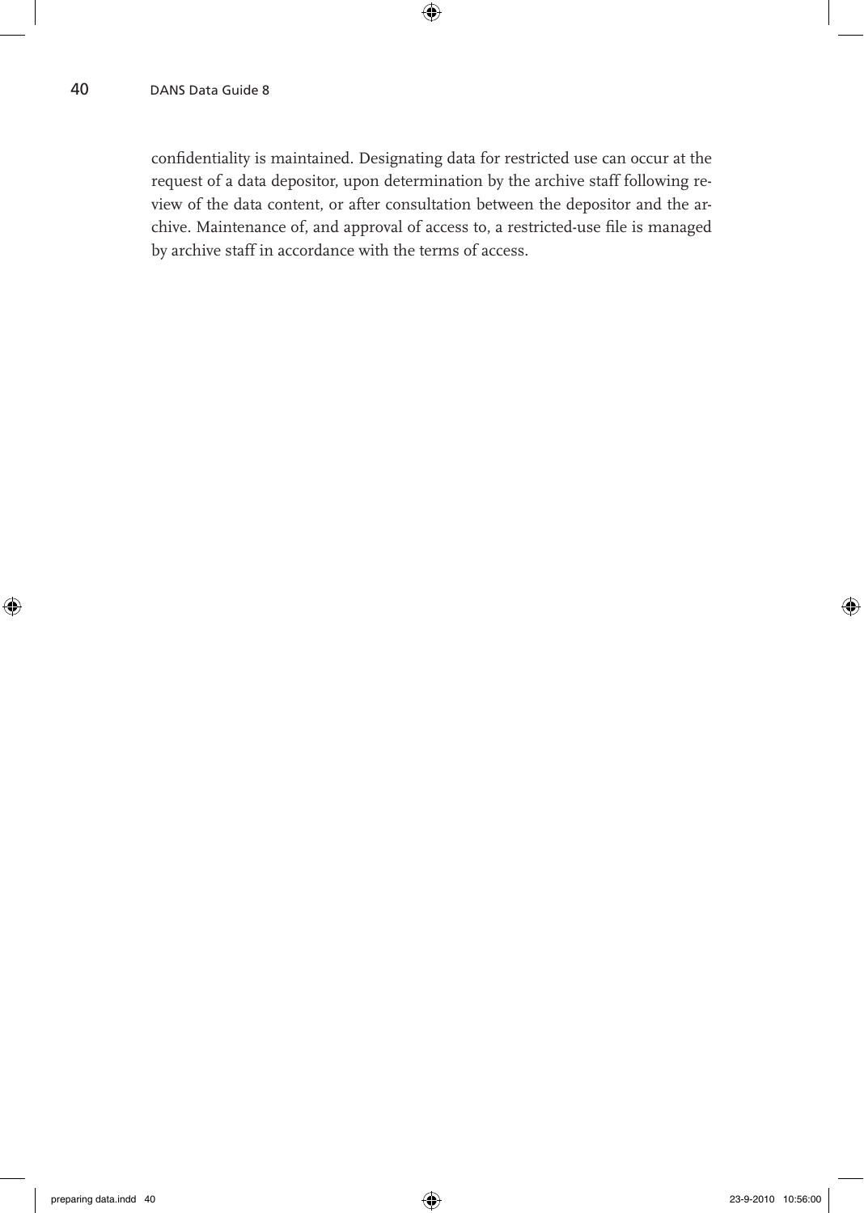confidentiality is maintained. Designating data for restricted use can occur at the request of a data depositor, upon determination by the archive staff following review of the data content, or after consultation between the depositor and the archive. Maintenance of, and approval of access to, a restricted-use file is managed by archive staff in accordance with the terms of access.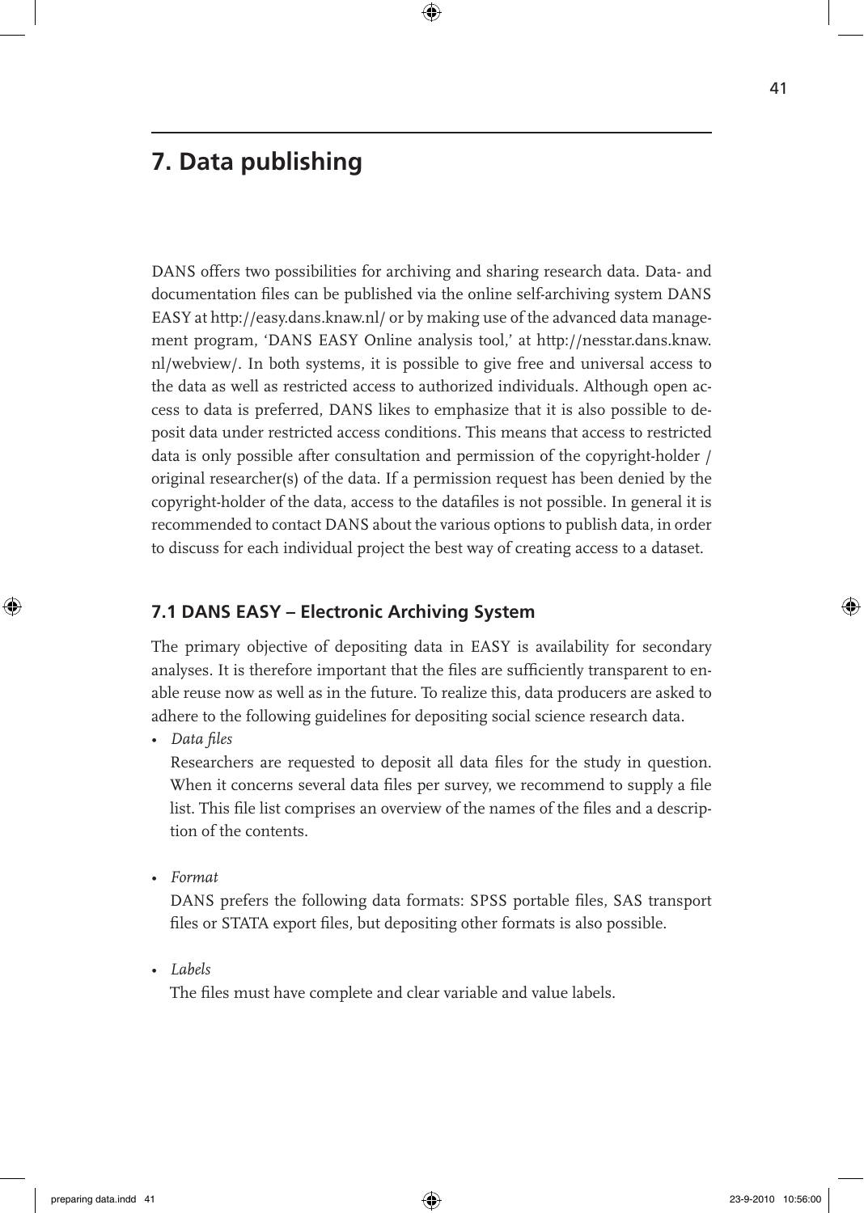# **7. Data publishing**

DANS offers two possibilities for archiving and sharing research data. Data- and documentation files can be published via the online self-archiving system DANS EASY at http://easy.dans.knaw.nl/ or by making use of the advanced data management program, 'DANS EASY Online analysis tool,' at http://nesstar.dans.knaw. nl/webview/. In both systems, it is possible to give free and universal access to the data as well as restricted access to authorized individuals. Although open access to data is preferred, DANS likes to emphasize that it is also possible to deposit data under restricted access conditions. This means that access to restricted data is only possible after consultation and permission of the copyright-holder / original researcher(s) of the data. If a permission request has been denied by the copyright-holder of the data, access to the datafiles is not possible. In general it is recommended to contact DANS about the various options to publish data, in order to discuss for each individual project the best way of creating access to a dataset.

# **7.1 DANS EASY – Electronic Archiving System**

The primary objective of depositing data in EASY is availability for secondary analyses. It is therefore important that the files are sufficiently transparent to enable reuse now as well as in the future. To realize this, data producers are asked to adhere to the following guidelines for depositing social science research data.

*• Data files* 

Researchers are requested to deposit all data files for the study in question. When it concerns several data files per survey, we recommend to supply a file list. This file list comprises an overview of the names of the files and a description of the contents.

*• Format* 

DANS prefers the following data formats: SPSS portable files, SAS transport files or STATA export files, but depositing other formats is also possible.

*• Labels* 

The files must have complete and clear variable and value labels.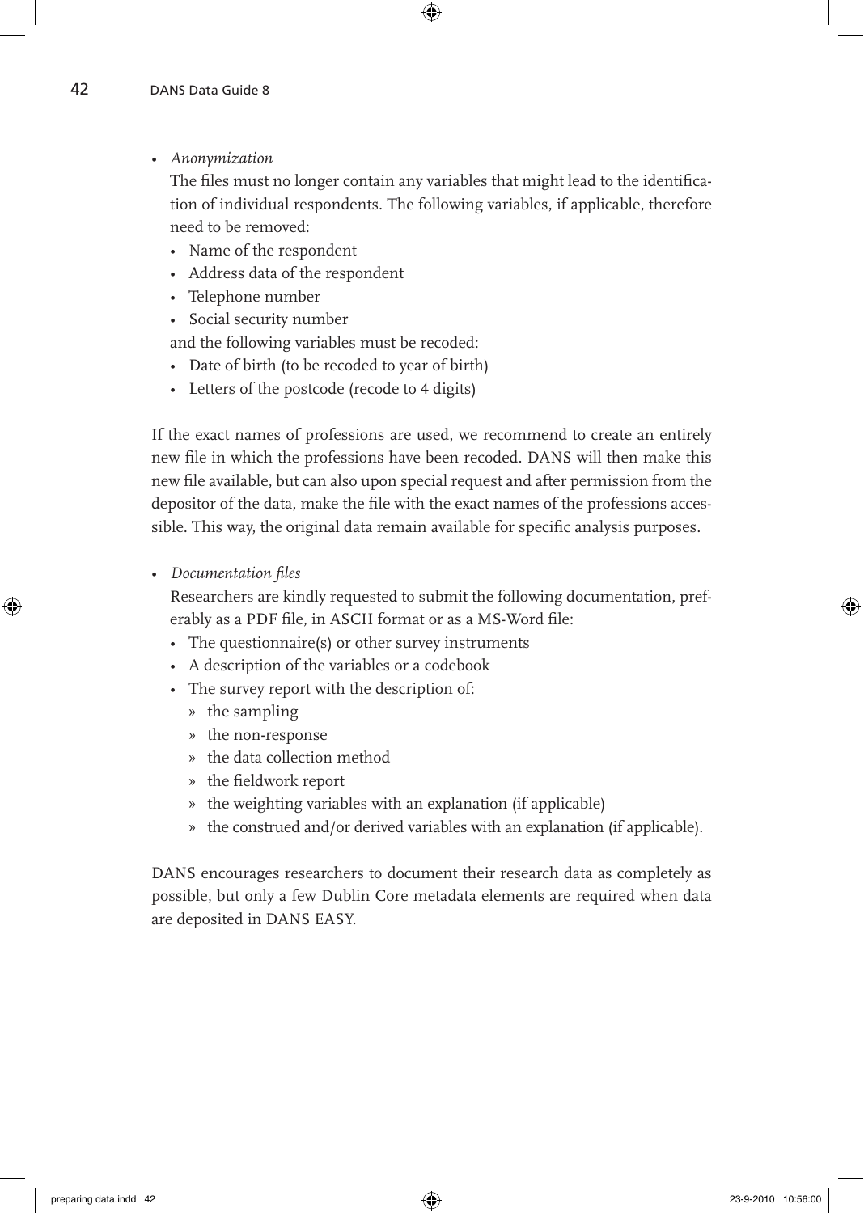*• Anonymization*

The files must no longer contain any variables that might lead to the identification of individual respondents. The following variables, if applicable, therefore need to be removed:

- • Name of the respondent
- • Address data of the respondent
- • Telephone number
- • Social security number

and the following variables must be recoded:

- • Date of birth (to be recoded to year of birth)
- • Letters of the postcode (recode to 4 digits)

If the exact names of professions are used, we recommend to create an entirely new file in which the professions have been recoded. DANS will then make this new file available, but can also upon special request and after permission from the depositor of the data, make the file with the exact names of the professions accessible. This way, the original data remain available for specific analysis purposes.

*• Documentation files* 

Researchers are kindly requested to submit the following documentation, preferably as a PDF file, in ASCII format or as a MS-Word file:

- The questionnaire(s) or other survey instruments
- • A description of the variables or a codebook
- The survey report with the description of:
	- » the sampling
	- » the non-response
	- » the data collection method
	- » the fieldwork report
	- » the weighting variables with an explanation (if applicable)
	- » the construed and/or derived variables with an explanation (if applicable).

DANS encourages researchers to document their research data as completely as possible, but only a few Dublin Core metadata elements are required when data are deposited in DANS EASY.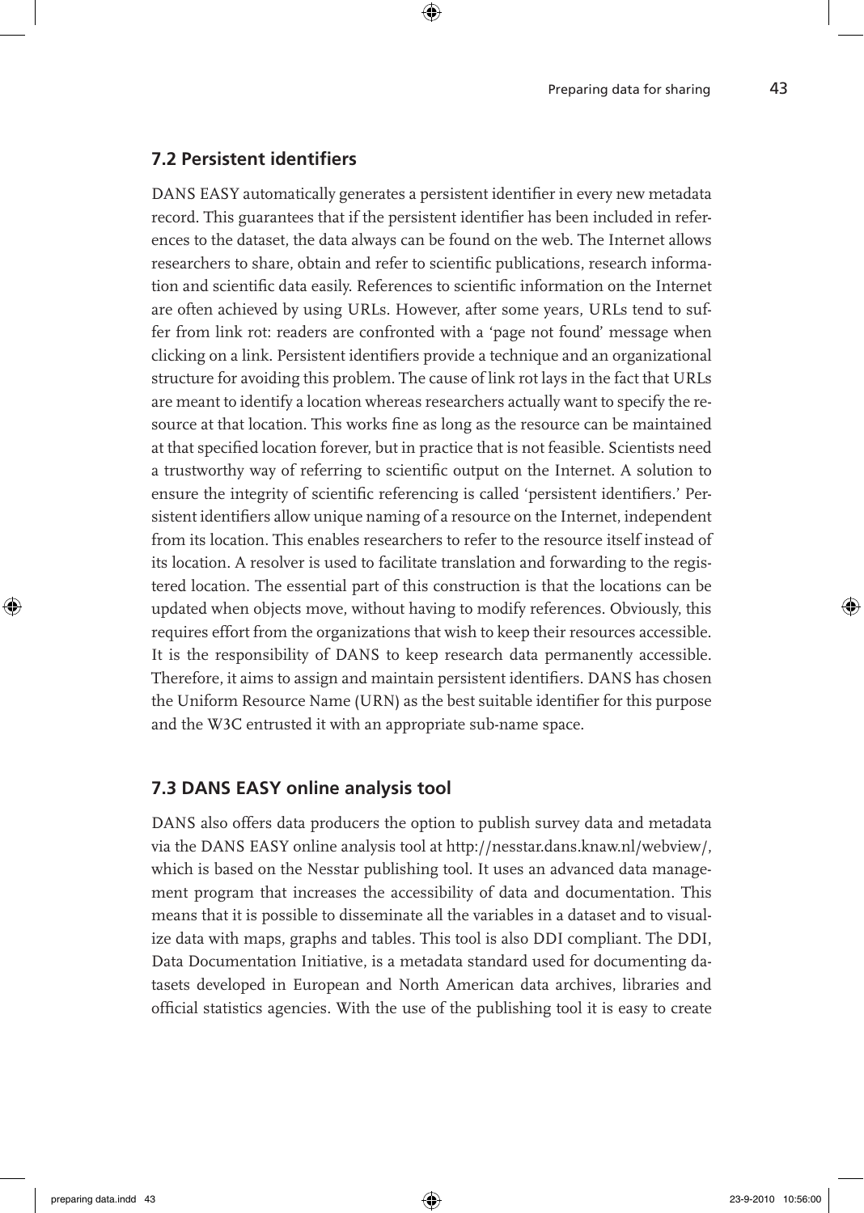# **7.2 Persistent identifiers**

DANS EASY automatically generates a persistent identifier in every new metadata record. This guarantees that if the persistent identifier has been included in references to the dataset, the data always can be found on the web. The Internet allows researchers to share, obtain and refer to scientific publications, research information and scientific data easily. References to scientific information on the Internet are often achieved by using URLs. However, after some years, URLs tend to suffer from link rot: readers are confronted with a 'page not found' message when clicking on a link. Persistent identifiers provide a technique and an organizational structure for avoiding this problem. The cause of link rot lays in the fact that URLs are meant to identify a location whereas researchers actually want to specify the resource at that location. This works fine as long as the resource can be maintained at that specified location forever, but in practice that is not feasible. Scientists need a trustworthy way of referring to scientific output on the Internet. A solution to ensure the integrity of scientific referencing is called 'persistent identifiers.' Persistent identifiers allow unique naming of a resource on the Internet, independent from its location. This enables researchers to refer to the resource itself instead of its location. A resolver is used to facilitate translation and forwarding to the registered location. The essential part of this construction is that the locations can be updated when objects move, without having to modify references. Obviously, this requires effort from the organizations that wish to keep their resources accessible. It is the responsibility of DANS to keep research data permanently accessible. Therefore, it aims to assign and maintain persistent identifiers. DANS has chosen the Uniform Resource Name (URN) as the best suitable identifier for this purpose and the W3C entrusted it with an appropriate sub-name space.

# **7.3 DANS EASY online analysis tool**

DANS also offers data producers the option to publish survey data and metadata via the DANS EASY online analysis tool at http://nesstar.dans.knaw.nl/webview/, which is based on the Nesstar publishing tool. It uses an advanced data management program that increases the accessibility of data and documentation. This means that it is possible to disseminate all the variables in a dataset and to visualize data with maps, graphs and tables. This tool is also DDI compliant. The DDI, Data Documentation Initiative, is a metadata standard used for documenting datasets developed in European and North American data archives, libraries and official statistics agencies. With the use of the publishing tool it is easy to create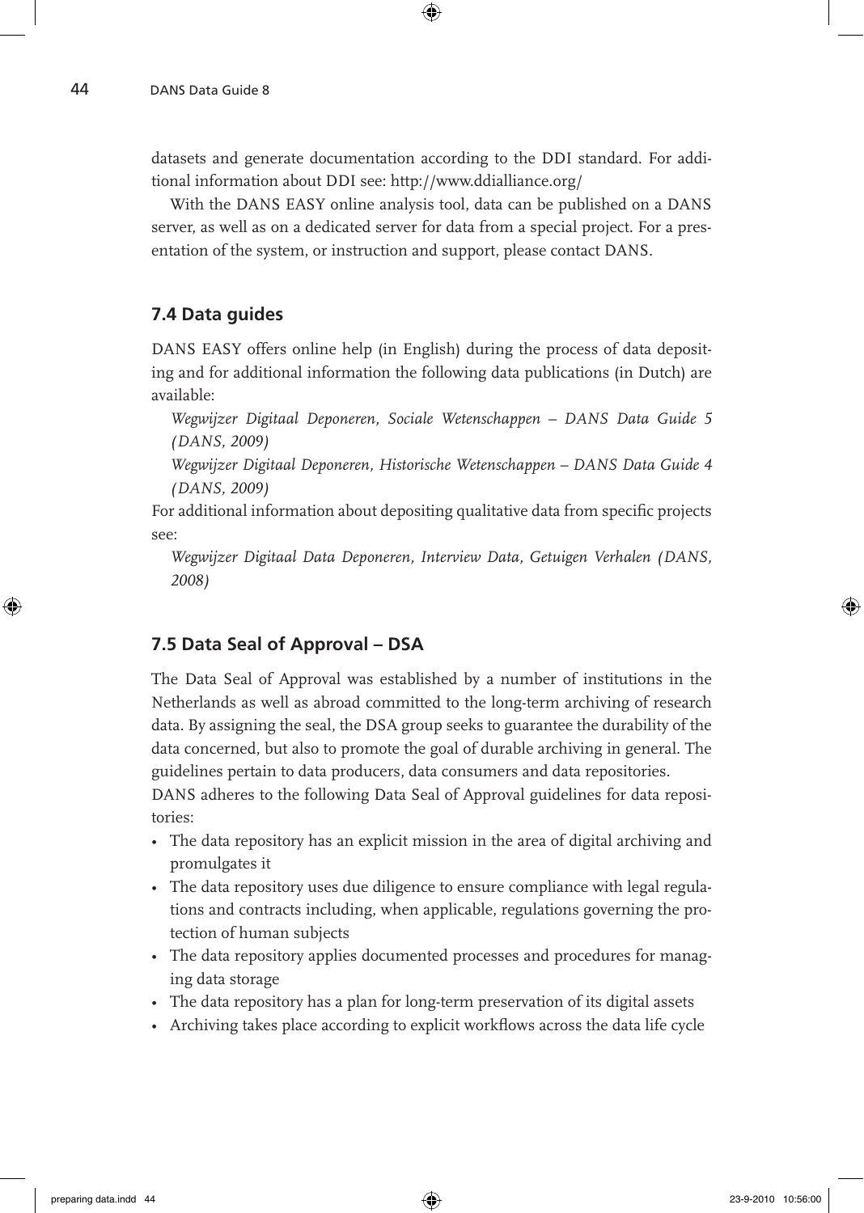datasets and generate documentation according to the DDI standard. For additional information about DDI see: http://www.ddialliance.org/

With the DANS EASY online analysis tool, data can be published on a DANS server, as well as on a dedicated server for data from a special project. For a presentation of the system, or instruction and support, please contact DANS.

# **7.4 Data guides**

DANS EASY offers online help (in English) during the process of data depositing and for additional information the following data publications (in Dutch) are available:

*Wegwijzer Digitaal Deponeren, Sociale Wetenschappen – DANS Data Guide 5 (DANS, 2009)* 

*Wegwijzer Digitaal Deponeren, Historische Wetenschappen – DANS Data Guide 4 (DANS, 2009)* 

For additional information about depositing qualitative data from specific projects see:

*Wegwijzer Digitaal Data Deponeren, Interview Data, Getuigen Verhalen (DANS, 2008)*

# **7.5 Data Seal of Approval – DSA**

The Data Seal of Approval was established by a number of institutions in the Netherlands as well as abroad committed to the long-term archiving of research data. By assigning the seal, the DSA group seeks to guarantee the durability of the data concerned, but also to promote the goal of durable archiving in general. The guidelines pertain to data producers, data consumers and data repositories.

DANS adheres to the following Data Seal of Approval guidelines for data repositories:

- The data repository has an explicit mission in the area of digital archiving and promulgates it
- The data repository uses due diligence to ensure compliance with legal regulations and contracts including, when applicable, regulations governing the protection of human subjects
- The data repository applies documented processes and procedures for managing data storage
- The data repository has a plan for long-term preservation of its digital assets
- • Archiving takes place according to explicit workflows across the data life cycle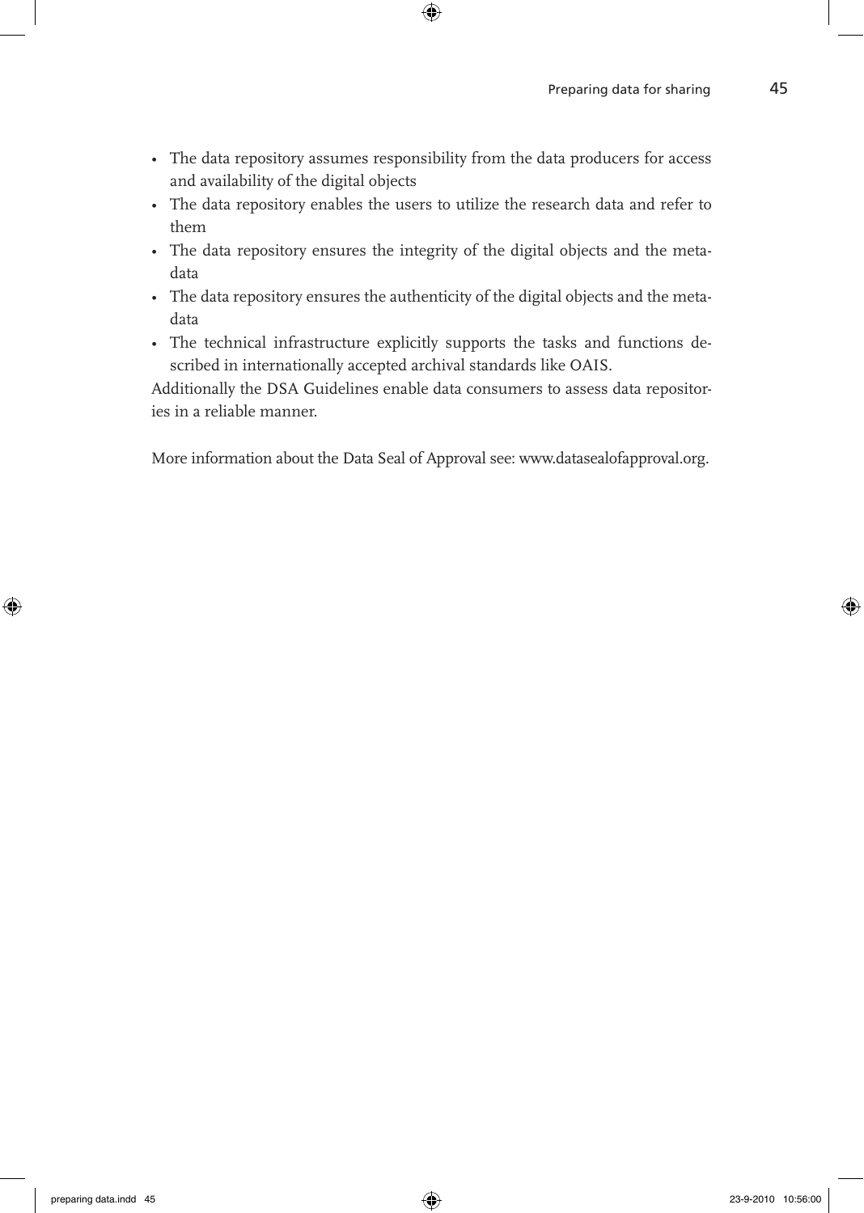- The data repository assumes responsibility from the data producers for access and availability of the digital objects
- The data repository enables the users to utilize the research data and refer to them
- The data repository ensures the integrity of the digital objects and the metadata
- The data repository ensures the authenticity of the digital objects and the metadata
- The technical infrastructure explicitly supports the tasks and functions described in internationally accepted archival standards like OAIS.

Additionally the DSA Guidelines enable data consumers to assess data repositories in a reliable manner.

More information about the Data Seal of Approval see: www.datasealofapproval.org.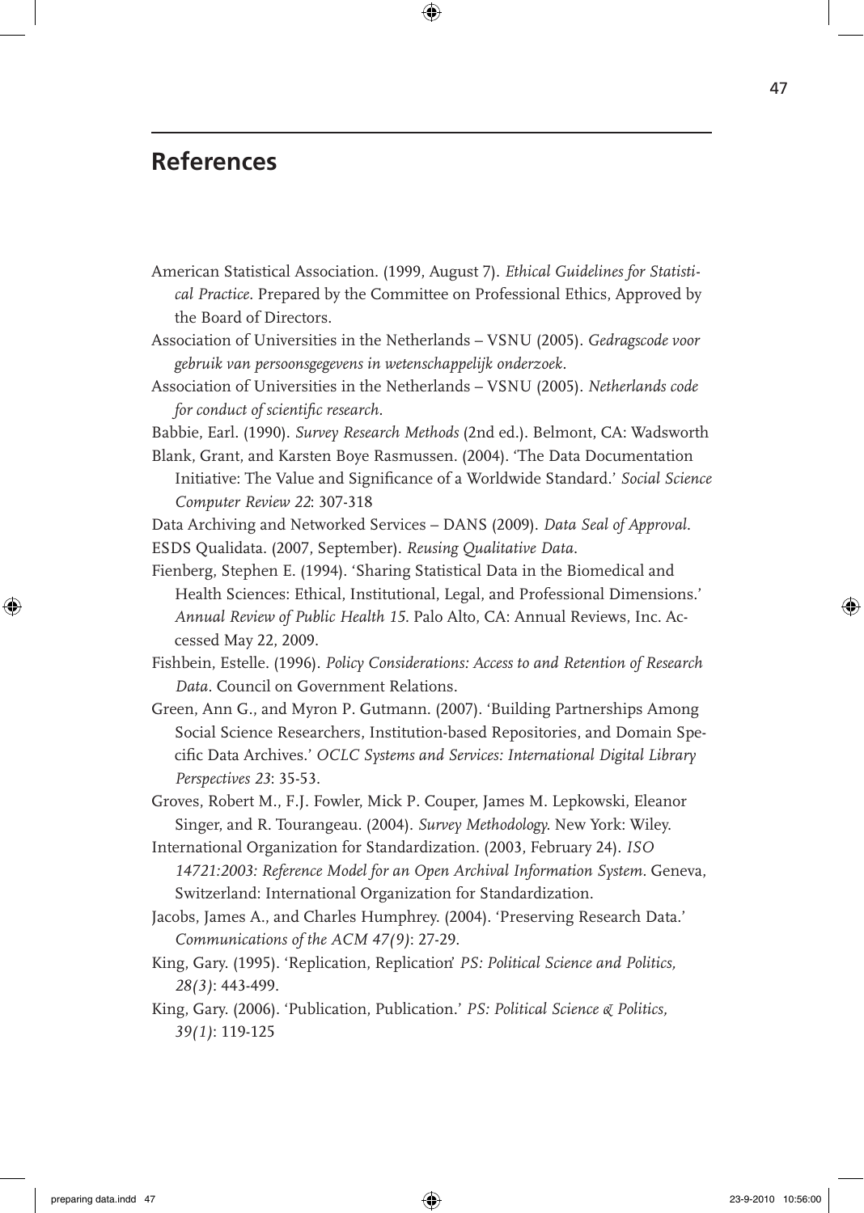# **References**

- American Statistical Association. (1999, August 7). *Ethical Guidelines for Statistical Practice.* Prepared by the Committee on Professional Ethics, Approved by the Board of Directors.
- Association of Universities in the Netherlands VSNU (2005). *Gedragscode voor gebruik van persoonsgegevens in wetenschappelijk onderzoek.*
- Association of Universities in the Netherlands VSNU (2005). *Netherlands code for conduct of scientific research.*

Babbie, Earl. (1990). *Survey Research Methods* (2nd ed.). Belmont, CA: Wadsworth

Blank, Grant, and Karsten Boye Rasmussen. (2004). 'The Data Documentation Initiative: The Value and Significance of a Worldwide Standard.' *Social Science Computer Review 22*: 307-318

Data Archiving and Networked Services – DANS (2009). *Data Seal of Approval.* ESDS Qualidata. (2007, September). *Reusing Qualitative Data*.

- Fienberg, Stephen E. (1994). 'Sharing Statistical Data in the Biomedical and Health Sciences: Ethical, Institutional, Legal, and Professional Dimensions.' *Annual Review of Public Health 15.* Palo Alto, CA: Annual Reviews, Inc. Accessed May 22, 2009.
- Fishbein, Estelle. (1996). *Policy Considerations: Access to and Retention of Research Data.* Council on Government Relations.
- Green, Ann G., and Myron P. Gutmann. (2007). 'Building Partnerships Among Social Science Researchers, Institution-based Repositories, and Domain Specific Data Archives.' *OCLC Systems and Services: International Digital Library Perspectives 23*: 35-53.
- Groves, Robert M., F.J. Fowler, Mick P. Couper, James M. Lepkowski, Eleanor Singer, and R. Tourangeau. (2004). *Survey Methodology.* New York: Wiley.
- International Organization for Standardization. (2003, February 24). *ISO 14721:2003: Reference Model for an Open Archival Information System.* Geneva, Switzerland: International Organization for Standardization.
- Jacobs, James A., and Charles Humphrey. (2004). 'Preserving Research Data.' *Communications of the ACM 47(9)*: 27-29.
- King, Gary. (1995). 'Replication, Replication' *PS: Political Science and Politics, 28(3)*: 443-499.
- King, Gary. (2006). 'Publication, Publication.' *PS: Political Science & Politics, 39(1)*: 119-125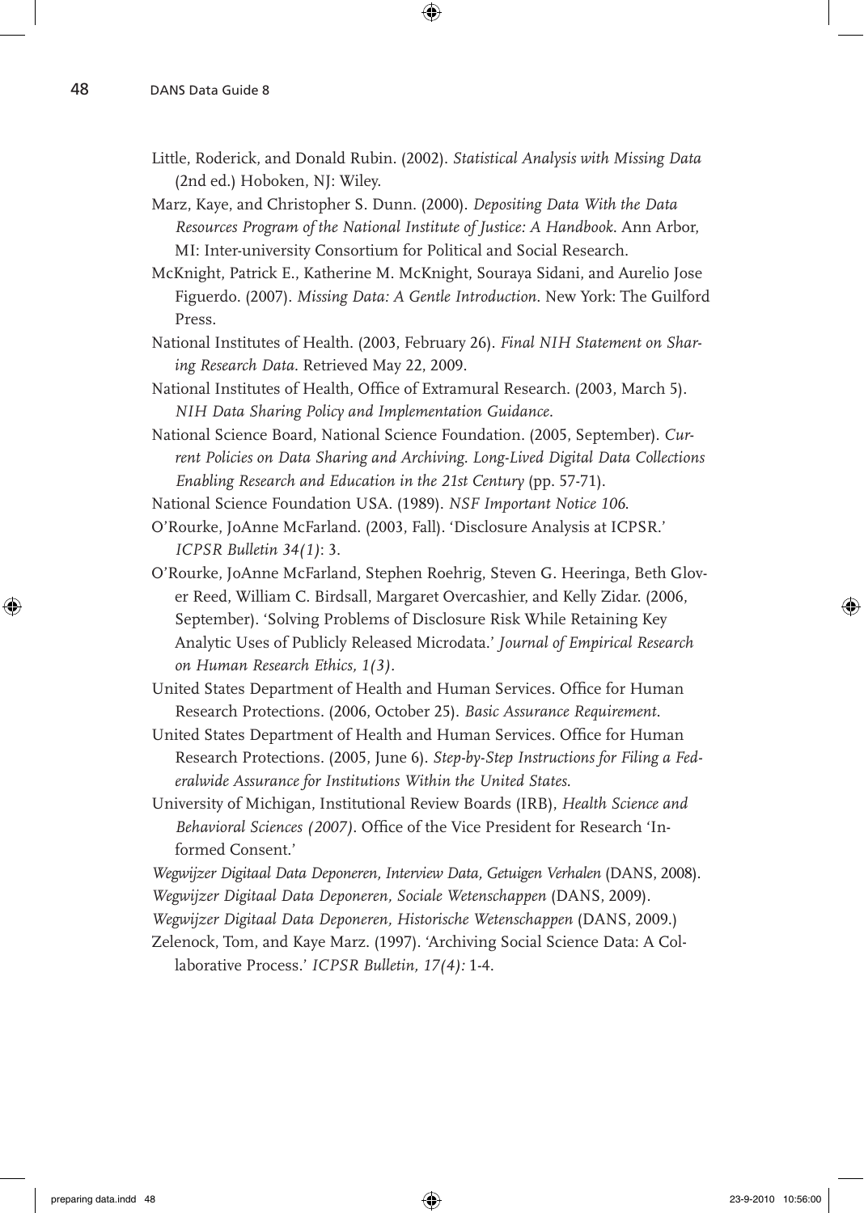- Little, Roderick, and Donald Rubin. (2002). *Statistical Analysis with Missing Data*  (2nd ed.) Hoboken, NJ: Wiley.
- Marz, Kaye, and Christopher S. Dunn. (2000). *Depositing Data With the Data Resources Program of the National Institute of Justice: A Handbook*. Ann Arbor, MI: Inter-university Consortium for Political and Social Research.
- McKnight, Patrick E., Katherine M. McKnight, Souraya Sidani, and Aurelio Jose Figuerdo. (2007). *Missing Data: A Gentle Introduction*. New York: The Guilford Press.
- National Institutes of Health. (2003, February 26). *Final NIH Statement on Sharing Research Data.* Retrieved May 22, 2009.
- National Institutes of Health, Office of Extramural Research. (2003, March 5). *NIH Data Sharing Policy and Implementation Guidance.*
- National Science Board, National Science Foundation. (2005, September). *Current Policies on Data Sharing and Archiving. Long-Lived Digital Data Collections Enabling Research and Education in the 21st Century* (pp. 57-71).
- National Science Foundation USA. (1989). *NSF Important Notice 106*.
- O'Rourke, JoAnne McFarland. (2003, Fall). 'Disclosure Analysis at ICPSR.' *ICPSR Bulletin 34(1)*: 3.
- O'Rourke, JoAnne McFarland, Stephen Roehrig, Steven G. Heeringa, Beth Glover Reed, William C. Birdsall, Margaret Overcashier, and Kelly Zidar. (2006, September). 'Solving Problems of Disclosure Risk While Retaining Key Analytic Uses of Publicly Released Microdata.' *Journal of Empirical Research on Human Research Ethics, 1(3).*
- United States Department of Health and Human Services. Office for Human Research Protections. (2006, October 25). *Basic Assurance Requirement*.
- United States Department of Health and Human Services. Office for Human Research Protections. (2005, June 6). *Step-by-Step Instructions for Filing a Federalwide Assurance for Institutions Within the United States.*
- University of Michigan, Institutional Review Boards (IRB), *Health Science and Behavioral Sciences (2007)*. Office of the Vice President for Research 'Informed Consent.'
- *Wegwijzer Digitaal Data Deponeren, Interview Data, Getuigen Verhalen* (DANS, 2008).
- *Wegwijzer Digitaal Data Deponeren, Sociale Wetenschappen* (DANS, 2009).
- *Wegwijzer Digitaal Data Deponeren, Historische Wetenschappen* (DANS, 2009.)
- Zelenock, Tom, and Kaye Marz. (1997). 'Archiving Social Science Data: A Collaborative Process.' *ICPSR Bulletin, 17(4):* 1-4.